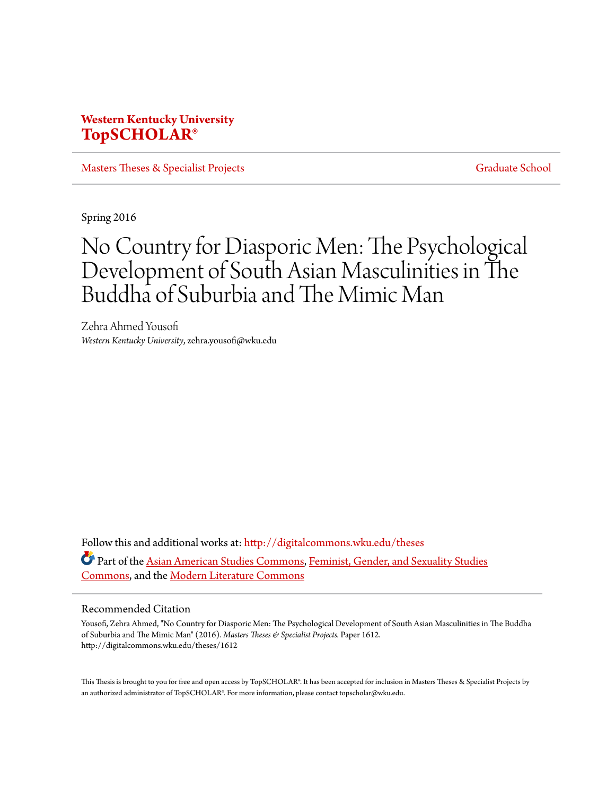# **Western Kentucky University [TopSCHOLAR®](http://digitalcommons.wku.edu?utm_source=digitalcommons.wku.edu%2Ftheses%2F1612&utm_medium=PDF&utm_campaign=PDFCoverPages)**

[Masters Theses & Specialist Projects](http://digitalcommons.wku.edu/theses?utm_source=digitalcommons.wku.edu%2Ftheses%2F1612&utm_medium=PDF&utm_campaign=PDFCoverPages) [Graduate School](http://digitalcommons.wku.edu/Graduate?utm_source=digitalcommons.wku.edu%2Ftheses%2F1612&utm_medium=PDF&utm_campaign=PDFCoverPages)

Spring 2016

# No Country for Diasporic Men: The Psychological Development of South Asian Masculinities in The Buddha of Suburbia and The Mimic Man

Zehra Ahmed Yousofi *Western Kentucky University*, zehra.yousofi@wku.edu

Follow this and additional works at: [http://digitalcommons.wku.edu/theses](http://digitalcommons.wku.edu/theses?utm_source=digitalcommons.wku.edu%2Ftheses%2F1612&utm_medium=PDF&utm_campaign=PDFCoverPages) Part of the [Asian American Studies Commons,](http://network.bepress.com/hgg/discipline/568?utm_source=digitalcommons.wku.edu%2Ftheses%2F1612&utm_medium=PDF&utm_campaign=PDFCoverPages) [Feminist, Gender, and Sexuality Studies](http://network.bepress.com/hgg/discipline/559?utm_source=digitalcommons.wku.edu%2Ftheses%2F1612&utm_medium=PDF&utm_campaign=PDFCoverPages) [Commons,](http://network.bepress.com/hgg/discipline/559?utm_source=digitalcommons.wku.edu%2Ftheses%2F1612&utm_medium=PDF&utm_campaign=PDFCoverPages) and the [Modern Literature Commons](http://network.bepress.com/hgg/discipline/1050?utm_source=digitalcommons.wku.edu%2Ftheses%2F1612&utm_medium=PDF&utm_campaign=PDFCoverPages)

## Recommended Citation

Yousofi, Zehra Ahmed, "No Country for Diasporic Men: The Psychological Development of South Asian Masculinities in The Buddha of Suburbia and The Mimic Man" (2016). *Masters Theses & Specialist Projects.* Paper 1612. http://digitalcommons.wku.edu/theses/1612

This Thesis is brought to you for free and open access by TopSCHOLAR®. It has been accepted for inclusion in Masters Theses & Specialist Projects by an authorized administrator of TopSCHOLAR®. For more information, please contact topscholar@wku.edu.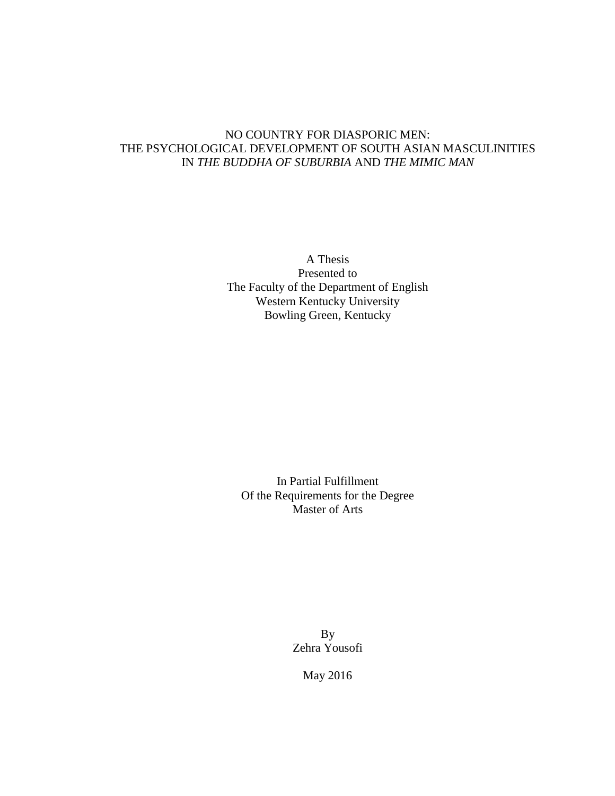## NO COUNTRY FOR DIASPORIC MEN: THE PSYCHOLOGICAL DEVELOPMENT OF SOUTH ASIAN MASCULINITIES IN *THE BUDDHA OF SUBURBIA* AND *THE MIMIC MAN*

A Thesis Presented to The Faculty of the Department of English Western Kentucky University Bowling Green, Kentucky

In Partial Fulfillment Of the Requirements for the Degree Master of Arts

> By Zehra Yousofi

> > May 2016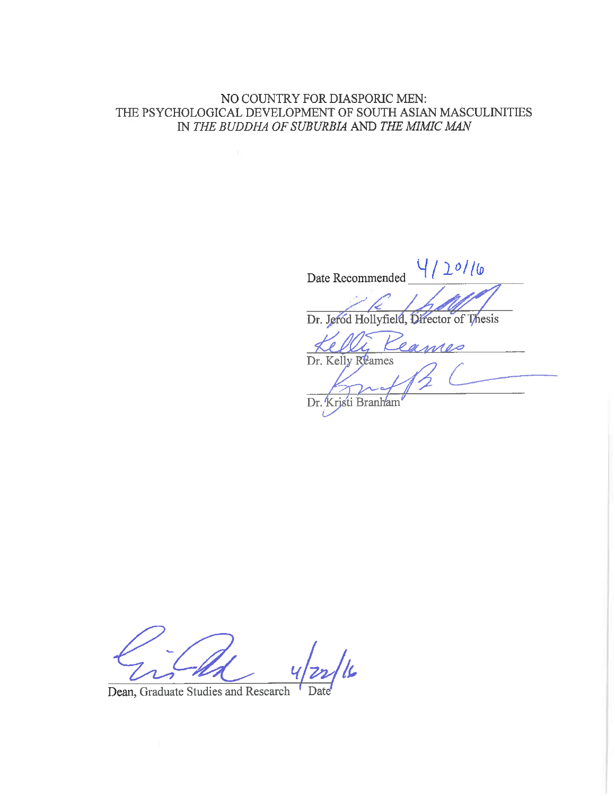NO COUNTRY FOR DIASPORIC MEN: THE PSYCHOLOGICAL DEVELOPMENT OF SOUTH ASIAN MASCULINITIES IN THE BUDDHA OF SUBURBIA AND THE MIMIC MAN

 $/20116$ Date Recommended Dr. Jeród Hollyfield, Director of Thesis Dr. Kelly Reames Dr. Kristi Branham

Dean, Graduate Studies and Research Date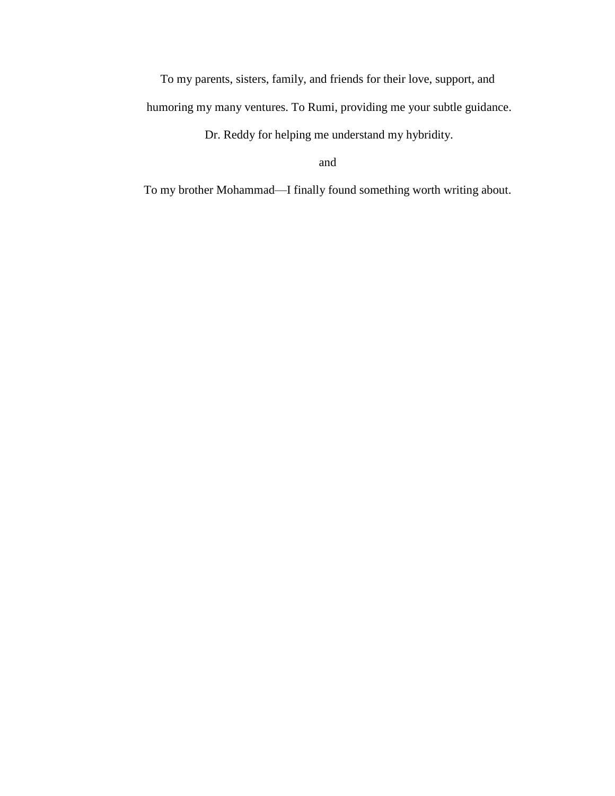To my parents, sisters, family, and friends for their love, support, and humoring my many ventures. To Rumi, providing me your subtle guidance.

Dr. Reddy for helping me understand my hybridity.

and

To my brother Mohammad—I finally found something worth writing about.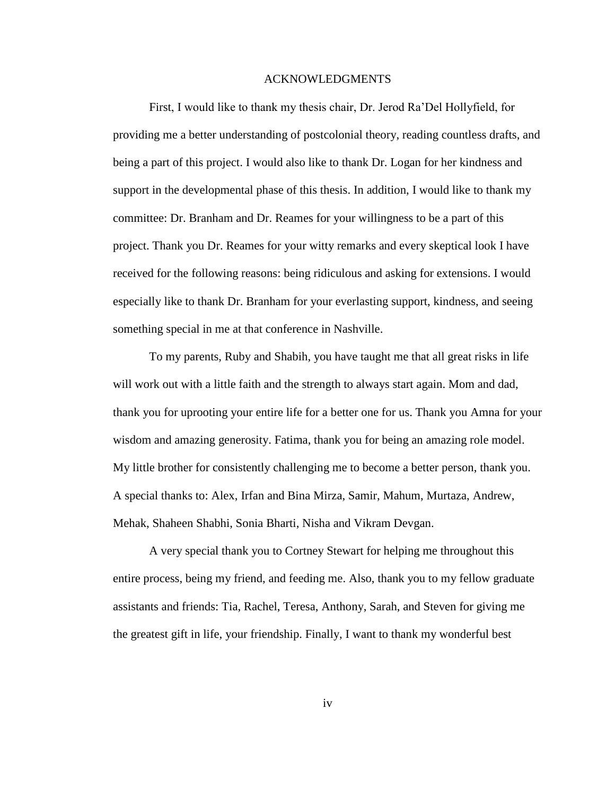## ACKNOWLEDGMENTS

First, I would like to thank my thesis chair, Dr. Jerod Ra'Del Hollyfield, for providing me a better understanding of postcolonial theory, reading countless drafts, and being a part of this project. I would also like to thank Dr. Logan for her kindness and support in the developmental phase of this thesis. In addition, I would like to thank my committee: Dr. Branham and Dr. Reames for your willingness to be a part of this project. Thank you Dr. Reames for your witty remarks and every skeptical look I have received for the following reasons: being ridiculous and asking for extensions. I would especially like to thank Dr. Branham for your everlasting support, kindness, and seeing something special in me at that conference in Nashville.

To my parents, Ruby and Shabih, you have taught me that all great risks in life will work out with a little faith and the strength to always start again. Mom and dad, thank you for uprooting your entire life for a better one for us. Thank you Amna for your wisdom and amazing generosity. Fatima, thank you for being an amazing role model. My little brother for consistently challenging me to become a better person, thank you. A special thanks to: Alex, Irfan and Bina Mirza, Samir, Mahum, Murtaza, Andrew, Mehak, Shaheen Shabhi, Sonia Bharti, Nisha and Vikram Devgan.

A very special thank you to Cortney Stewart for helping me throughout this entire process, being my friend, and feeding me. Also, thank you to my fellow graduate assistants and friends: Tia, Rachel, Teresa, Anthony, Sarah, and Steven for giving me the greatest gift in life, your friendship. Finally, I want to thank my wonderful best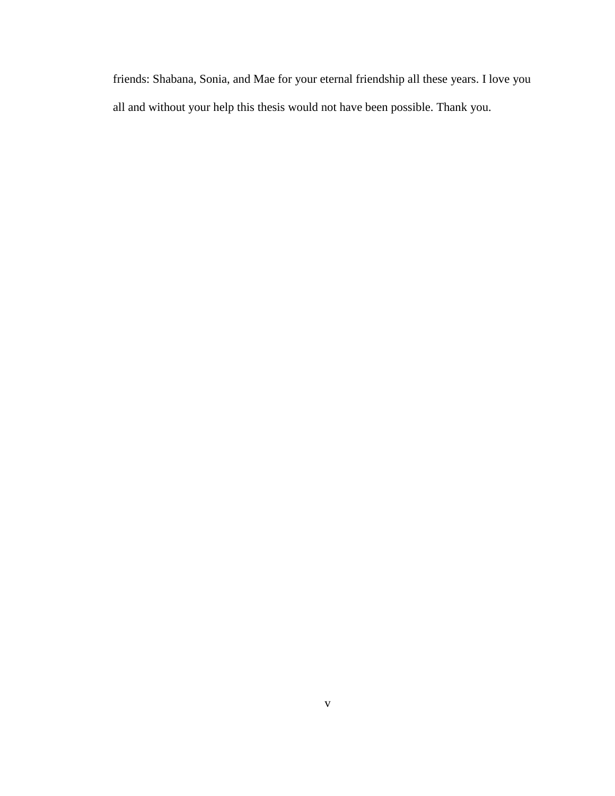friends: Shabana, Sonia, and Mae for your eternal friendship all these years. I love you all and without your help this thesis would not have been possible. Thank you.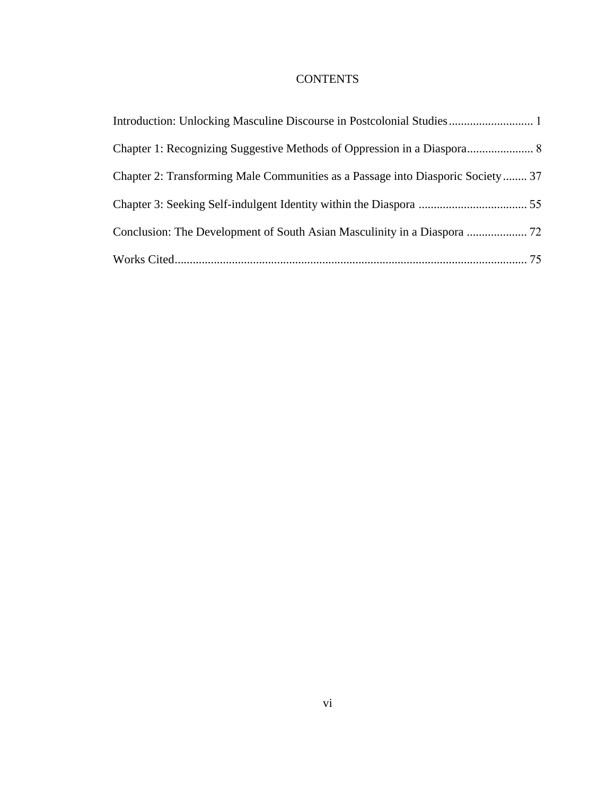# **CONTENTS**

| Chapter 2: Transforming Male Communities as a Passage into Diasporic Society 37 |  |
|---------------------------------------------------------------------------------|--|
|                                                                                 |  |
|                                                                                 |  |
|                                                                                 |  |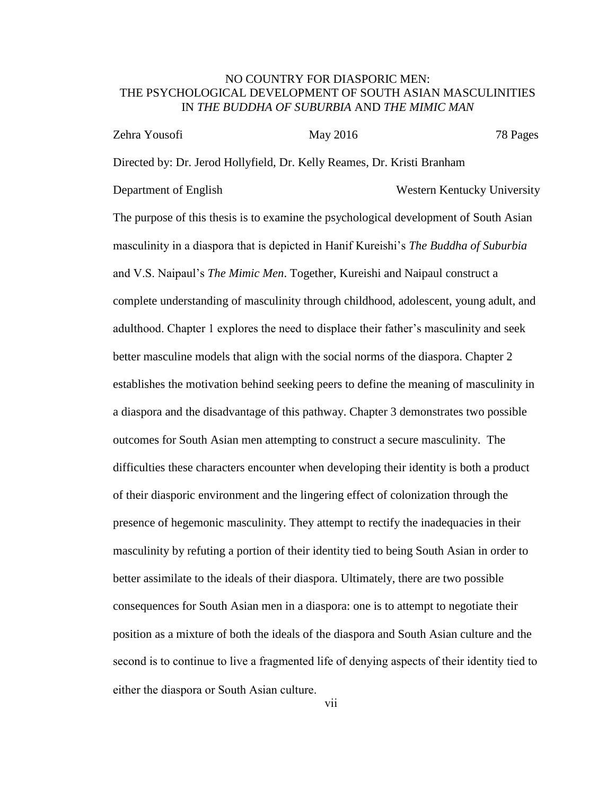## NO COUNTRY FOR DIASPORIC MEN: THE PSYCHOLOGICAL DEVELOPMENT OF SOUTH ASIAN MASCULINITIES IN *THE BUDDHA OF SUBURBIA* AND *THE MIMIC MAN*

| Zehra Yousofi | May 2016                                                                | 78 Pages |
|---------------|-------------------------------------------------------------------------|----------|
|               | Directed by: Dr. Jerod Hollyfield, Dr. Kelly Reames, Dr. Kristi Branham |          |

Department of English Western Kentucky University

The purpose of this thesis is to examine the psychological development of South Asian masculinity in a diaspora that is depicted in Hanif Kureishi's *The Buddha of Suburbia* and V.S. Naipaul's *The Mimic Men*. Together, Kureishi and Naipaul construct a complete understanding of masculinity through childhood, adolescent, young adult, and adulthood. Chapter 1 explores the need to displace their father's masculinity and seek better masculine models that align with the social norms of the diaspora. Chapter 2 establishes the motivation behind seeking peers to define the meaning of masculinity in a diaspora and the disadvantage of this pathway. Chapter 3 demonstrates two possible outcomes for South Asian men attempting to construct a secure masculinity. The difficulties these characters encounter when developing their identity is both a product of their diasporic environment and the lingering effect of colonization through the presence of hegemonic masculinity. They attempt to rectify the inadequacies in their masculinity by refuting a portion of their identity tied to being South Asian in order to better assimilate to the ideals of their diaspora. Ultimately, there are two possible consequences for South Asian men in a diaspora: one is to attempt to negotiate their position as a mixture of both the ideals of the diaspora and South Asian culture and the second is to continue to live a fragmented life of denying aspects of their identity tied to either the diaspora or South Asian culture.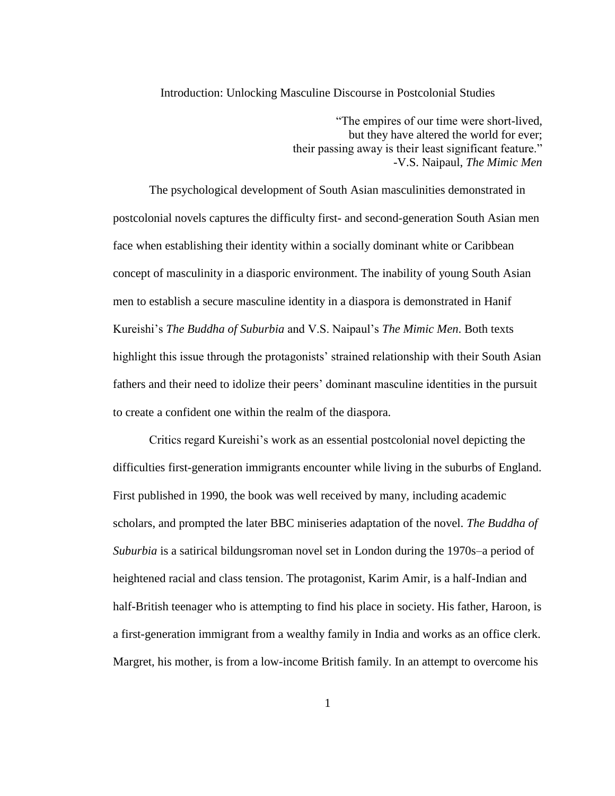## Introduction: Unlocking Masculine Discourse in Postcolonial Studies

"The empires of our time were short-lived, but they have altered the world for ever; their passing away is their least significant feature." -V.S. Naipaul, *The Mimic Men*

The psychological development of South Asian masculinities demonstrated in postcolonial novels captures the difficulty first- and second-generation South Asian men face when establishing their identity within a socially dominant white or Caribbean concept of masculinity in a diasporic environment. The inability of young South Asian men to establish a secure masculine identity in a diaspora is demonstrated in Hanif Kureishi's *The Buddha of Suburbia* and V.S. Naipaul's *The Mimic Men*. Both texts highlight this issue through the protagonists' strained relationship with their South Asian fathers and their need to idolize their peers' dominant masculine identities in the pursuit to create a confident one within the realm of the diaspora.

Critics regard Kureishi's work as an essential postcolonial novel depicting the difficulties first-generation immigrants encounter while living in the suburbs of England. First published in 1990, the book was well received by many, including academic scholars, and prompted the later BBC miniseries adaptation of the novel. *The Buddha of Suburbia* is a satirical bildungsroman novel set in London during the 1970s–a period of heightened racial and class tension. The protagonist, Karim Amir, is a half-Indian and half-British teenager who is attempting to find his place in society. His father, Haroon, is a first-generation immigrant from a wealthy family in India and works as an office clerk. Margret, his mother, is from a low-income British family. In an attempt to overcome his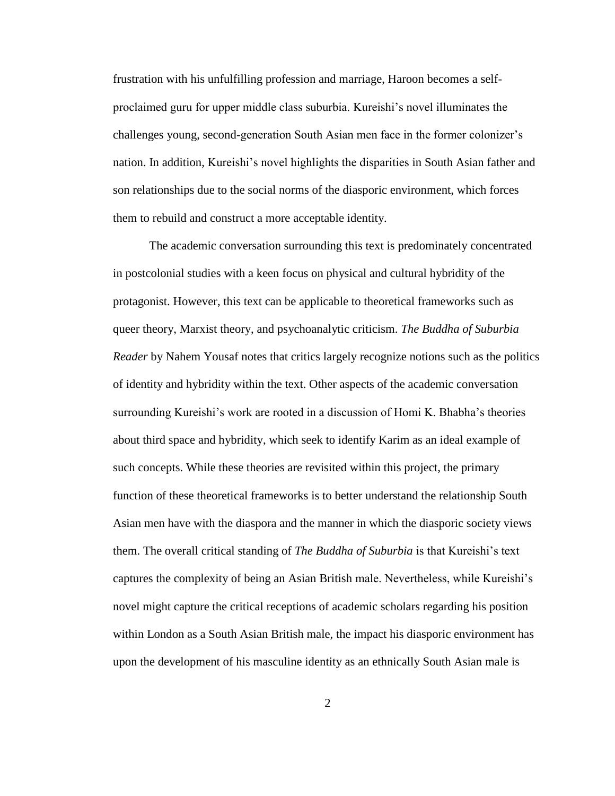frustration with his unfulfilling profession and marriage, Haroon becomes a selfproclaimed guru for upper middle class suburbia. Kureishi's novel illuminates the challenges young, second-generation South Asian men face in the former colonizer's nation. In addition, Kureishi's novel highlights the disparities in South Asian father and son relationships due to the social norms of the diasporic environment, which forces them to rebuild and construct a more acceptable identity.

The academic conversation surrounding this text is predominately concentrated in postcolonial studies with a keen focus on physical and cultural hybridity of the protagonist. However, this text can be applicable to theoretical frameworks such as queer theory, Marxist theory, and psychoanalytic criticism. *The Buddha of Suburbia Reader* by Nahem Yousaf notes that critics largely recognize notions such as the politics of identity and hybridity within the text. Other aspects of the academic conversation surrounding Kureishi's work are rooted in a discussion of Homi K. Bhabha's theories about third space and hybridity, which seek to identify Karim as an ideal example of such concepts. While these theories are revisited within this project, the primary function of these theoretical frameworks is to better understand the relationship South Asian men have with the diaspora and the manner in which the diasporic society views them. The overall critical standing of *The Buddha of Suburbia* is that Kureishi's text captures the complexity of being an Asian British male. Nevertheless, while Kureishi's novel might capture the critical receptions of academic scholars regarding his position within London as a South Asian British male, the impact his diasporic environment has upon the development of his masculine identity as an ethnically South Asian male is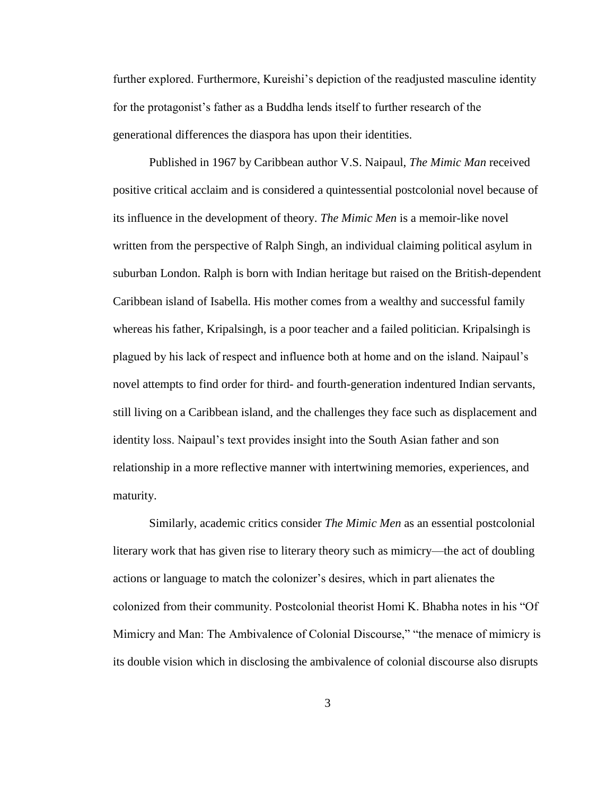further explored. Furthermore, Kureishi's depiction of the readjusted masculine identity for the protagonist's father as a Buddha lends itself to further research of the generational differences the diaspora has upon their identities.

Published in 1967 by Caribbean author V.S. Naipaul, *The Mimic Man* received positive critical acclaim and is considered a quintessential postcolonial novel because of its influence in the development of theory. *The Mimic Men* is a memoir-like novel written from the perspective of Ralph Singh, an individual claiming political asylum in suburban London. Ralph is born with Indian heritage but raised on the British-dependent Caribbean island of Isabella. His mother comes from a wealthy and successful family whereas his father, Kripalsingh, is a poor teacher and a failed politician. Kripalsingh is plagued by his lack of respect and influence both at home and on the island. Naipaul's novel attempts to find order for third- and fourth-generation indentured Indian servants, still living on a Caribbean island, and the challenges they face such as displacement and identity loss. Naipaul's text provides insight into the South Asian father and son relationship in a more reflective manner with intertwining memories, experiences, and maturity.

Similarly, academic critics consider *The Mimic Men* as an essential postcolonial literary work that has given rise to literary theory such as mimicry—the act of doubling actions or language to match the colonizer's desires, which in part alienates the colonized from their community. Postcolonial theorist Homi K. Bhabha notes in his "Of Mimicry and Man: The Ambivalence of Colonial Discourse," "the menace of mimicry is its double vision which in disclosing the ambivalence of colonial discourse also disrupts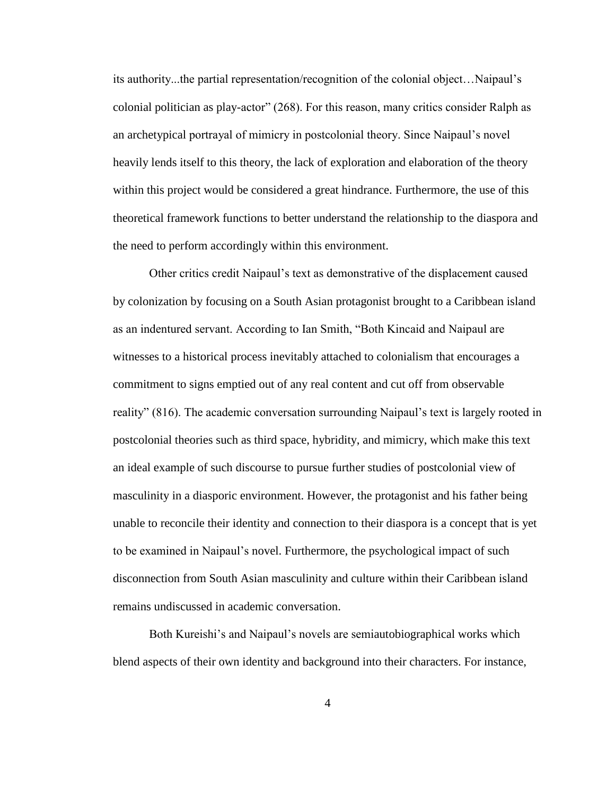its authority...the partial representation/recognition of the colonial object…Naipaul's colonial politician as play-actor" (268). For this reason, many critics consider Ralph as an archetypical portrayal of mimicry in postcolonial theory. Since Naipaul's novel heavily lends itself to this theory, the lack of exploration and elaboration of the theory within this project would be considered a great hindrance. Furthermore, the use of this theoretical framework functions to better understand the relationship to the diaspora and the need to perform accordingly within this environment.

Other critics credit Naipaul's text as demonstrative of the displacement caused by colonization by focusing on a South Asian protagonist brought to a Caribbean island as an indentured servant. According to Ian Smith, "Both Kincaid and Naipaul are witnesses to a historical process inevitably attached to colonialism that encourages a commitment to signs emptied out of any real content and cut off from observable reality" (816). The academic conversation surrounding Naipaul's text is largely rooted in postcolonial theories such as third space, hybridity, and mimicry, which make this text an ideal example of such discourse to pursue further studies of postcolonial view of masculinity in a diasporic environment. However, the protagonist and his father being unable to reconcile their identity and connection to their diaspora is a concept that is yet to be examined in Naipaul's novel. Furthermore, the psychological impact of such disconnection from South Asian masculinity and culture within their Caribbean island remains undiscussed in academic conversation.

Both Kureishi's and Naipaul's novels are semiautobiographical works which blend aspects of their own identity and background into their characters. For instance,

4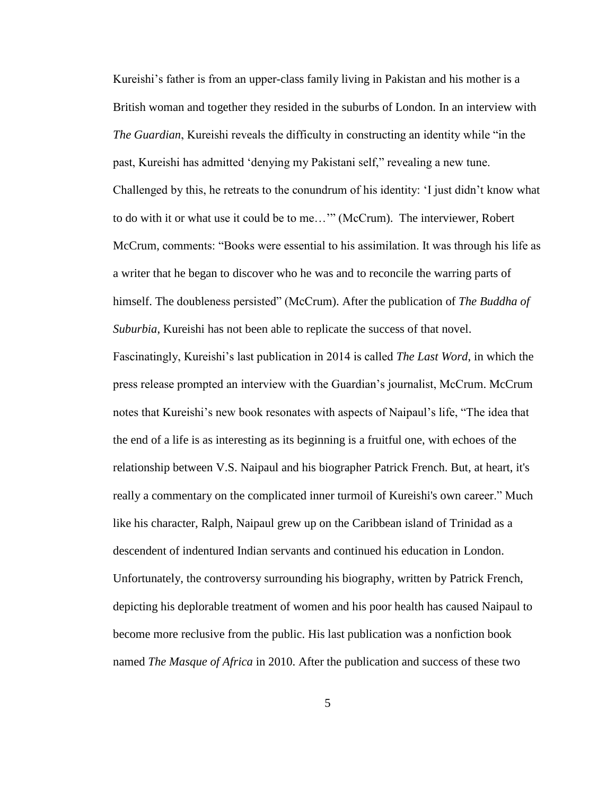Kureishi's father is from an upper-class family living in Pakistan and his mother is a British woman and together they resided in the suburbs of London. In an interview with *The Guardian*, Kureishi reveals the difficulty in constructing an identity while "in the past, Kureishi has admitted 'denying my Pakistani self," revealing a new tune. Challenged by this, he retreats to the conundrum of his identity: 'I just didn't know what to do with it or what use it could be to me…'" (McCrum). The interviewer, Robert McCrum, comments: "Books were essential to his assimilation. It was through his life as a writer that he began to discover who he was and to reconcile the warring parts of himself. The doubleness persisted" (McCrum). After the publication of *The Buddha of Suburbia*, Kureishi has not been able to replicate the success of that novel. Fascinatingly, Kureishi's last publication in 2014 is called *The Last Word*, in which the press release prompted an interview with the Guardian's journalist, McCrum. McCrum notes that Kureishi's new book resonates with aspects of Naipaul's life, "The idea that the end of a life is as interesting as its beginning is a fruitful one, with echoes of the relationship between V.S. Naipaul and his biographer Patrick French. But, at heart, it's really a commentary on the complicated inner turmoil of Kureishi's own career." Much like his character, Ralph, Naipaul grew up on the Caribbean island of Trinidad as a descendent of indentured Indian servants and continued his education in London. Unfortunately, the controversy surrounding his biography, written by Patrick French, depicting his deplorable treatment of women and his poor health has caused Naipaul to become more reclusive from the public. His last publication was a nonfiction book named *The Masque of Africa* in 2010. After the publication and success of these two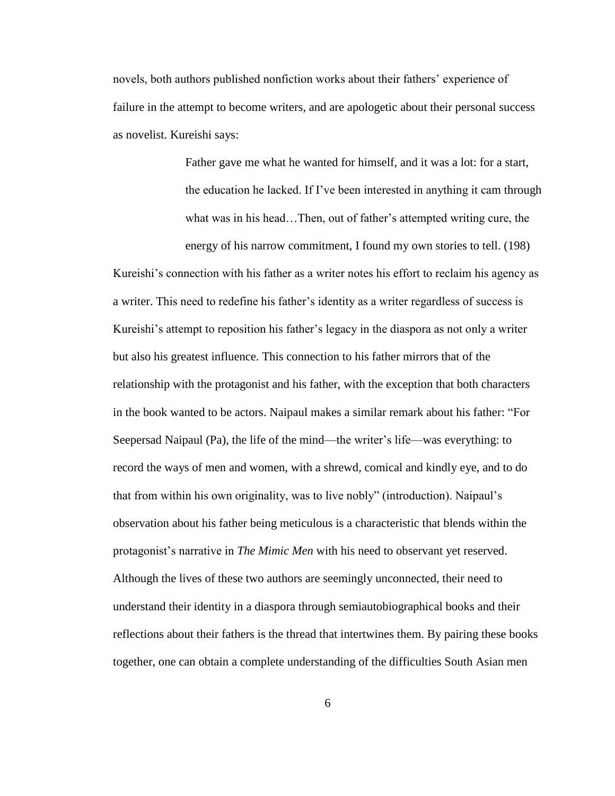novels, both authors published nonfiction works about their fathers' experience of failure in the attempt to become writers, and are apologetic about their personal success as novelist. Kureishi says:

> Father gave me what he wanted for himself, and it was a lot: for a start, the education he lacked. If I've been interested in anything it cam through what was in his head…Then, out of father's attempted writing cure, the

energy of his narrow commitment, I found my own stories to tell. (198) Kureishi's connection with his father as a writer notes his effort to reclaim his agency as a writer. This need to redefine his father's identity as a writer regardless of success is Kureishi's attempt to reposition his father's legacy in the diaspora as not only a writer but also his greatest influence. This connection to his father mirrors that of the relationship with the protagonist and his father, with the exception that both characters in the book wanted to be actors. Naipaul makes a similar remark about his father: "For Seepersad Naipaul (Pa), the life of the mind—the writer's life—was everything: to record the ways of men and women, with a shrewd, comical and kindly eye, and to do that from within his own originality, was to live nobly" (introduction). Naipaul's observation about his father being meticulous is a characteristic that blends within the protagonist's narrative in *The Mimic Men* with his need to observant yet reserved. Although the lives of these two authors are seemingly unconnected, their need to understand their identity in a diaspora through semiautobiographical books and their reflections about their fathers is the thread that intertwines them. By pairing these books together, one can obtain a complete understanding of the difficulties South Asian men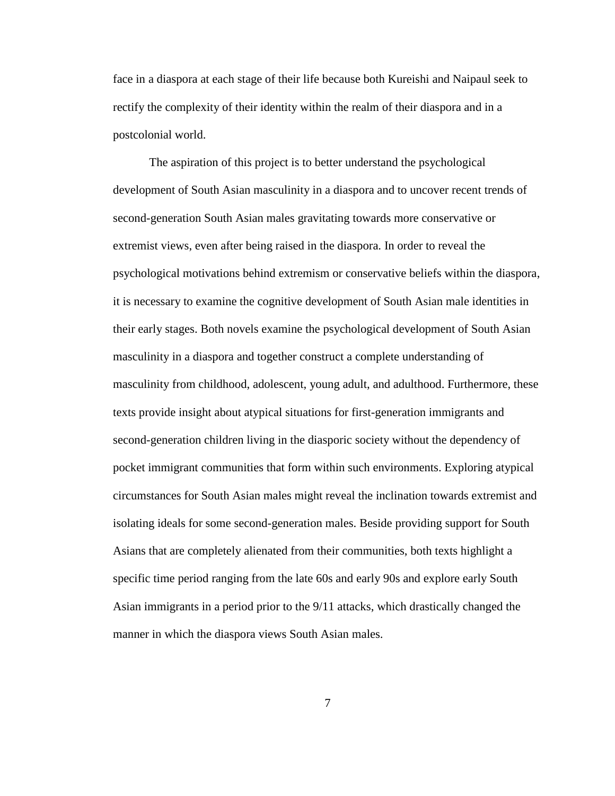face in a diaspora at each stage of their life because both Kureishi and Naipaul seek to rectify the complexity of their identity within the realm of their diaspora and in a postcolonial world.

The aspiration of this project is to better understand the psychological development of South Asian masculinity in a diaspora and to uncover recent trends of second-generation South Asian males gravitating towards more conservative or extremist views, even after being raised in the diaspora. In order to reveal the psychological motivations behind extremism or conservative beliefs within the diaspora, it is necessary to examine the cognitive development of South Asian male identities in their early stages. Both novels examine the psychological development of South Asian masculinity in a diaspora and together construct a complete understanding of masculinity from childhood, adolescent, young adult, and adulthood. Furthermore, these texts provide insight about atypical situations for first-generation immigrants and second-generation children living in the diasporic society without the dependency of pocket immigrant communities that form within such environments. Exploring atypical circumstances for South Asian males might reveal the inclination towards extremist and isolating ideals for some second-generation males. Beside providing support for South Asians that are completely alienated from their communities, both texts highlight a specific time period ranging from the late 60s and early 90s and explore early South Asian immigrants in a period prior to the 9/11 attacks, which drastically changed the manner in which the diaspora views South Asian males.

7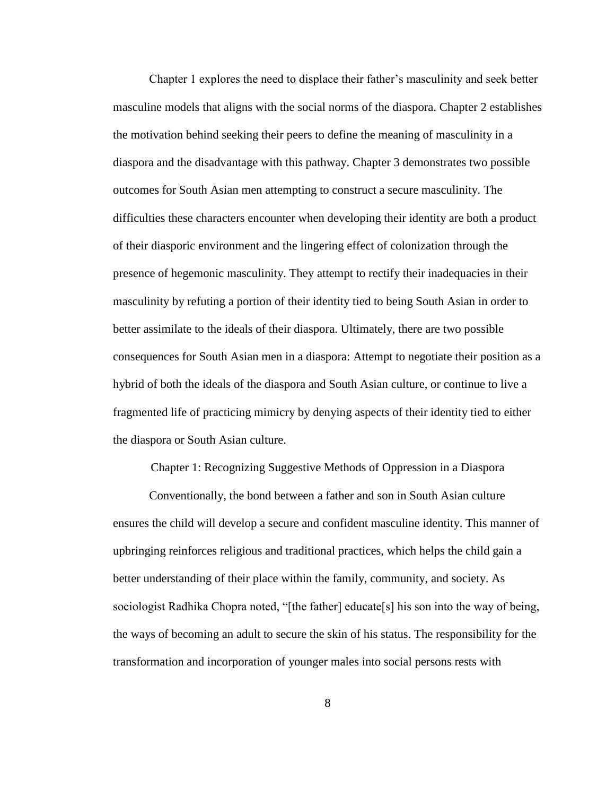Chapter 1 explores the need to displace their father's masculinity and seek better masculine models that aligns with the social norms of the diaspora. Chapter 2 establishes the motivation behind seeking their peers to define the meaning of masculinity in a diaspora and the disadvantage with this pathway. Chapter 3 demonstrates two possible outcomes for South Asian men attempting to construct a secure masculinity. The difficulties these characters encounter when developing their identity are both a product of their diasporic environment and the lingering effect of colonization through the presence of hegemonic masculinity. They attempt to rectify their inadequacies in their masculinity by refuting a portion of their identity tied to being South Asian in order to better assimilate to the ideals of their diaspora. Ultimately, there are two possible consequences for South Asian men in a diaspora: Attempt to negotiate their position as a hybrid of both the ideals of the diaspora and South Asian culture, or continue to live a fragmented life of practicing mimicry by denying aspects of their identity tied to either the diaspora or South Asian culture.

Chapter 1: Recognizing Suggestive Methods of Oppression in a Diaspora

Conventionally, the bond between a father and son in South Asian culture ensures the child will develop a secure and confident masculine identity. This manner of upbringing reinforces religious and traditional practices, which helps the child gain a better understanding of their place within the family, community, and society. As sociologist Radhika Chopra noted, "[the father] educate[s] his son into the way of being, the ways of becoming an adult to secure the skin of his status. The responsibility for the transformation and incorporation of younger males into social persons rests with

8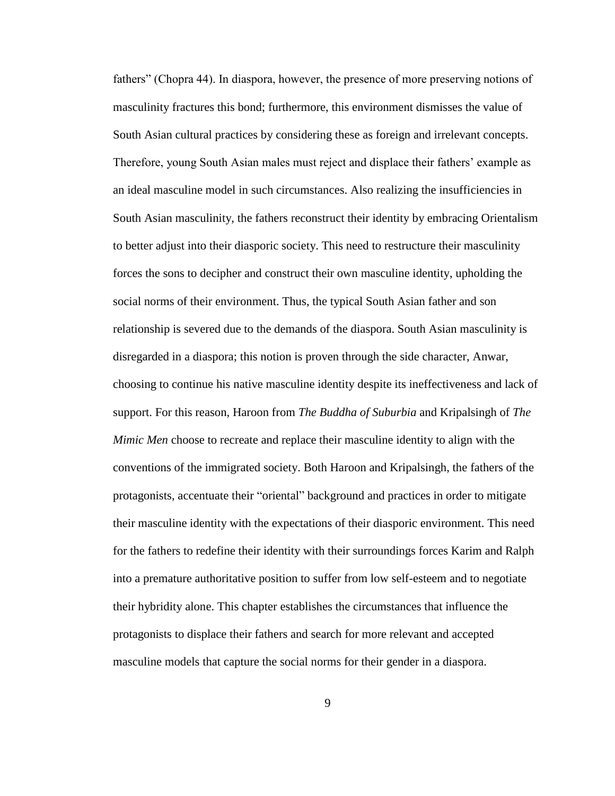fathers" (Chopra 44). In diaspora, however, the presence of more preserving notions of masculinity fractures this bond; furthermore, this environment dismisses the value of South Asian cultural practices by considering these as foreign and irrelevant concepts. Therefore, young South Asian males must reject and displace their fathers' example as an ideal masculine model in such circumstances. Also realizing the insufficiencies in South Asian masculinity, the fathers reconstruct their identity by embracing Orientalism to better adjust into their diasporic society. This need to restructure their masculinity forces the sons to decipher and construct their own masculine identity, upholding the social norms of their environment. Thus, the typical South Asian father and son relationship is severed due to the demands of the diaspora. South Asian masculinity is disregarded in a diaspora; this notion is proven through the side character, Anwar, choosing to continue his native masculine identity despite its ineffectiveness and lack of support. For this reason, Haroon from *The Buddha of Suburbia* and Kripalsingh of *The Mimic Men* choose to recreate and replace their masculine identity to align with the conventions of the immigrated society. Both Haroon and Kripalsingh, the fathers of the protagonists, accentuate their "oriental" background and practices in order to mitigate their masculine identity with the expectations of their diasporic environment. This need for the fathers to redefine their identity with their surroundings forces Karim and Ralph into a premature authoritative position to suffer from low self-esteem and to negotiate their hybridity alone. This chapter establishes the circumstances that influence the protagonists to displace their fathers and search for more relevant and accepted masculine models that capture the social norms for their gender in a diaspora.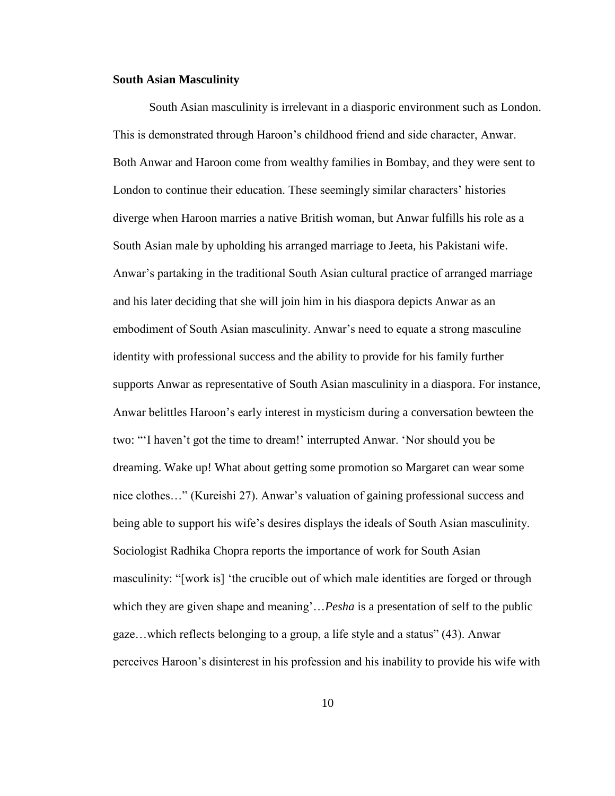## **South Asian Masculinity**

South Asian masculinity is irrelevant in a diasporic environment such as London. This is demonstrated through Haroon's childhood friend and side character, Anwar. Both Anwar and Haroon come from wealthy families in Bombay, and they were sent to London to continue their education. These seemingly similar characters' histories diverge when Haroon marries a native British woman, but Anwar fulfills his role as a South Asian male by upholding his arranged marriage to Jeeta, his Pakistani wife. Anwar's partaking in the traditional South Asian cultural practice of arranged marriage and his later deciding that she will join him in his diaspora depicts Anwar as an embodiment of South Asian masculinity. Anwar's need to equate a strong masculine identity with professional success and the ability to provide for his family further supports Anwar as representative of South Asian masculinity in a diaspora. For instance, Anwar belittles Haroon's early interest in mysticism during a conversation bewteen the two: "'I haven't got the time to dream!' interrupted Anwar. 'Nor should you be dreaming. Wake up! What about getting some promotion so Margaret can wear some nice clothes…" (Kureishi 27). Anwar's valuation of gaining professional success and being able to support his wife's desires displays the ideals of South Asian masculinity. Sociologist Radhika Chopra reports the importance of work for South Asian masculinity: "[work is] 'the crucible out of which male identities are forged or through which they are given shape and meaning'...*Pesha* is a presentation of self to the public gaze…which reflects belonging to a group, a life style and a status" (43). Anwar perceives Haroon's disinterest in his profession and his inability to provide his wife with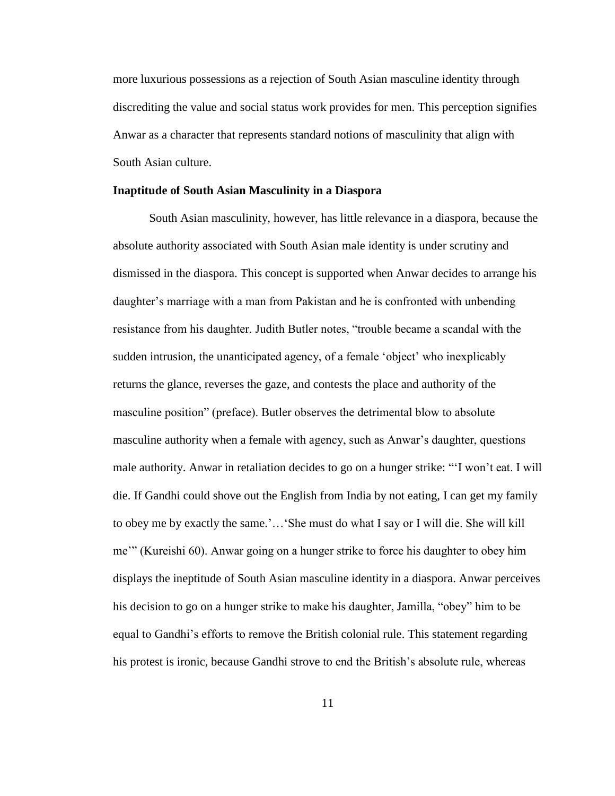more luxurious possessions as a rejection of South Asian masculine identity through discrediting the value and social status work provides for men. This perception signifies Anwar as a character that represents standard notions of masculinity that align with South Asian culture.

## **Inaptitude of South Asian Masculinity in a Diaspora**

South Asian masculinity, however, has little relevance in a diaspora, because the absolute authority associated with South Asian male identity is under scrutiny and dismissed in the diaspora. This concept is supported when Anwar decides to arrange his daughter's marriage with a man from Pakistan and he is confronted with unbending resistance from his daughter. Judith Butler notes, "trouble became a scandal with the sudden intrusion, the unanticipated agency, of a female 'object' who inexplicably returns the glance, reverses the gaze, and contests the place and authority of the masculine position" (preface). Butler observes the detrimental blow to absolute masculine authority when a female with agency, such as Anwar's daughter, questions male authority. Anwar in retaliation decides to go on a hunger strike: "'I won't eat. I will die. If Gandhi could shove out the English from India by not eating, I can get my family to obey me by exactly the same.'…'She must do what I say or I will die. She will kill me'" (Kureishi 60). Anwar going on a hunger strike to force his daughter to obey him displays the ineptitude of South Asian masculine identity in a diaspora. Anwar perceives his decision to go on a hunger strike to make his daughter, Jamilla, "obey" him to be equal to Gandhi's efforts to remove the British colonial rule. This statement regarding his protest is ironic, because Gandhi strove to end the British's absolute rule, whereas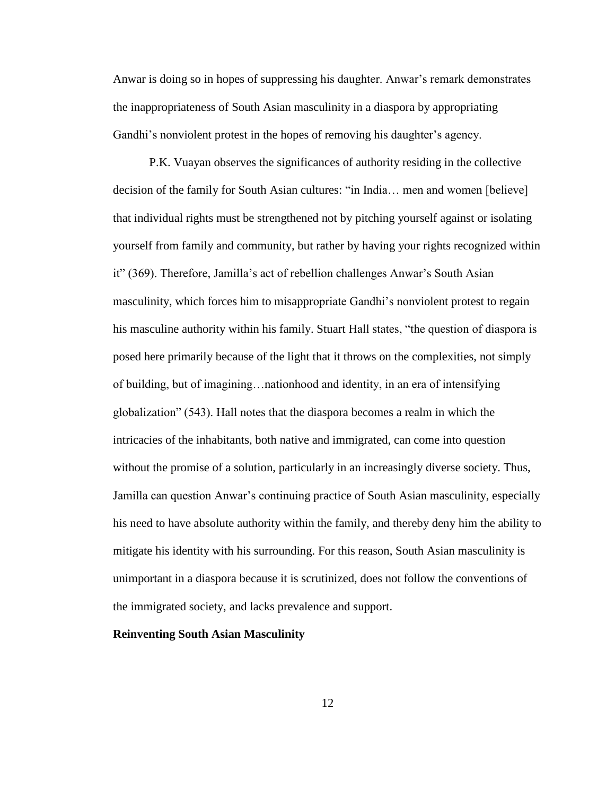Anwar is doing so in hopes of suppressing his daughter. Anwar's remark demonstrates the inappropriateness of South Asian masculinity in a diaspora by appropriating Gandhi's nonviolent protest in the hopes of removing his daughter's agency.

P.K. Vuayan observes the significances of authority residing in the collective decision of the family for South Asian cultures: "in India… men and women [believe] that individual rights must be strengthened not by pitching yourself against or isolating yourself from family and community, but rather by having your rights recognized within it" (369). Therefore, Jamilla's act of rebellion challenges Anwar's South Asian masculinity, which forces him to misappropriate Gandhi's nonviolent protest to regain his masculine authority within his family. Stuart Hall states, "the question of diaspora is posed here primarily because of the light that it throws on the complexities, not simply of building, but of imagining…nationhood and identity, in an era of intensifying globalization" (543). Hall notes that the diaspora becomes a realm in which the intricacies of the inhabitants, both native and immigrated, can come into question without the promise of a solution, particularly in an increasingly diverse society. Thus, Jamilla can question Anwar's continuing practice of South Asian masculinity, especially his need to have absolute authority within the family, and thereby deny him the ability to mitigate his identity with his surrounding. For this reason, South Asian masculinity is unimportant in a diaspora because it is scrutinized, does not follow the conventions of the immigrated society, and lacks prevalence and support.

### **Reinventing South Asian Masculinity**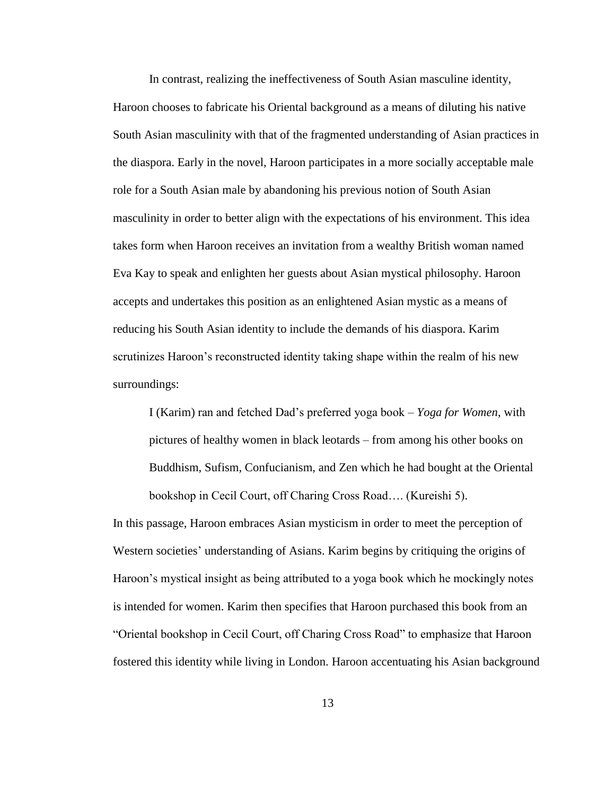In contrast, realizing the ineffectiveness of South Asian masculine identity, Haroon chooses to fabricate his Oriental background as a means of diluting his native South Asian masculinity with that of the fragmented understanding of Asian practices in the diaspora. Early in the novel, Haroon participates in a more socially acceptable male role for a South Asian male by abandoning his previous notion of South Asian masculinity in order to better align with the expectations of his environment. This idea takes form when Haroon receives an invitation from a wealthy British woman named Eva Kay to speak and enlighten her guests about Asian mystical philosophy. Haroon accepts and undertakes this position as an enlightened Asian mystic as a means of reducing his South Asian identity to include the demands of his diaspora. Karim scrutinizes Haroon's reconstructed identity taking shape within the realm of his new surroundings:

I (Karim) ran and fetched Dad's preferred yoga book – *Yoga for Women*, with pictures of healthy women in black leotards – from among his other books on Buddhism, Sufism, Confucianism, and Zen which he had bought at the Oriental bookshop in Cecil Court, off Charing Cross Road…. (Kureishi 5).

In this passage, Haroon embraces Asian mysticism in order to meet the perception of Western societies' understanding of Asians. Karim begins by critiquing the origins of Haroon's mystical insight as being attributed to a yoga book which he mockingly notes is intended for women. Karim then specifies that Haroon purchased this book from an "Oriental bookshop in Cecil Court, off Charing Cross Road" to emphasize that Haroon fostered this identity while living in London. Haroon accentuating his Asian background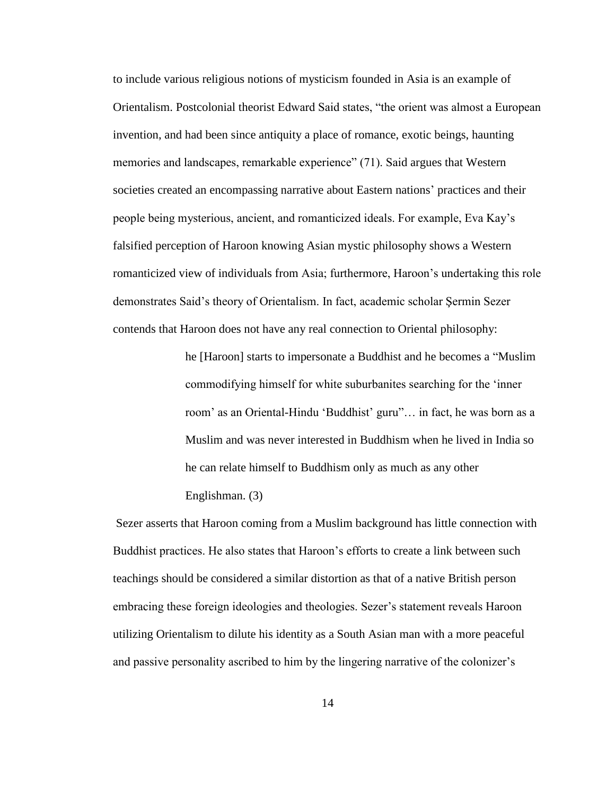to include various religious notions of mysticism founded in Asia is an example of Orientalism. Postcolonial theorist Edward Said states, "the orient was almost a European invention, and had been since antiquity a place of romance, exotic beings, haunting memories and landscapes, remarkable experience" (71). Said argues that Western societies created an encompassing narrative about Eastern nations' practices and their people being mysterious, ancient, and romanticized ideals. For example, Eva Kay's falsified perception of Haroon knowing Asian mystic philosophy shows a Western romanticized view of individuals from Asia; furthermore, Haroon's undertaking this role demonstrates Said's theory of Orientalism. In fact, academic scholar Şermin Sezer contends that Haroon does not have any real connection to Oriental philosophy:

> he [Haroon] starts to impersonate a Buddhist and he becomes a "Muslim commodifying himself for white suburbanites searching for the 'inner room' as an Oriental-Hindu 'Buddhist' guru"… in fact, he was born as a Muslim and was never interested in Buddhism when he lived in India so he can relate himself to Buddhism only as much as any other Englishman. (3)

Sezer asserts that Haroon coming from a Muslim background has little connection with Buddhist practices. He also states that Haroon's efforts to create a link between such teachings should be considered a similar distortion as that of a native British person embracing these foreign ideologies and theologies. Sezer's statement reveals Haroon utilizing Orientalism to dilute his identity as a South Asian man with a more peaceful and passive personality ascribed to him by the lingering narrative of the colonizer's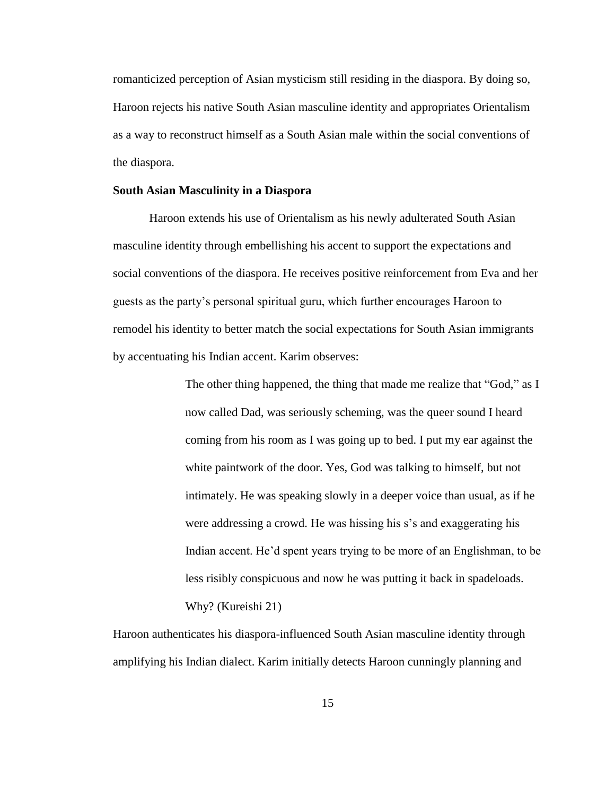romanticized perception of Asian mysticism still residing in the diaspora. By doing so, Haroon rejects his native South Asian masculine identity and appropriates Orientalism as a way to reconstruct himself as a South Asian male within the social conventions of the diaspora.

## **South Asian Masculinity in a Diaspora**

Haroon extends his use of Orientalism as his newly adulterated South Asian masculine identity through embellishing his accent to support the expectations and social conventions of the diaspora. He receives positive reinforcement from Eva and her guests as the party's personal spiritual guru, which further encourages Haroon to remodel his identity to better match the social expectations for South Asian immigrants by accentuating his Indian accent. Karim observes:

> The other thing happened, the thing that made me realize that "God," as I now called Dad, was seriously scheming, was the queer sound I heard coming from his room as I was going up to bed. I put my ear against the white paintwork of the door. Yes, God was talking to himself, but not intimately. He was speaking slowly in a deeper voice than usual, as if he were addressing a crowd. He was hissing his s's and exaggerating his Indian accent. He'd spent years trying to be more of an Englishman, to be less risibly conspicuous and now he was putting it back in spadeloads. Why? (Kureishi 21)

Haroon authenticates his diaspora-influenced South Asian masculine identity through amplifying his Indian dialect. Karim initially detects Haroon cunningly planning and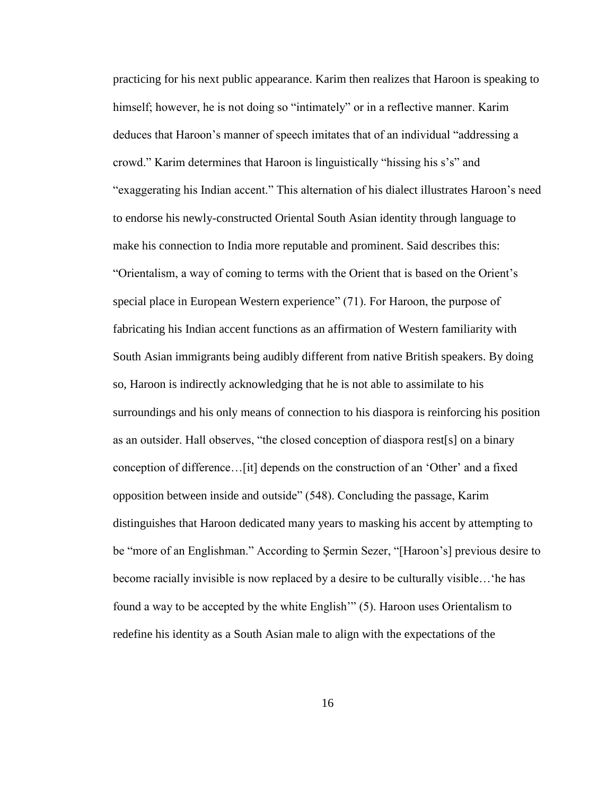practicing for his next public appearance. Karim then realizes that Haroon is speaking to himself; however, he is not doing so "intimately" or in a reflective manner. Karim deduces that Haroon's manner of speech imitates that of an individual "addressing a crowd." Karim determines that Haroon is linguistically "hissing his s's" and "exaggerating his Indian accent." This alternation of his dialect illustrates Haroon's need to endorse his newly-constructed Oriental South Asian identity through language to make his connection to India more reputable and prominent. Said describes this: "Orientalism, a way of coming to terms with the Orient that is based on the Orient's special place in European Western experience" (71). For Haroon, the purpose of fabricating his Indian accent functions as an affirmation of Western familiarity with South Asian immigrants being audibly different from native British speakers. By doing so, Haroon is indirectly acknowledging that he is not able to assimilate to his surroundings and his only means of connection to his diaspora is reinforcing his position as an outsider. Hall observes, "the closed conception of diaspora rest[s] on a binary conception of difference…[it] depends on the construction of an 'Other' and a fixed opposition between inside and outside" (548). Concluding the passage, Karim distinguishes that Haroon dedicated many years to masking his accent by attempting to be "more of an Englishman." According to Şermin Sezer, "[Haroon's] previous desire to become racially invisible is now replaced by a desire to be culturally visible…'he has found a way to be accepted by the white English'" (5). Haroon uses Orientalism to redefine his identity as a South Asian male to align with the expectations of the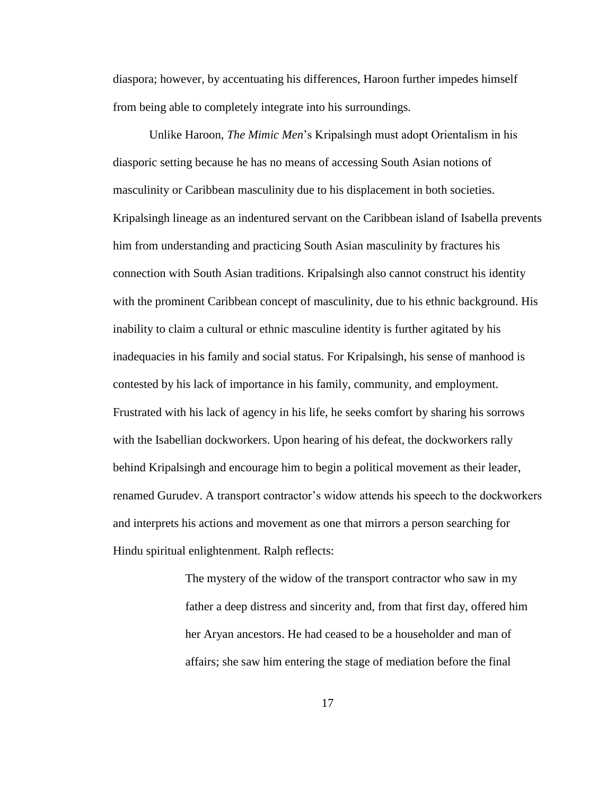diaspora; however, by accentuating his differences, Haroon further impedes himself from being able to completely integrate into his surroundings.

Unlike Haroon, *The Mimic Men*'s Kripalsingh must adopt Orientalism in his diasporic setting because he has no means of accessing South Asian notions of masculinity or Caribbean masculinity due to his displacement in both societies. Kripalsingh lineage as an indentured servant on the Caribbean island of Isabella prevents him from understanding and practicing South Asian masculinity by fractures his connection with South Asian traditions. Kripalsingh also cannot construct his identity with the prominent Caribbean concept of masculinity, due to his ethnic background. His inability to claim a cultural or ethnic masculine identity is further agitated by his inadequacies in his family and social status. For Kripalsingh, his sense of manhood is contested by his lack of importance in his family, community, and employment. Frustrated with his lack of agency in his life, he seeks comfort by sharing his sorrows with the Isabellian dockworkers. Upon hearing of his defeat, the dockworkers rally behind Kripalsingh and encourage him to begin a political movement as their leader, renamed Gurudev. A transport contractor's widow attends his speech to the dockworkers and interprets his actions and movement as one that mirrors a person searching for Hindu spiritual enlightenment. Ralph reflects:

> The mystery of the widow of the transport contractor who saw in my father a deep distress and sincerity and, from that first day, offered him her Aryan ancestors. He had ceased to be a householder and man of affairs; she saw him entering the stage of mediation before the final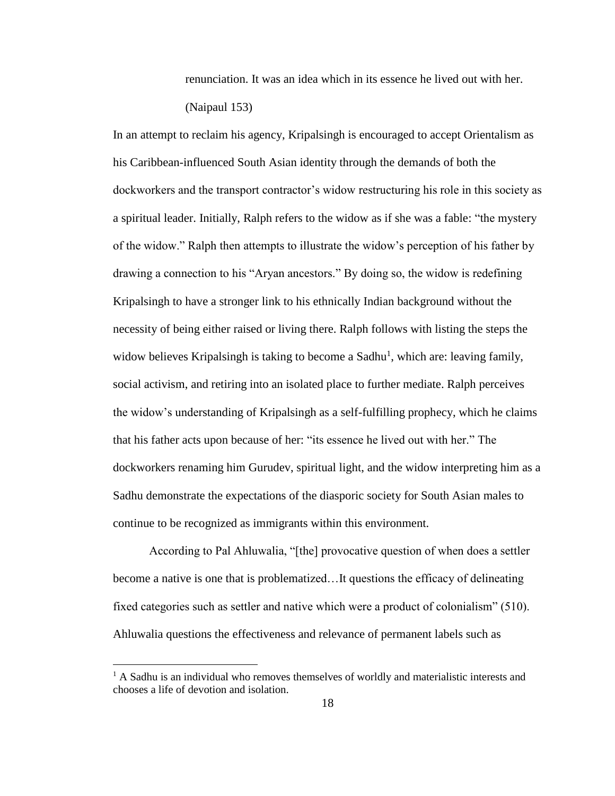renunciation. It was an idea which in its essence he lived out with her. (Naipaul 153)

In an attempt to reclaim his agency, Kripalsingh is encouraged to accept Orientalism as his Caribbean-influenced South Asian identity through the demands of both the dockworkers and the transport contractor's widow restructuring his role in this society as a spiritual leader. Initially, Ralph refers to the widow as if she was a fable: "the mystery of the widow." Ralph then attempts to illustrate the widow's perception of his father by drawing a connection to his "Aryan ancestors." By doing so, the widow is redefining Kripalsingh to have a stronger link to his ethnically Indian background without the necessity of being either raised or living there. Ralph follows with listing the steps the widow believes Kripalsingh is taking to become a Sadhu<sup>1</sup>, which are: leaving family, social activism, and retiring into an isolated place to further mediate. Ralph perceives the widow's understanding of Kripalsingh as a self-fulfilling prophecy, which he claims that his father acts upon because of her: "its essence he lived out with her." The dockworkers renaming him Gurudev, spiritual light, and the widow interpreting him as a Sadhu demonstrate the expectations of the diasporic society for South Asian males to continue to be recognized as immigrants within this environment.

According to Pal Ahluwalia, "[the] provocative question of when does a settler become a native is one that is problematized…It questions the efficacy of delineating fixed categories such as settler and native which were a product of colonialism" (510). Ahluwalia questions the effectiveness and relevance of permanent labels such as

 $\overline{a}$ 

 $<sup>1</sup>$  A Sadhu is an individual who removes themselves of worldly and materialistic interests and</sup> chooses a life of devotion and isolation.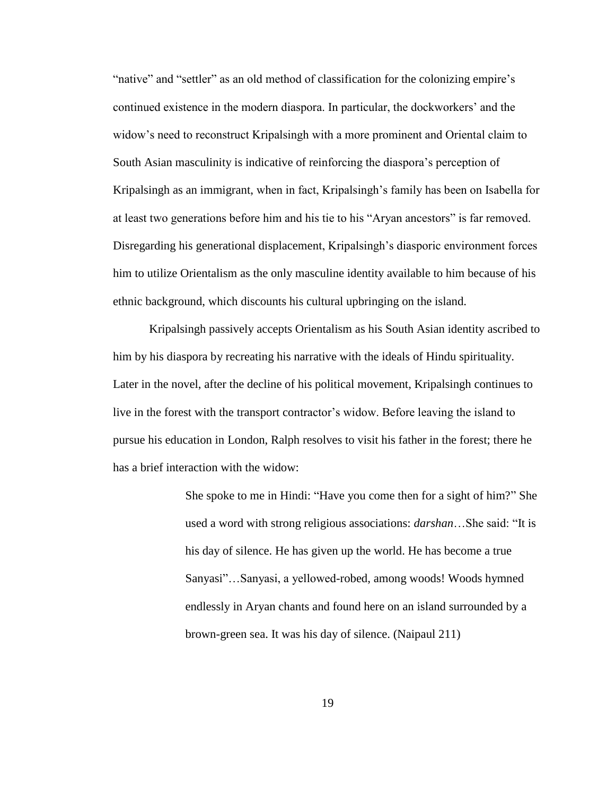"native" and "settler" as an old method of classification for the colonizing empire's continued existence in the modern diaspora. In particular, the dockworkers' and the widow's need to reconstruct Kripalsingh with a more prominent and Oriental claim to South Asian masculinity is indicative of reinforcing the diaspora's perception of Kripalsingh as an immigrant, when in fact, Kripalsingh's family has been on Isabella for at least two generations before him and his tie to his "Aryan ancestors" is far removed. Disregarding his generational displacement, Kripalsingh's diasporic environment forces him to utilize Orientalism as the only masculine identity available to him because of his ethnic background, which discounts his cultural upbringing on the island.

Kripalsingh passively accepts Orientalism as his South Asian identity ascribed to him by his diaspora by recreating his narrative with the ideals of Hindu spirituality. Later in the novel, after the decline of his political movement, Kripalsingh continues to live in the forest with the transport contractor's widow. Before leaving the island to pursue his education in London, Ralph resolves to visit his father in the forest; there he has a brief interaction with the widow:

> She spoke to me in Hindi: "Have you come then for a sight of him?" She used a word with strong religious associations: *darshan*…She said: "It is his day of silence. He has given up the world. He has become a true Sanyasi"…Sanyasi, a yellowed-robed, among woods! Woods hymned endlessly in Aryan chants and found here on an island surrounded by a brown-green sea. It was his day of silence. (Naipaul 211)

> > 19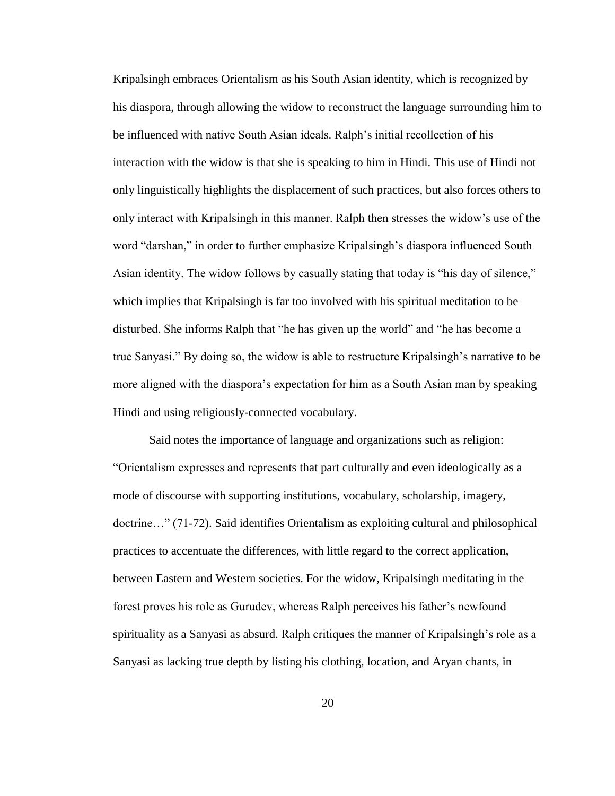Kripalsingh embraces Orientalism as his South Asian identity, which is recognized by his diaspora, through allowing the widow to reconstruct the language surrounding him to be influenced with native South Asian ideals. Ralph's initial recollection of his interaction with the widow is that she is speaking to him in Hindi. This use of Hindi not only linguistically highlights the displacement of such practices, but also forces others to only interact with Kripalsingh in this manner. Ralph then stresses the widow's use of the word "darshan," in order to further emphasize Kripalsingh's diaspora influenced South Asian identity. The widow follows by casually stating that today is "his day of silence," which implies that Kripalsingh is far too involved with his spiritual meditation to be disturbed. She informs Ralph that "he has given up the world" and "he has become a true Sanyasi." By doing so, the widow is able to restructure Kripalsingh's narrative to be more aligned with the diaspora's expectation for him as a South Asian man by speaking Hindi and using religiously-connected vocabulary.

Said notes the importance of language and organizations such as religion: "Orientalism expresses and represents that part culturally and even ideologically as a mode of discourse with supporting institutions, vocabulary, scholarship, imagery, doctrine…" (71-72). Said identifies Orientalism as exploiting cultural and philosophical practices to accentuate the differences, with little regard to the correct application, between Eastern and Western societies. For the widow, Kripalsingh meditating in the forest proves his role as Gurudev, whereas Ralph perceives his father's newfound spirituality as a Sanyasi as absurd. Ralph critiques the manner of Kripalsingh's role as a Sanyasi as lacking true depth by listing his clothing, location, and Aryan chants, in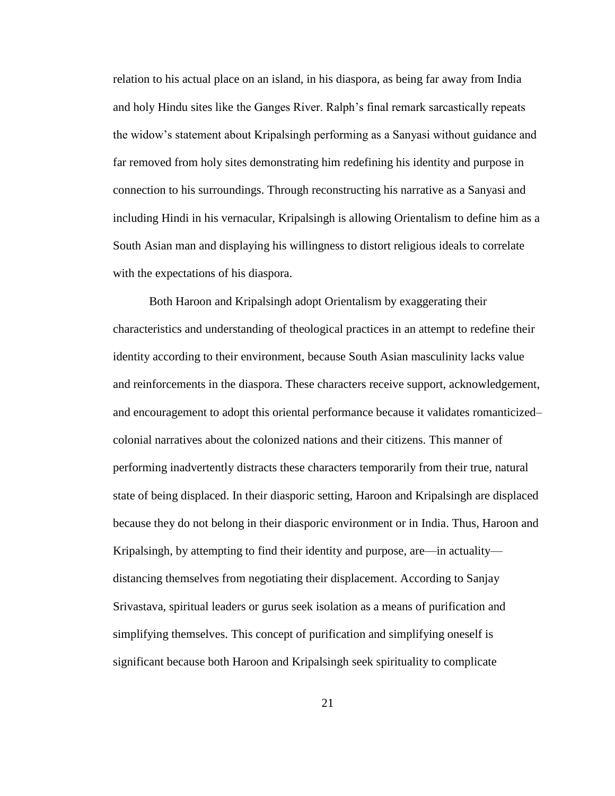relation to his actual place on an island, in his diaspora, as being far away from India and holy Hindu sites like the Ganges River. Ralph's final remark sarcastically repeats the widow's statement about Kripalsingh performing as a Sanyasi without guidance and far removed from holy sites demonstrating him redefining his identity and purpose in connection to his surroundings. Through reconstructing his narrative as a Sanyasi and including Hindi in his vernacular, Kripalsingh is allowing Orientalism to define him as a South Asian man and displaying his willingness to distort religious ideals to correlate with the expectations of his diaspora.

Both Haroon and Kripalsingh adopt Orientalism by exaggerating their characteristics and understanding of theological practices in an attempt to redefine their identity according to their environment, because South Asian masculinity lacks value and reinforcements in the diaspora. These characters receive support, acknowledgement, and encouragement to adopt this oriental performance because it validates romanticized– colonial narratives about the colonized nations and their citizens. This manner of performing inadvertently distracts these characters temporarily from their true, natural state of being displaced. In their diasporic setting, Haroon and Kripalsingh are displaced because they do not belong in their diasporic environment or in India. Thus, Haroon and Kripalsingh, by attempting to find their identity and purpose, are—in actuality distancing themselves from negotiating their displacement. According to Sanjay Srivastava, spiritual leaders or gurus seek isolation as a means of purification and simplifying themselves. This concept of purification and simplifying oneself is significant because both Haroon and Kripalsingh seek spirituality to complicate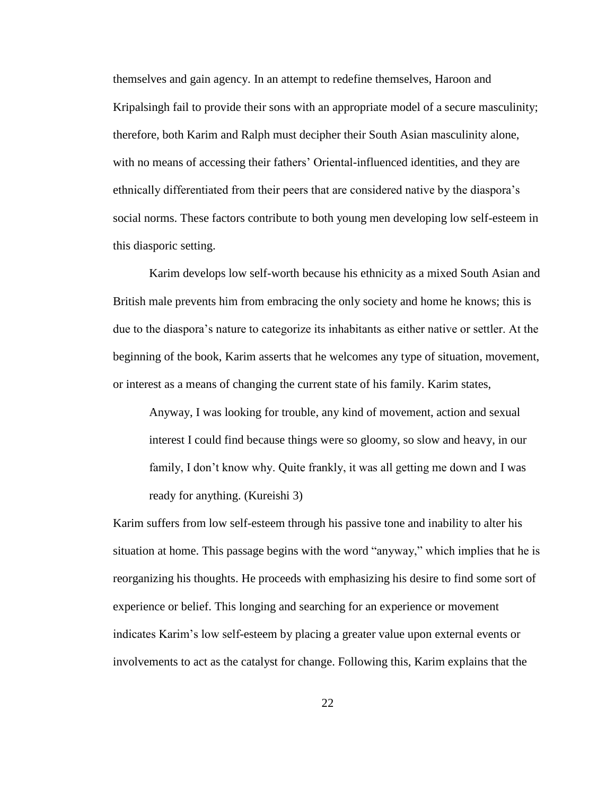themselves and gain agency. In an attempt to redefine themselves, Haroon and Kripalsingh fail to provide their sons with an appropriate model of a secure masculinity; therefore, both Karim and Ralph must decipher their South Asian masculinity alone, with no means of accessing their fathers' Oriental-influenced identities, and they are ethnically differentiated from their peers that are considered native by the diaspora's social norms. These factors contribute to both young men developing low self-esteem in this diasporic setting.

Karim develops low self-worth because his ethnicity as a mixed South Asian and British male prevents him from embracing the only society and home he knows; this is due to the diaspora's nature to categorize its inhabitants as either native or settler. At the beginning of the book, Karim asserts that he welcomes any type of situation, movement, or interest as a means of changing the current state of his family. Karim states,

Anyway, I was looking for trouble, any kind of movement, action and sexual interest I could find because things were so gloomy, so slow and heavy, in our family, I don't know why. Quite frankly, it was all getting me down and I was ready for anything. (Kureishi 3)

Karim suffers from low self-esteem through his passive tone and inability to alter his situation at home. This passage begins with the word "anyway," which implies that he is reorganizing his thoughts. He proceeds with emphasizing his desire to find some sort of experience or belief. This longing and searching for an experience or movement indicates Karim's low self-esteem by placing a greater value upon external events or involvements to act as the catalyst for change. Following this, Karim explains that the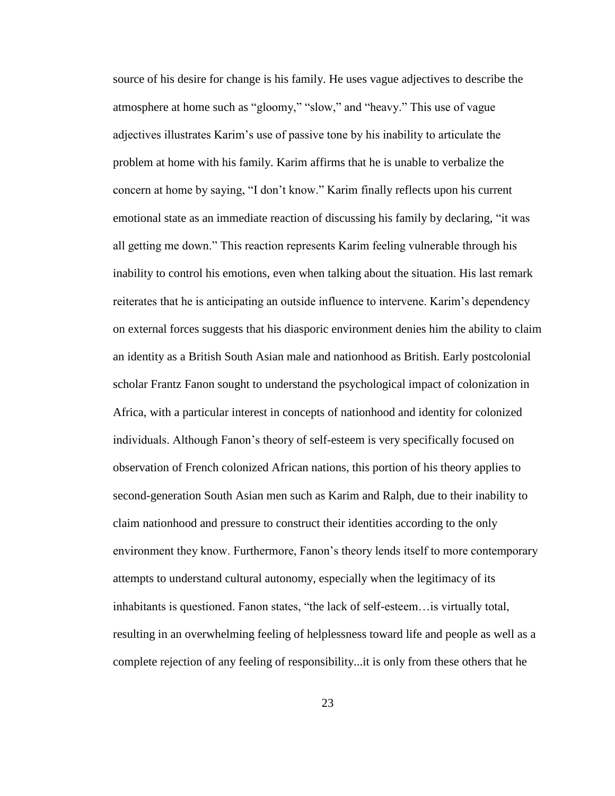source of his desire for change is his family. He uses vague adjectives to describe the atmosphere at home such as "gloomy," "slow," and "heavy." This use of vague adjectives illustrates Karim's use of passive tone by his inability to articulate the problem at home with his family. Karim affirms that he is unable to verbalize the concern at home by saying, "I don't know." Karim finally reflects upon his current emotional state as an immediate reaction of discussing his family by declaring, "it was all getting me down." This reaction represents Karim feeling vulnerable through his inability to control his emotions, even when talking about the situation. His last remark reiterates that he is anticipating an outside influence to intervene. Karim's dependency on external forces suggests that his diasporic environment denies him the ability to claim an identity as a British South Asian male and nationhood as British. Early postcolonial scholar Frantz Fanon sought to understand the psychological impact of colonization in Africa, with a particular interest in concepts of nationhood and identity for colonized individuals. Although Fanon's theory of self-esteem is very specifically focused on observation of French colonized African nations, this portion of his theory applies to second-generation South Asian men such as Karim and Ralph, due to their inability to claim nationhood and pressure to construct their identities according to the only environment they know. Furthermore, Fanon's theory lends itself to more contemporary attempts to understand cultural autonomy, especially when the legitimacy of its inhabitants is questioned. Fanon states, "the lack of self-esteem…is virtually total, resulting in an overwhelming feeling of helplessness toward life and people as well as a complete rejection of any feeling of responsibility...it is only from these others that he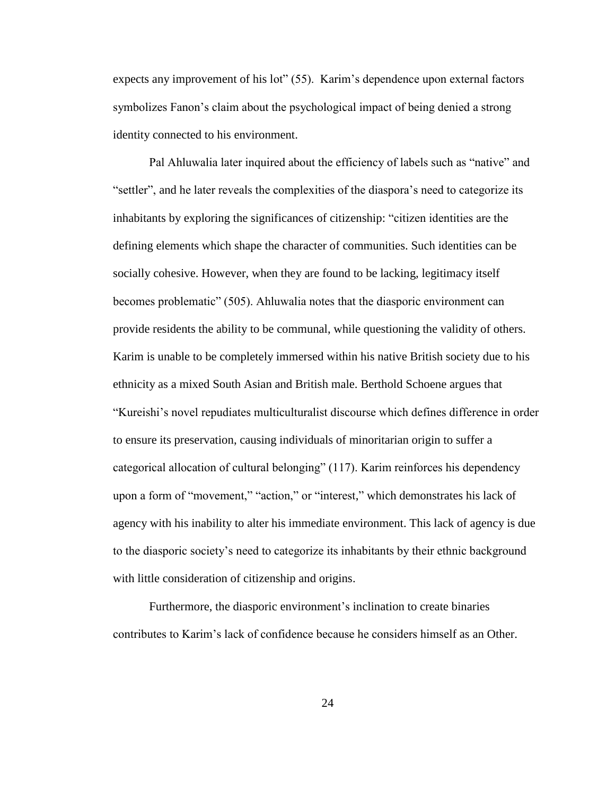expects any improvement of his lot" (55). Karim's dependence upon external factors symbolizes Fanon's claim about the psychological impact of being denied a strong identity connected to his environment.

Pal Ahluwalia later inquired about the efficiency of labels such as "native" and "settler", and he later reveals the complexities of the diaspora's need to categorize its inhabitants by exploring the significances of citizenship: "citizen identities are the defining elements which shape the character of communities. Such identities can be socially cohesive. However, when they are found to be lacking, legitimacy itself becomes problematic" (505). Ahluwalia notes that the diasporic environment can provide residents the ability to be communal, while questioning the validity of others. Karim is unable to be completely immersed within his native British society due to his ethnicity as a mixed South Asian and British male. Berthold Schoene argues that "Kureishi's novel repudiates multiculturalist discourse which defines difference in order to ensure its preservation, causing individuals of minoritarian origin to suffer a categorical allocation of cultural belonging" (117). Karim reinforces his dependency upon a form of "movement," "action," or "interest," which demonstrates his lack of agency with his inability to alter his immediate environment. This lack of agency is due to the diasporic society's need to categorize its inhabitants by their ethnic background with little consideration of citizenship and origins.

Furthermore, the diasporic environment's inclination to create binaries contributes to Karim's lack of confidence because he considers himself as an Other.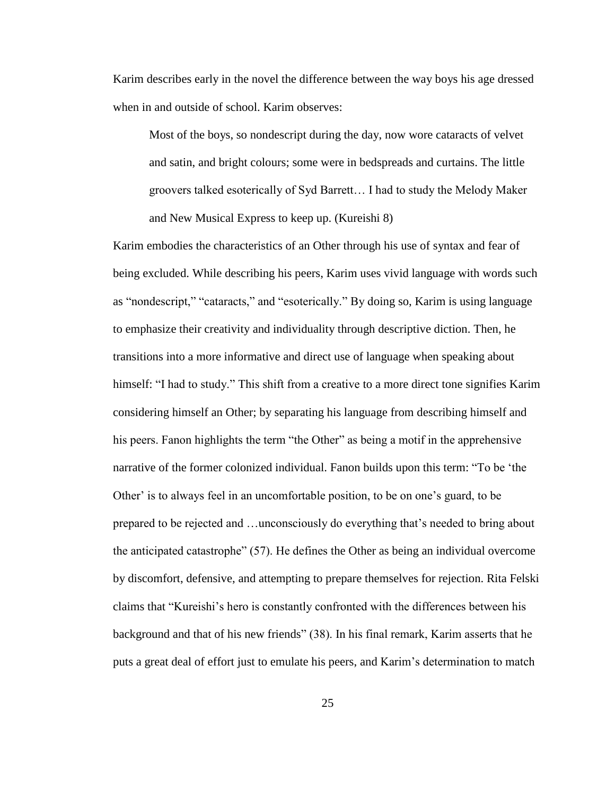Karim describes early in the novel the difference between the way boys his age dressed when in and outside of school. Karim observes:

Most of the boys, so nondescript during the day, now wore cataracts of velvet and satin, and bright colours; some were in bedspreads and curtains. The little groovers talked esoterically of Syd Barrett… I had to study the Melody Maker and New Musical Express to keep up. (Kureishi 8)

Karim embodies the characteristics of an Other through his use of syntax and fear of being excluded. While describing his peers, Karim uses vivid language with words such as "nondescript," "cataracts," and "esoterically." By doing so, Karim is using language to emphasize their creativity and individuality through descriptive diction. Then, he transitions into a more informative and direct use of language when speaking about himself: "I had to study." This shift from a creative to a more direct tone signifies Karim considering himself an Other; by separating his language from describing himself and his peers. Fanon highlights the term "the Other" as being a motif in the apprehensive narrative of the former colonized individual. Fanon builds upon this term: "To be 'the Other' is to always feel in an uncomfortable position, to be on one's guard, to be prepared to be rejected and …unconsciously do everything that's needed to bring about the anticipated catastrophe" (57). He defines the Other as being an individual overcome by discomfort, defensive, and attempting to prepare themselves for rejection. Rita Felski claims that "Kureishi's hero is constantly confronted with the differences between his background and that of his new friends" (38). In his final remark, Karim asserts that he puts a great deal of effort just to emulate his peers, and Karim's determination to match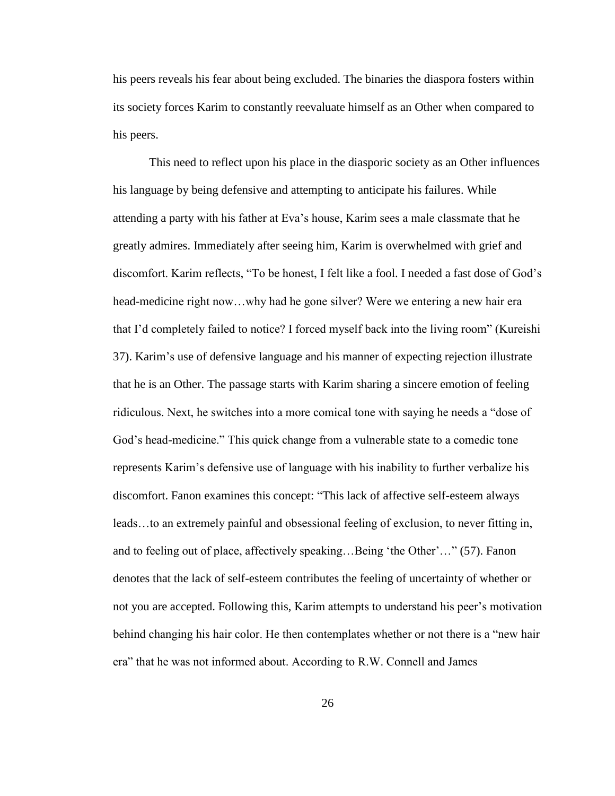his peers reveals his fear about being excluded. The binaries the diaspora fosters within its society forces Karim to constantly reevaluate himself as an Other when compared to his peers.

This need to reflect upon his place in the diasporic society as an Other influences his language by being defensive and attempting to anticipate his failures. While attending a party with his father at Eva's house, Karim sees a male classmate that he greatly admires. Immediately after seeing him, Karim is overwhelmed with grief and discomfort. Karim reflects, "To be honest, I felt like a fool. I needed a fast dose of God's head-medicine right now…why had he gone silver? Were we entering a new hair era that I'd completely failed to notice? I forced myself back into the living room" (Kureishi 37). Karim's use of defensive language and his manner of expecting rejection illustrate that he is an Other. The passage starts with Karim sharing a sincere emotion of feeling ridiculous. Next, he switches into a more comical tone with saying he needs a "dose of God's head-medicine." This quick change from a vulnerable state to a comedic tone represents Karim's defensive use of language with his inability to further verbalize his discomfort. Fanon examines this concept: "This lack of affective self-esteem always leads…to an extremely painful and obsessional feeling of exclusion, to never fitting in, and to feeling out of place, affectively speaking…Being 'the Other'…" (57). Fanon denotes that the lack of self-esteem contributes the feeling of uncertainty of whether or not you are accepted. Following this, Karim attempts to understand his peer's motivation behind changing his hair color. He then contemplates whether or not there is a "new hair era" that he was not informed about. According to R.W. Connell and James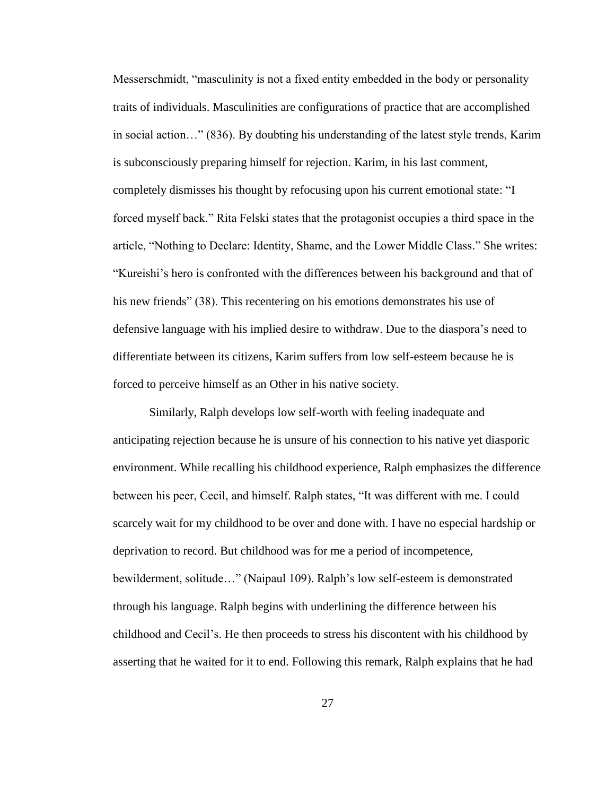Messerschmidt, "masculinity is not a fixed entity embedded in the body or personality traits of individuals. Masculinities are configurations of practice that are accomplished in social action…" (836). By doubting his understanding of the latest style trends, Karim is subconsciously preparing himself for rejection. Karim, in his last comment, completely dismisses his thought by refocusing upon his current emotional state: "I forced myself back." Rita Felski states that the protagonist occupies a third space in the article, "Nothing to Declare: Identity, Shame, and the Lower Middle Class." She writes: "Kureishi's hero is confronted with the differences between his background and that of his new friends" (38). This recentering on his emotions demonstrates his use of defensive language with his implied desire to withdraw. Due to the diaspora's need to differentiate between its citizens, Karim suffers from low self-esteem because he is forced to perceive himself as an Other in his native society.

Similarly, Ralph develops low self-worth with feeling inadequate and anticipating rejection because he is unsure of his connection to his native yet diasporic environment. While recalling his childhood experience, Ralph emphasizes the difference between his peer, Cecil, and himself. Ralph states, "It was different with me. I could scarcely wait for my childhood to be over and done with. I have no especial hardship or deprivation to record. But childhood was for me a period of incompetence, bewilderment, solitude…" (Naipaul 109). Ralph's low self-esteem is demonstrated through his language. Ralph begins with underlining the difference between his childhood and Cecil's. He then proceeds to stress his discontent with his childhood by asserting that he waited for it to end. Following this remark, Ralph explains that he had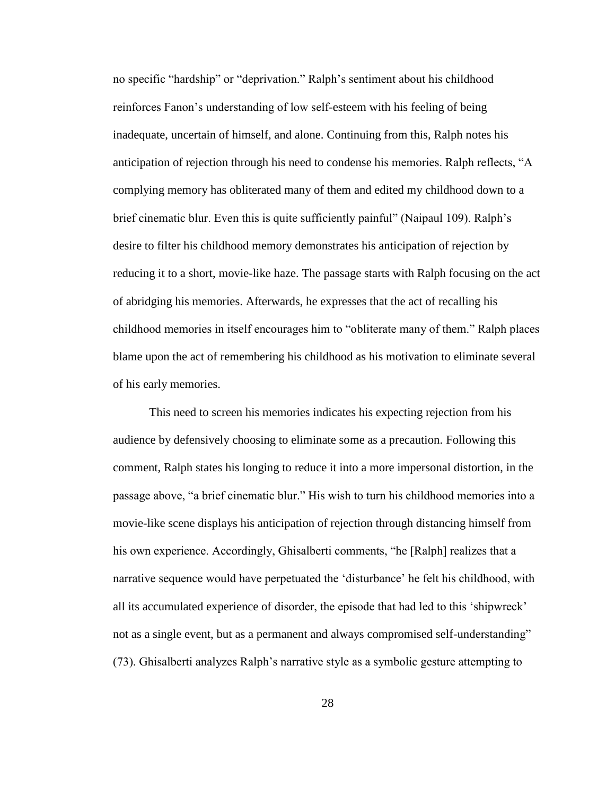no specific "hardship" or "deprivation." Ralph's sentiment about his childhood reinforces Fanon's understanding of low self-esteem with his feeling of being inadequate, uncertain of himself, and alone. Continuing from this, Ralph notes his anticipation of rejection through his need to condense his memories. Ralph reflects, "A complying memory has obliterated many of them and edited my childhood down to a brief cinematic blur. Even this is quite sufficiently painful" (Naipaul 109). Ralph's desire to filter his childhood memory demonstrates his anticipation of rejection by reducing it to a short, movie-like haze. The passage starts with Ralph focusing on the act of abridging his memories. Afterwards, he expresses that the act of recalling his childhood memories in itself encourages him to "obliterate many of them." Ralph places blame upon the act of remembering his childhood as his motivation to eliminate several of his early memories.

This need to screen his memories indicates his expecting rejection from his audience by defensively choosing to eliminate some as a precaution. Following this comment, Ralph states his longing to reduce it into a more impersonal distortion, in the passage above, "a brief cinematic blur." His wish to turn his childhood memories into a movie-like scene displays his anticipation of rejection through distancing himself from his own experience. Accordingly, Ghisalberti comments, "he [Ralph] realizes that a narrative sequence would have perpetuated the 'disturbance' he felt his childhood, with all its accumulated experience of disorder, the episode that had led to this 'shipwreck' not as a single event, but as a permanent and always compromised self-understanding" (73). Ghisalberti analyzes Ralph's narrative style as a symbolic gesture attempting to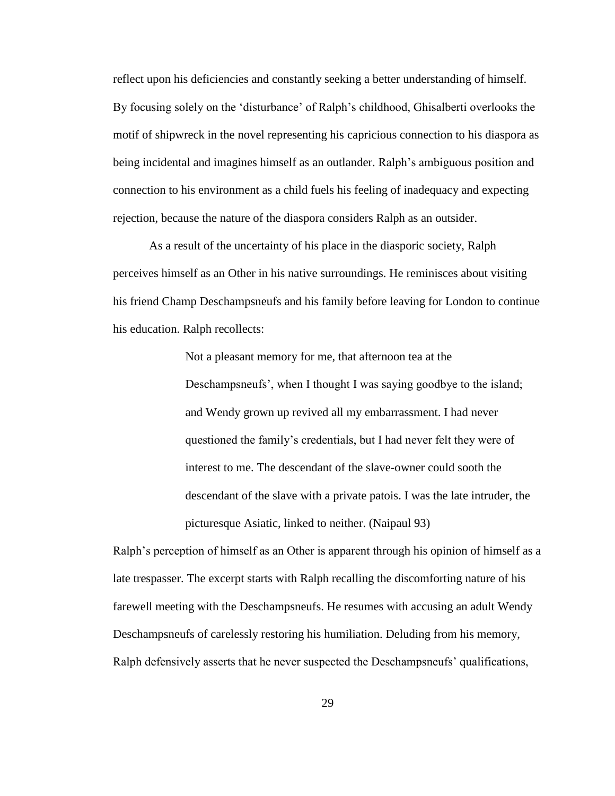reflect upon his deficiencies and constantly seeking a better understanding of himself. By focusing solely on the 'disturbance' of Ralph's childhood, Ghisalberti overlooks the motif of shipwreck in the novel representing his capricious connection to his diaspora as being incidental and imagines himself as an outlander. Ralph's ambiguous position and connection to his environment as a child fuels his feeling of inadequacy and expecting rejection, because the nature of the diaspora considers Ralph as an outsider.

As a result of the uncertainty of his place in the diasporic society, Ralph perceives himself as an Other in his native surroundings. He reminisces about visiting his friend Champ Deschampsneufs and his family before leaving for London to continue his education. Ralph recollects:

> Not a pleasant memory for me, that afternoon tea at the Deschampsneufs', when I thought I was saying goodbye to the island; and Wendy grown up revived all my embarrassment. I had never questioned the family's credentials, but I had never felt they were of interest to me. The descendant of the slave-owner could sooth the descendant of the slave with a private patois. I was the late intruder, the picturesque Asiatic, linked to neither. (Naipaul 93)

Ralph's perception of himself as an Other is apparent through his opinion of himself as a late trespasser. The excerpt starts with Ralph recalling the discomforting nature of his farewell meeting with the Deschampsneufs. He resumes with accusing an adult Wendy Deschampsneufs of carelessly restoring his humiliation. Deluding from his memory, Ralph defensively asserts that he never suspected the Deschampsneufs' qualifications,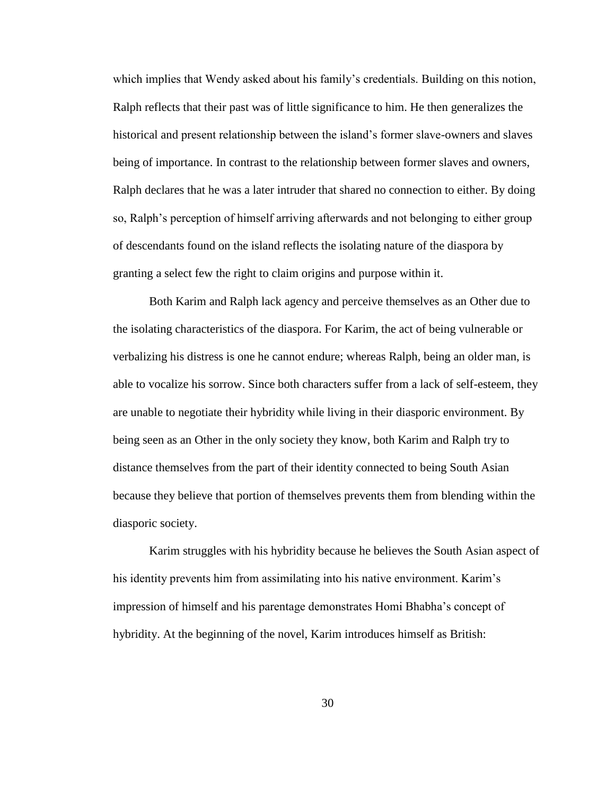which implies that Wendy asked about his family's credentials. Building on this notion, Ralph reflects that their past was of little significance to him. He then generalizes the historical and present relationship between the island's former slave-owners and slaves being of importance. In contrast to the relationship between former slaves and owners, Ralph declares that he was a later intruder that shared no connection to either. By doing so, Ralph's perception of himself arriving afterwards and not belonging to either group of descendants found on the island reflects the isolating nature of the diaspora by granting a select few the right to claim origins and purpose within it.

Both Karim and Ralph lack agency and perceive themselves as an Other due to the isolating characteristics of the diaspora. For Karim, the act of being vulnerable or verbalizing his distress is one he cannot endure; whereas Ralph, being an older man, is able to vocalize his sorrow. Since both characters suffer from a lack of self-esteem, they are unable to negotiate their hybridity while living in their diasporic environment. By being seen as an Other in the only society they know, both Karim and Ralph try to distance themselves from the part of their identity connected to being South Asian because they believe that portion of themselves prevents them from blending within the diasporic society.

Karim struggles with his hybridity because he believes the South Asian aspect of his identity prevents him from assimilating into his native environment. Karim's impression of himself and his parentage demonstrates Homi Bhabha's concept of hybridity. At the beginning of the novel, Karim introduces himself as British: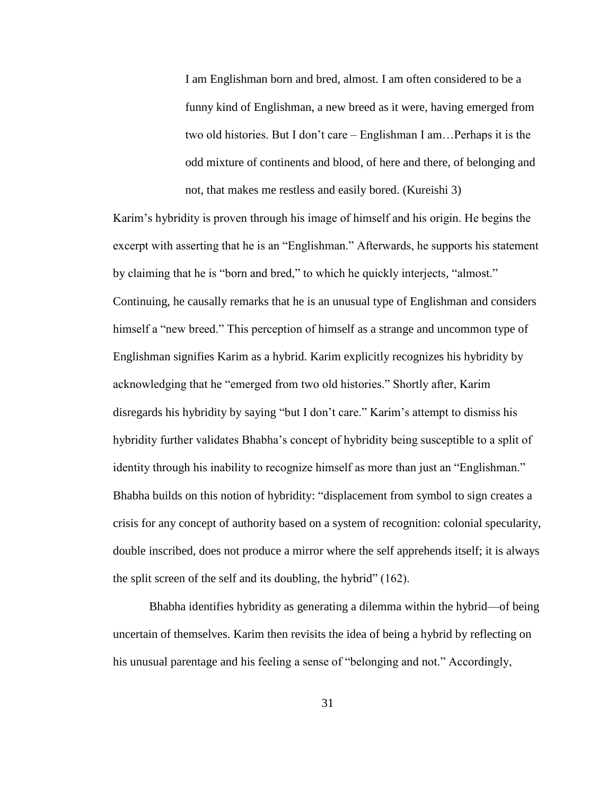I am Englishman born and bred, almost. I am often considered to be a funny kind of Englishman, a new breed as it were, having emerged from two old histories. But I don't care – Englishman I am…Perhaps it is the odd mixture of continents and blood, of here and there, of belonging and not, that makes me restless and easily bored. (Kureishi 3)

Karim's hybridity is proven through his image of himself and his origin. He begins the excerpt with asserting that he is an "Englishman." Afterwards, he supports his statement by claiming that he is "born and bred," to which he quickly interjects, "almost." Continuing, he causally remarks that he is an unusual type of Englishman and considers himself a "new breed." This perception of himself as a strange and uncommon type of Englishman signifies Karim as a hybrid. Karim explicitly recognizes his hybridity by acknowledging that he "emerged from two old histories." Shortly after, Karim disregards his hybridity by saying "but I don't care." Karim's attempt to dismiss his hybridity further validates Bhabha's concept of hybridity being susceptible to a split of identity through his inability to recognize himself as more than just an "Englishman." Bhabha builds on this notion of hybridity: "displacement from symbol to sign creates a crisis for any concept of authority based on a system of recognition: colonial specularity, double inscribed, does not produce a mirror where the self apprehends itself; it is always the split screen of the self and its doubling, the hybrid" (162).

Bhabha identifies hybridity as generating a dilemma within the hybrid—of being uncertain of themselves. Karim then revisits the idea of being a hybrid by reflecting on his unusual parentage and his feeling a sense of "belonging and not." Accordingly,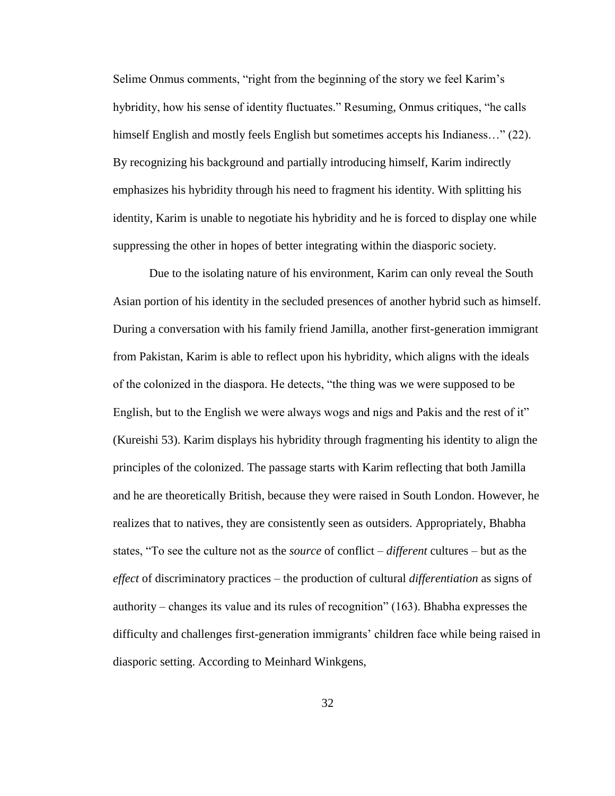Selime Onmus comments, "right from the beginning of the story we feel Karim's hybridity, how his sense of identity fluctuates." Resuming, Onmus critiques, "he calls himself English and mostly feels English but sometimes accepts his Indianess…" (22). By recognizing his background and partially introducing himself, Karim indirectly emphasizes his hybridity through his need to fragment his identity. With splitting his identity, Karim is unable to negotiate his hybridity and he is forced to display one while suppressing the other in hopes of better integrating within the diasporic society.

Due to the isolating nature of his environment, Karim can only reveal the South Asian portion of his identity in the secluded presences of another hybrid such as himself. During a conversation with his family friend Jamilla, another first-generation immigrant from Pakistan, Karim is able to reflect upon his hybridity, which aligns with the ideals of the colonized in the diaspora. He detects, "the thing was we were supposed to be English, but to the English we were always wogs and nigs and Pakis and the rest of it" (Kureishi 53). Karim displays his hybridity through fragmenting his identity to align the principles of the colonized. The passage starts with Karim reflecting that both Jamilla and he are theoretically British, because they were raised in South London. However, he realizes that to natives, they are consistently seen as outsiders. Appropriately, Bhabha states, "To see the culture not as the *source* of conflict – *different* cultures – but as the *effect* of discriminatory practices – the production of cultural *differentiation* as signs of authority – changes its value and its rules of recognition" (163). Bhabha expresses the difficulty and challenges first-generation immigrants' children face while being raised in diasporic setting. According to Meinhard Winkgens,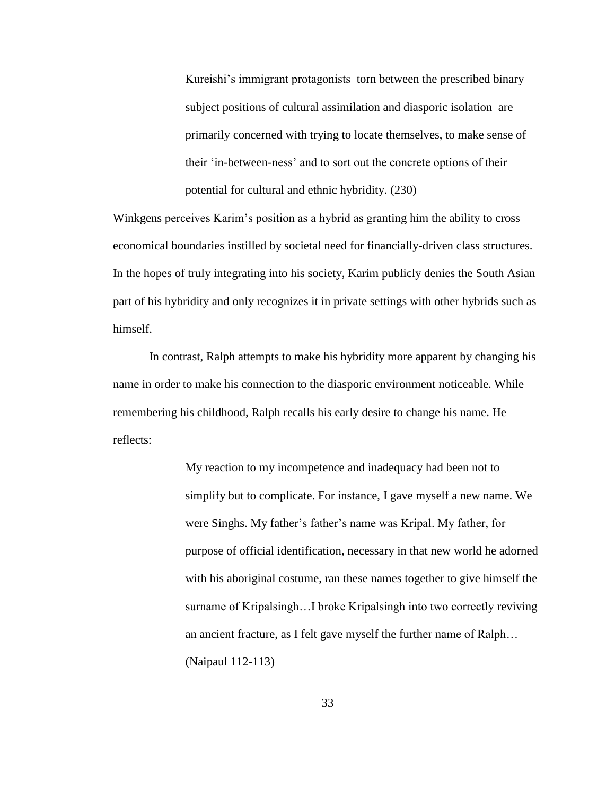Kureishi's immigrant protagonists–torn between the prescribed binary subject positions of cultural assimilation and diasporic isolation–are primarily concerned with trying to locate themselves, to make sense of their 'in-between-ness' and to sort out the concrete options of their potential for cultural and ethnic hybridity. (230)

Winkgens perceives Karim's position as a hybrid as granting him the ability to cross economical boundaries instilled by societal need for financially-driven class structures. In the hopes of truly integrating into his society, Karim publicly denies the South Asian part of his hybridity and only recognizes it in private settings with other hybrids such as himself.

In contrast, Ralph attempts to make his hybridity more apparent by changing his name in order to make his connection to the diasporic environment noticeable. While remembering his childhood, Ralph recalls his early desire to change his name. He reflects:

> My reaction to my incompetence and inadequacy had been not to simplify but to complicate. For instance, I gave myself a new name. We were Singhs. My father's father's name was Kripal. My father, for purpose of official identification, necessary in that new world he adorned with his aboriginal costume, ran these names together to give himself the surname of Kripalsingh…I broke Kripalsingh into two correctly reviving an ancient fracture, as I felt gave myself the further name of Ralph… (Naipaul 112-113)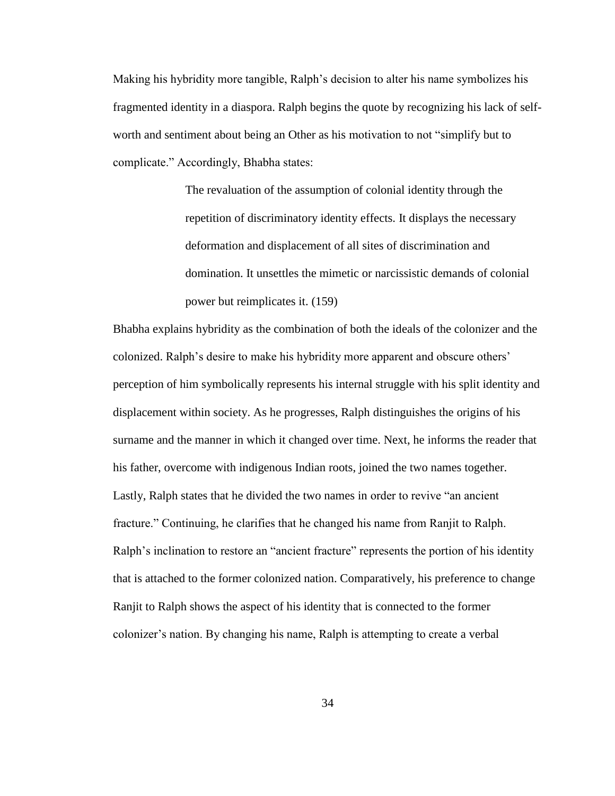Making his hybridity more tangible, Ralph's decision to alter his name symbolizes his fragmented identity in a diaspora. Ralph begins the quote by recognizing his lack of selfworth and sentiment about being an Other as his motivation to not "simplify but to complicate." Accordingly, Bhabha states:

> The revaluation of the assumption of colonial identity through the repetition of discriminatory identity effects. It displays the necessary deformation and displacement of all sites of discrimination and domination. It unsettles the mimetic or narcissistic demands of colonial power but reimplicates it. (159)

Bhabha explains hybridity as the combination of both the ideals of the colonizer and the colonized. Ralph's desire to make his hybridity more apparent and obscure others' perception of him symbolically represents his internal struggle with his split identity and displacement within society. As he progresses, Ralph distinguishes the origins of his surname and the manner in which it changed over time. Next, he informs the reader that his father, overcome with indigenous Indian roots, joined the two names together. Lastly, Ralph states that he divided the two names in order to revive "an ancient fracture." Continuing, he clarifies that he changed his name from Ranjit to Ralph. Ralph's inclination to restore an "ancient fracture" represents the portion of his identity that is attached to the former colonized nation. Comparatively, his preference to change Ranjit to Ralph shows the aspect of his identity that is connected to the former colonizer's nation. By changing his name, Ralph is attempting to create a verbal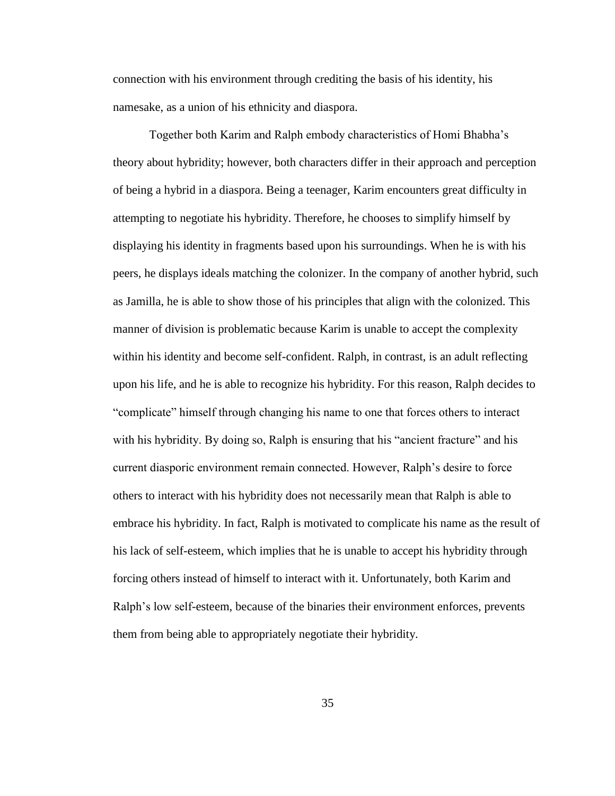connection with his environment through crediting the basis of his identity, his namesake, as a union of his ethnicity and diaspora.

Together both Karim and Ralph embody characteristics of Homi Bhabha's theory about hybridity; however, both characters differ in their approach and perception of being a hybrid in a diaspora. Being a teenager, Karim encounters great difficulty in attempting to negotiate his hybridity. Therefore, he chooses to simplify himself by displaying his identity in fragments based upon his surroundings. When he is with his peers, he displays ideals matching the colonizer. In the company of another hybrid, such as Jamilla, he is able to show those of his principles that align with the colonized. This manner of division is problematic because Karim is unable to accept the complexity within his identity and become self-confident. Ralph, in contrast, is an adult reflecting upon his life, and he is able to recognize his hybridity. For this reason, Ralph decides to "complicate" himself through changing his name to one that forces others to interact with his hybridity. By doing so, Ralph is ensuring that his "ancient fracture" and his current diasporic environment remain connected. However, Ralph's desire to force others to interact with his hybridity does not necessarily mean that Ralph is able to embrace his hybridity. In fact, Ralph is motivated to complicate his name as the result of his lack of self-esteem, which implies that he is unable to accept his hybridity through forcing others instead of himself to interact with it. Unfortunately, both Karim and Ralph's low self-esteem, because of the binaries their environment enforces, prevents them from being able to appropriately negotiate their hybridity.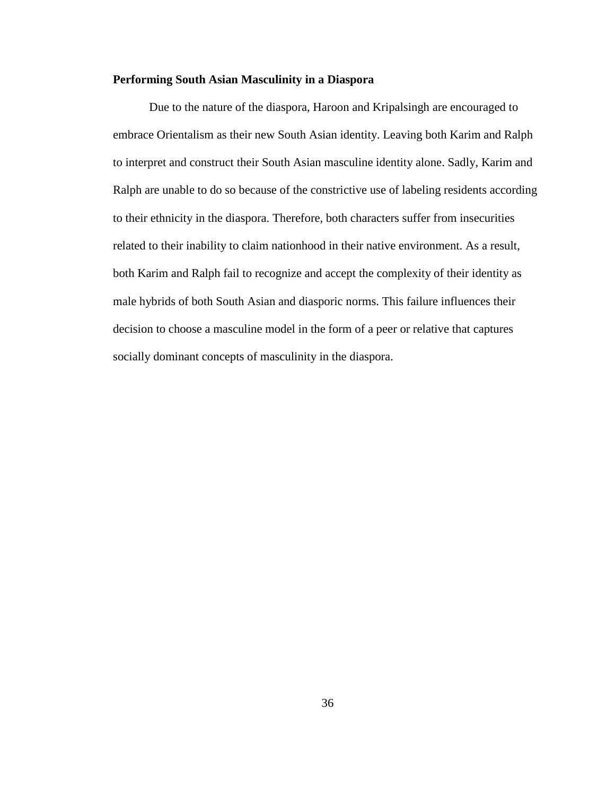# **Performing South Asian Masculinity in a Diaspora**

Due to the nature of the diaspora, Haroon and Kripalsingh are encouraged to embrace Orientalism as their new South Asian identity. Leaving both Karim and Ralph to interpret and construct their South Asian masculine identity alone. Sadly, Karim and Ralph are unable to do so because of the constrictive use of labeling residents according to their ethnicity in the diaspora. Therefore, both characters suffer from insecurities related to their inability to claim nationhood in their native environment. As a result, both Karim and Ralph fail to recognize and accept the complexity of their identity as male hybrids of both South Asian and diasporic norms. This failure influences their decision to choose a masculine model in the form of a peer or relative that captures socially dominant concepts of masculinity in the diaspora.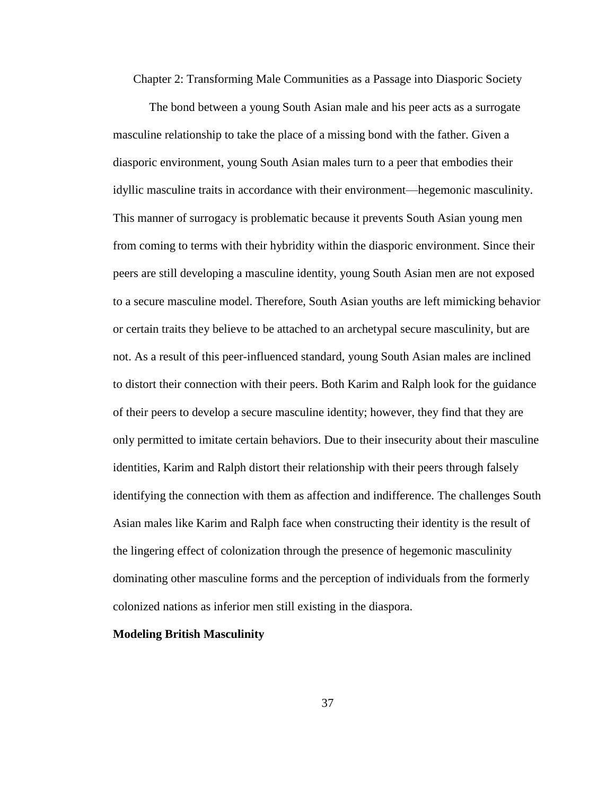Chapter 2: Transforming Male Communities as a Passage into Diasporic Society

The bond between a young South Asian male and his peer acts as a surrogate masculine relationship to take the place of a missing bond with the father. Given a diasporic environment, young South Asian males turn to a peer that embodies their idyllic masculine traits in accordance with their environment—hegemonic masculinity. This manner of surrogacy is problematic because it prevents South Asian young men from coming to terms with their hybridity within the diasporic environment. Since their peers are still developing a masculine identity, young South Asian men are not exposed to a secure masculine model. Therefore, South Asian youths are left mimicking behavior or certain traits they believe to be attached to an archetypal secure masculinity, but are not. As a result of this peer-influenced standard, young South Asian males are inclined to distort their connection with their peers. Both Karim and Ralph look for the guidance of their peers to develop a secure masculine identity; however, they find that they are only permitted to imitate certain behaviors. Due to their insecurity about their masculine identities, Karim and Ralph distort their relationship with their peers through falsely identifying the connection with them as affection and indifference. The challenges South Asian males like Karim and Ralph face when constructing their identity is the result of the lingering effect of colonization through the presence of hegemonic masculinity dominating other masculine forms and the perception of individuals from the formerly colonized nations as inferior men still existing in the diaspora.

### **Modeling British Masculinity**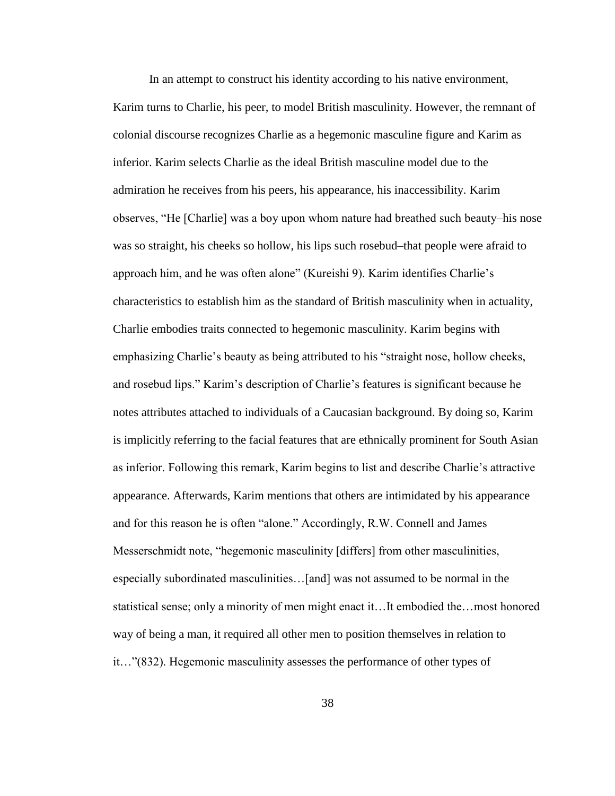In an attempt to construct his identity according to his native environment, Karim turns to Charlie, his peer, to model British masculinity. However, the remnant of colonial discourse recognizes Charlie as a hegemonic masculine figure and Karim as inferior. Karim selects Charlie as the ideal British masculine model due to the admiration he receives from his peers, his appearance, his inaccessibility. Karim observes, "He [Charlie] was a boy upon whom nature had breathed such beauty–his nose was so straight, his cheeks so hollow, his lips such rosebud–that people were afraid to approach him, and he was often alone" (Kureishi 9). Karim identifies Charlie's characteristics to establish him as the standard of British masculinity when in actuality, Charlie embodies traits connected to hegemonic masculinity. Karim begins with emphasizing Charlie's beauty as being attributed to his "straight nose, hollow cheeks, and rosebud lips." Karim's description of Charlie's features is significant because he notes attributes attached to individuals of a Caucasian background. By doing so, Karim is implicitly referring to the facial features that are ethnically prominent for South Asian as inferior. Following this remark, Karim begins to list and describe Charlie's attractive appearance. Afterwards, Karim mentions that others are intimidated by his appearance and for this reason he is often "alone." Accordingly, R.W. Connell and James Messerschmidt note, "hegemonic masculinity [differs] from other masculinities, especially subordinated masculinities…[and] was not assumed to be normal in the statistical sense; only a minority of men might enact it…It embodied the…most honored way of being a man, it required all other men to position themselves in relation to it…"(832). Hegemonic masculinity assesses the performance of other types of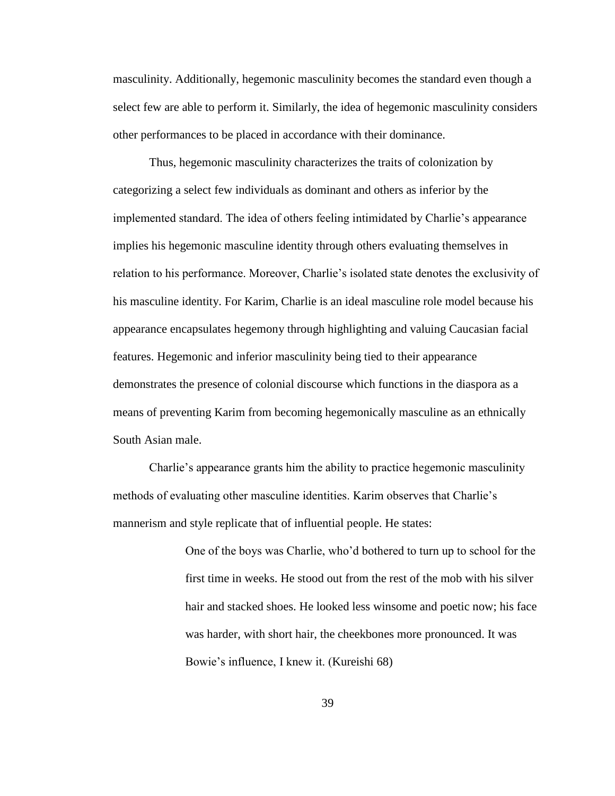masculinity. Additionally, hegemonic masculinity becomes the standard even though a select few are able to perform it. Similarly, the idea of hegemonic masculinity considers other performances to be placed in accordance with their dominance.

Thus, hegemonic masculinity characterizes the traits of colonization by categorizing a select few individuals as dominant and others as inferior by the implemented standard. The idea of others feeling intimidated by Charlie's appearance implies his hegemonic masculine identity through others evaluating themselves in relation to his performance. Moreover, Charlie's isolated state denotes the exclusivity of his masculine identity. For Karim, Charlie is an ideal masculine role model because his appearance encapsulates hegemony through highlighting and valuing Caucasian facial features. Hegemonic and inferior masculinity being tied to their appearance demonstrates the presence of colonial discourse which functions in the diaspora as a means of preventing Karim from becoming hegemonically masculine as an ethnically South Asian male.

Charlie's appearance grants him the ability to practice hegemonic masculinity methods of evaluating other masculine identities. Karim observes that Charlie's mannerism and style replicate that of influential people. He states:

> One of the boys was Charlie, who'd bothered to turn up to school for the first time in weeks. He stood out from the rest of the mob with his silver hair and stacked shoes. He looked less winsome and poetic now; his face was harder, with short hair, the cheekbones more pronounced. It was Bowie's influence, I knew it. (Kureishi 68)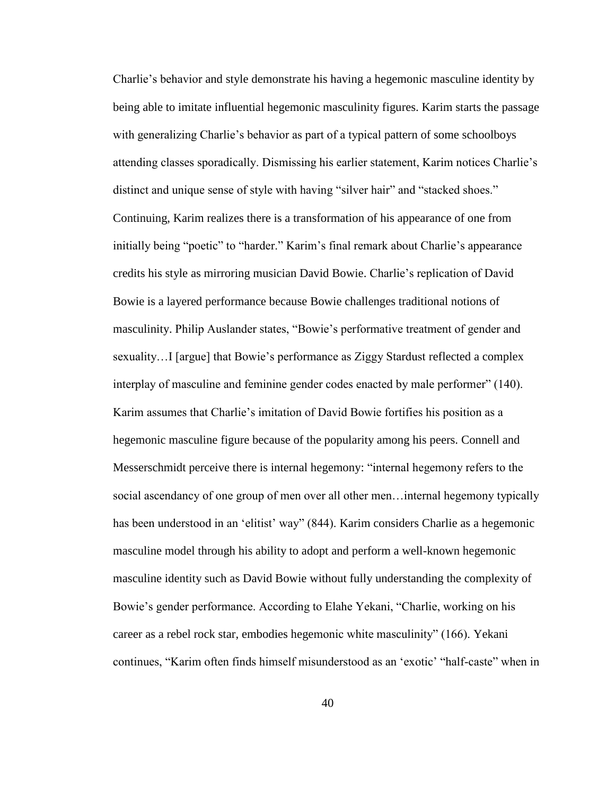Charlie's behavior and style demonstrate his having a hegemonic masculine identity by being able to imitate influential hegemonic masculinity figures. Karim starts the passage with generalizing Charlie's behavior as part of a typical pattern of some schoolboys attending classes sporadically. Dismissing his earlier statement, Karim notices Charlie's distinct and unique sense of style with having "silver hair" and "stacked shoes." Continuing, Karim realizes there is a transformation of his appearance of one from initially being "poetic" to "harder." Karim's final remark about Charlie's appearance credits his style as mirroring musician David Bowie. Charlie's replication of David Bowie is a layered performance because Bowie challenges traditional notions of masculinity. Philip Auslander states, "Bowie's performative treatment of gender and sexuality…I [argue] that Bowie's performance as Ziggy Stardust reflected a complex interplay of masculine and feminine gender codes enacted by male performer" (140). Karim assumes that Charlie's imitation of David Bowie fortifies his position as a hegemonic masculine figure because of the popularity among his peers. Connell and Messerschmidt perceive there is internal hegemony: "internal hegemony refers to the social ascendancy of one group of men over all other men…internal hegemony typically has been understood in an 'elitist' way" (844). Karim considers Charlie as a hegemonic masculine model through his ability to adopt and perform a well-known hegemonic masculine identity such as David Bowie without fully understanding the complexity of Bowie's gender performance. According to Elahe Yekani, "Charlie, working on his career as a rebel rock star, embodies hegemonic white masculinity" (166). Yekani continues, "Karim often finds himself misunderstood as an 'exotic' "half-caste" when in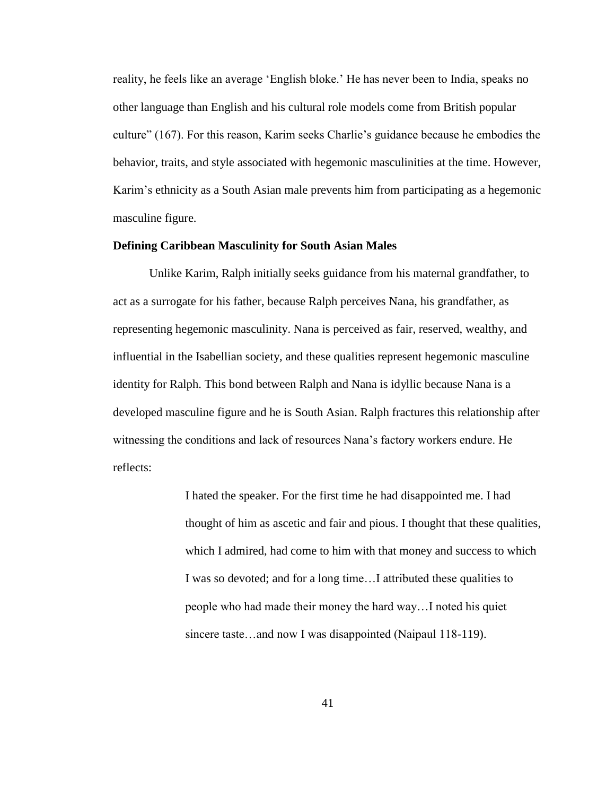reality, he feels like an average 'English bloke.' He has never been to India, speaks no other language than English and his cultural role models come from British popular culture" (167). For this reason, Karim seeks Charlie's guidance because he embodies the behavior, traits, and style associated with hegemonic masculinities at the time. However, Karim's ethnicity as a South Asian male prevents him from participating as a hegemonic masculine figure.

# **Defining Caribbean Masculinity for South Asian Males**

Unlike Karim, Ralph initially seeks guidance from his maternal grandfather, to act as a surrogate for his father, because Ralph perceives Nana, his grandfather, as representing hegemonic masculinity. Nana is perceived as fair, reserved, wealthy, and influential in the Isabellian society, and these qualities represent hegemonic masculine identity for Ralph. This bond between Ralph and Nana is idyllic because Nana is a developed masculine figure and he is South Asian. Ralph fractures this relationship after witnessing the conditions and lack of resources Nana's factory workers endure. He reflects:

> I hated the speaker. For the first time he had disappointed me. I had thought of him as ascetic and fair and pious. I thought that these qualities, which I admired, had come to him with that money and success to which I was so devoted; and for a long time…I attributed these qualities to people who had made their money the hard way…I noted his quiet sincere taste…and now I was disappointed (Naipaul 118-119).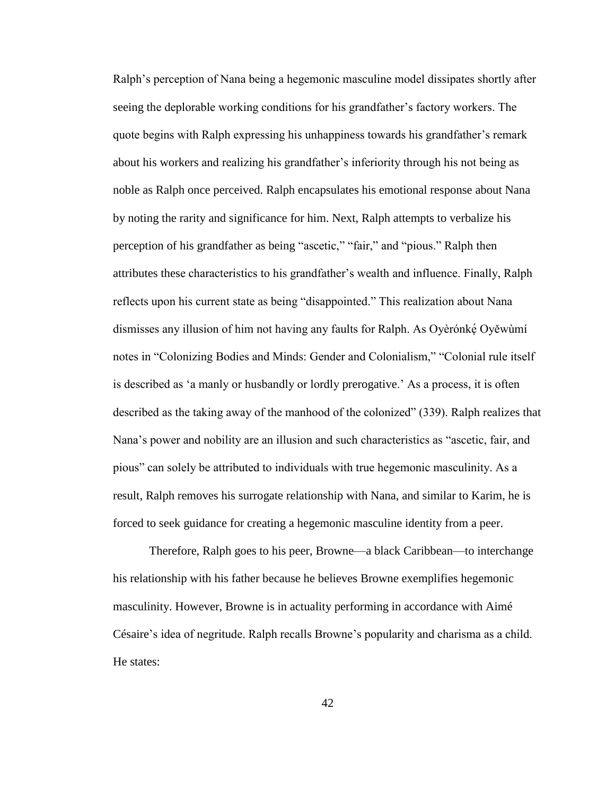Ralph's perception of Nana being a hegemonic masculine model dissipates shortly after seeing the deplorable working conditions for his grandfather's factory workers. The quote begins with Ralph expressing his unhappiness towards his grandfather's remark about his workers and realizing his grandfather's inferiority through his not being as noble as Ralph once perceived. Ralph encapsulates his emotional response about Nana by noting the rarity and significance for him. Next, Ralph attempts to verbalize his perception of his grandfather as being "ascetic," "fair," and "pious." Ralph then attributes these characteristics to his grandfather's wealth and influence. Finally, Ralph reflects upon his current state as being "disappointed." This realization about Nana dismisses any illusion of him not having any faults for Ralph. As Oyèrónkẹ́ Oyěwùmí notes in "Colonizing Bodies and Minds: Gender and Colonialism," "Colonial rule itself is described as 'a manly or husbandly or lordly prerogative.' As a process, it is often described as the taking away of the manhood of the colonized" (339). Ralph realizes that Nana's power and nobility are an illusion and such characteristics as "ascetic, fair, and pious" can solely be attributed to individuals with true hegemonic masculinity. As a result, Ralph removes his surrogate relationship with Nana, and similar to Karim, he is forced to seek guidance for creating a hegemonic masculine identity from a peer.

Therefore, Ralph goes to his peer, Browne—a black Caribbean—to interchange his relationship with his father because he believes Browne exemplifies hegemonic masculinity. However, Browne is in actuality performing in accordance with Aimé Césaire's idea of negritude. Ralph recalls Browne's popularity and charisma as a child. He states: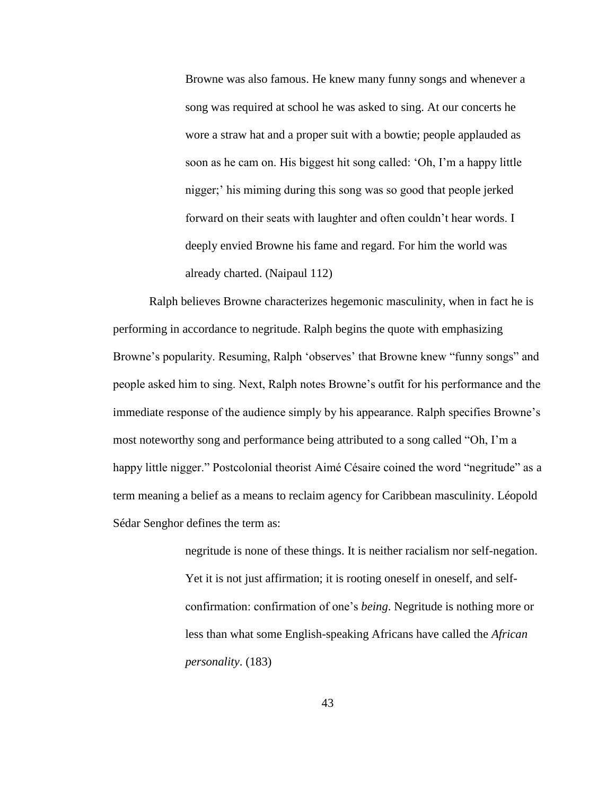Browne was also famous. He knew many funny songs and whenever a song was required at school he was asked to sing. At our concerts he wore a straw hat and a proper suit with a bowtie; people applauded as soon as he cam on. His biggest hit song called: 'Oh, I'm a happy little nigger;' his miming during this song was so good that people jerked forward on their seats with laughter and often couldn't hear words. I deeply envied Browne his fame and regard. For him the world was already charted. (Naipaul 112)

Ralph believes Browne characterizes hegemonic masculinity, when in fact he is performing in accordance to negritude. Ralph begins the quote with emphasizing Browne's popularity. Resuming, Ralph 'observes' that Browne knew "funny songs" and people asked him to sing. Next, Ralph notes Browne's outfit for his performance and the immediate response of the audience simply by his appearance. Ralph specifies Browne's most noteworthy song and performance being attributed to a song called "Oh, I'm a happy little nigger." Postcolonial theorist Aimé Césaire coined the word "negritude" as a term meaning a belief as a means to reclaim agency for Caribbean masculinity. Léopold Sédar Senghor defines the term as:

> negritude is none of these things. It is neither racialism nor self-negation. Yet it is not just affirmation; it is rooting oneself in oneself, and selfconfirmation: confirmation of one's *being*. Negritude is nothing more or less than what some English-speaking Africans have called the *African personality*. (183)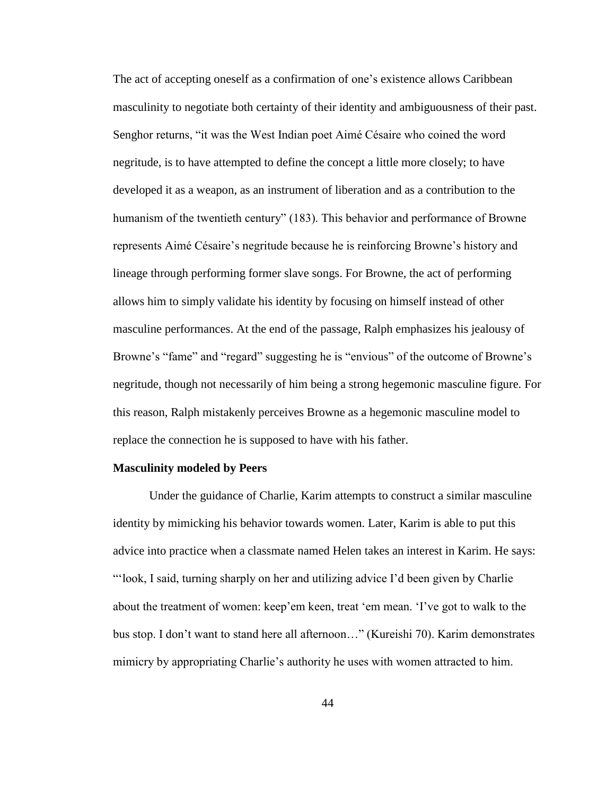The act of accepting oneself as a confirmation of one's existence allows Caribbean masculinity to negotiate both certainty of their identity and ambiguousness of their past. Senghor returns, "it was the West Indian poet Aimé Césaire who coined the word negritude, is to have attempted to define the concept a little more closely; to have developed it as a weapon, as an instrument of liberation and as a contribution to the humanism of the twentieth century" (183). This behavior and performance of Browne represents Aimé Césaire's negritude because he is reinforcing Browne's history and lineage through performing former slave songs. For Browne, the act of performing allows him to simply validate his identity by focusing on himself instead of other masculine performances. At the end of the passage, Ralph emphasizes his jealousy of Browne's "fame" and "regard" suggesting he is "envious" of the outcome of Browne's negritude, though not necessarily of him being a strong hegemonic masculine figure. For this reason, Ralph mistakenly perceives Browne as a hegemonic masculine model to replace the connection he is supposed to have with his father.

# **Masculinity modeled by Peers**

Under the guidance of Charlie, Karim attempts to construct a similar masculine identity by mimicking his behavior towards women. Later, Karim is able to put this advice into practice when a classmate named Helen takes an interest in Karim. He says: "'look, I said, turning sharply on her and utilizing advice I'd been given by Charlie about the treatment of women: keep'em keen, treat 'em mean. 'I've got to walk to the bus stop. I don't want to stand here all afternoon…" (Kureishi 70). Karim demonstrates mimicry by appropriating Charlie's authority he uses with women attracted to him.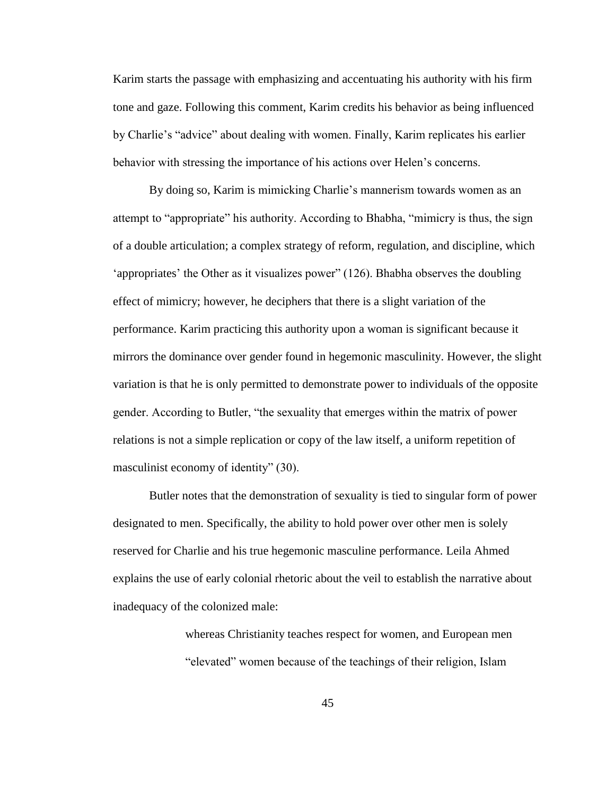Karim starts the passage with emphasizing and accentuating his authority with his firm tone and gaze. Following this comment, Karim credits his behavior as being influenced by Charlie's "advice" about dealing with women. Finally, Karim replicates his earlier behavior with stressing the importance of his actions over Helen's concerns.

By doing so, Karim is mimicking Charlie's mannerism towards women as an attempt to "appropriate" his authority. According to Bhabha, "mimicry is thus, the sign of a double articulation; a complex strategy of reform, regulation, and discipline, which 'appropriates' the Other as it visualizes power" (126). Bhabha observes the doubling effect of mimicry; however, he deciphers that there is a slight variation of the performance. Karim practicing this authority upon a woman is significant because it mirrors the dominance over gender found in hegemonic masculinity. However, the slight variation is that he is only permitted to demonstrate power to individuals of the opposite gender. According to Butler, "the sexuality that emerges within the matrix of power relations is not a simple replication or copy of the law itself, a uniform repetition of masculinist economy of identity" (30).

Butler notes that the demonstration of sexuality is tied to singular form of power designated to men. Specifically, the ability to hold power over other men is solely reserved for Charlie and his true hegemonic masculine performance. Leila Ahmed explains the use of early colonial rhetoric about the veil to establish the narrative about inadequacy of the colonized male:

> whereas Christianity teaches respect for women, and European men "elevated" women because of the teachings of their religion, Islam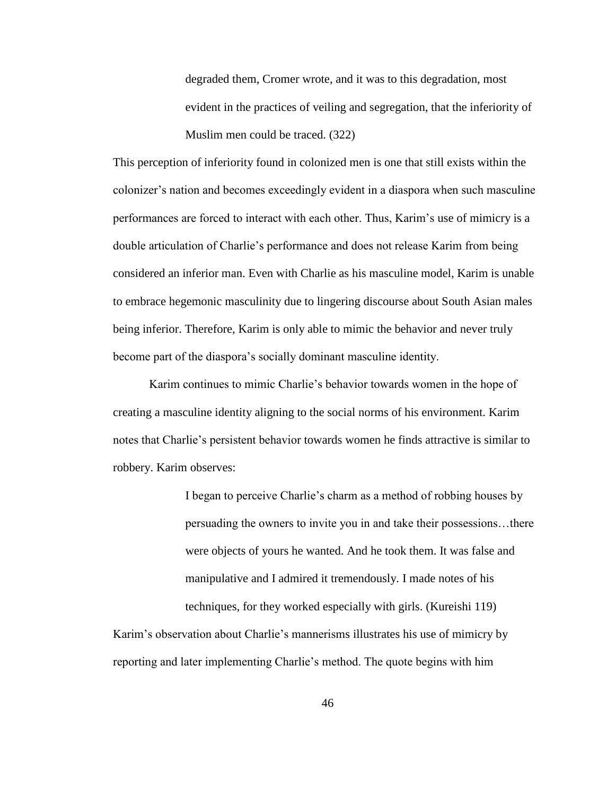degraded them, Cromer wrote, and it was to this degradation, most evident in the practices of veiling and segregation, that the inferiority of Muslim men could be traced. (322)

This perception of inferiority found in colonized men is one that still exists within the colonizer's nation and becomes exceedingly evident in a diaspora when such masculine performances are forced to interact with each other. Thus, Karim's use of mimicry is a double articulation of Charlie's performance and does not release Karim from being considered an inferior man. Even with Charlie as his masculine model, Karim is unable to embrace hegemonic masculinity due to lingering discourse about South Asian males being inferior. Therefore, Karim is only able to mimic the behavior and never truly become part of the diaspora's socially dominant masculine identity.

Karim continues to mimic Charlie's behavior towards women in the hope of creating a masculine identity aligning to the social norms of his environment. Karim notes that Charlie's persistent behavior towards women he finds attractive is similar to robbery. Karim observes:

> I began to perceive Charlie's charm as a method of robbing houses by persuading the owners to invite you in and take their possessions…there were objects of yours he wanted. And he took them. It was false and manipulative and I admired it tremendously. I made notes of his techniques, for they worked especially with girls. (Kureishi 119)

Karim's observation about Charlie's mannerisms illustrates his use of mimicry by reporting and later implementing Charlie's method. The quote begins with him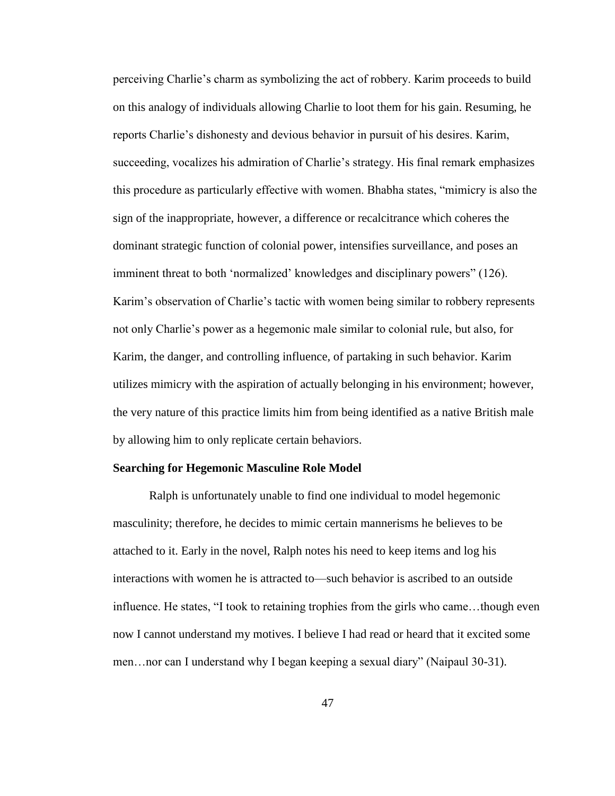perceiving Charlie's charm as symbolizing the act of robbery. Karim proceeds to build on this analogy of individuals allowing Charlie to loot them for his gain. Resuming, he reports Charlie's dishonesty and devious behavior in pursuit of his desires. Karim, succeeding, vocalizes his admiration of Charlie's strategy. His final remark emphasizes this procedure as particularly effective with women. Bhabha states, "mimicry is also the sign of the inappropriate, however, a difference or recalcitrance which coheres the dominant strategic function of colonial power, intensifies surveillance, and poses an imminent threat to both 'normalized' knowledges and disciplinary powers" (126). Karim's observation of Charlie's tactic with women being similar to robbery represents not only Charlie's power as a hegemonic male similar to colonial rule, but also, for Karim, the danger, and controlling influence, of partaking in such behavior. Karim utilizes mimicry with the aspiration of actually belonging in his environment; however, the very nature of this practice limits him from being identified as a native British male by allowing him to only replicate certain behaviors.

### **Searching for Hegemonic Masculine Role Model**

Ralph is unfortunately unable to find one individual to model hegemonic masculinity; therefore, he decides to mimic certain mannerisms he believes to be attached to it. Early in the novel, Ralph notes his need to keep items and log his interactions with women he is attracted to—such behavior is ascribed to an outside influence. He states, "I took to retaining trophies from the girls who came…though even now I cannot understand my motives. I believe I had read or heard that it excited some men…nor can I understand why I began keeping a sexual diary" (Naipaul 30-31).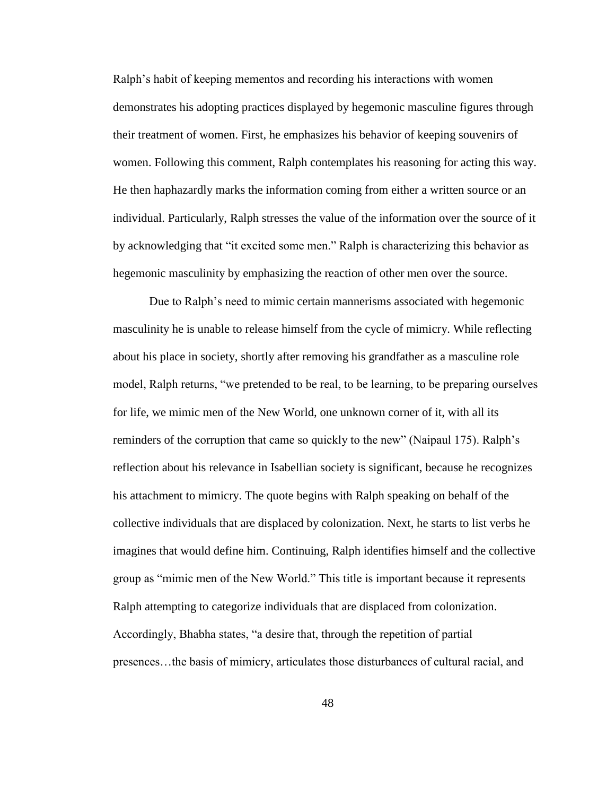Ralph's habit of keeping mementos and recording his interactions with women demonstrates his adopting practices displayed by hegemonic masculine figures through their treatment of women. First, he emphasizes his behavior of keeping souvenirs of women. Following this comment, Ralph contemplates his reasoning for acting this way. He then haphazardly marks the information coming from either a written source or an individual. Particularly, Ralph stresses the value of the information over the source of it by acknowledging that "it excited some men." Ralph is characterizing this behavior as hegemonic masculinity by emphasizing the reaction of other men over the source.

Due to Ralph's need to mimic certain mannerisms associated with hegemonic masculinity he is unable to release himself from the cycle of mimicry. While reflecting about his place in society, shortly after removing his grandfather as a masculine role model, Ralph returns, "we pretended to be real, to be learning, to be preparing ourselves for life, we mimic men of the New World, one unknown corner of it, with all its reminders of the corruption that came so quickly to the new" (Naipaul 175). Ralph's reflection about his relevance in Isabellian society is significant, because he recognizes his attachment to mimicry. The quote begins with Ralph speaking on behalf of the collective individuals that are displaced by colonization. Next, he starts to list verbs he imagines that would define him. Continuing, Ralph identifies himself and the collective group as "mimic men of the New World." This title is important because it represents Ralph attempting to categorize individuals that are displaced from colonization. Accordingly, Bhabha states, "a desire that, through the repetition of partial presences…the basis of mimicry, articulates those disturbances of cultural racial, and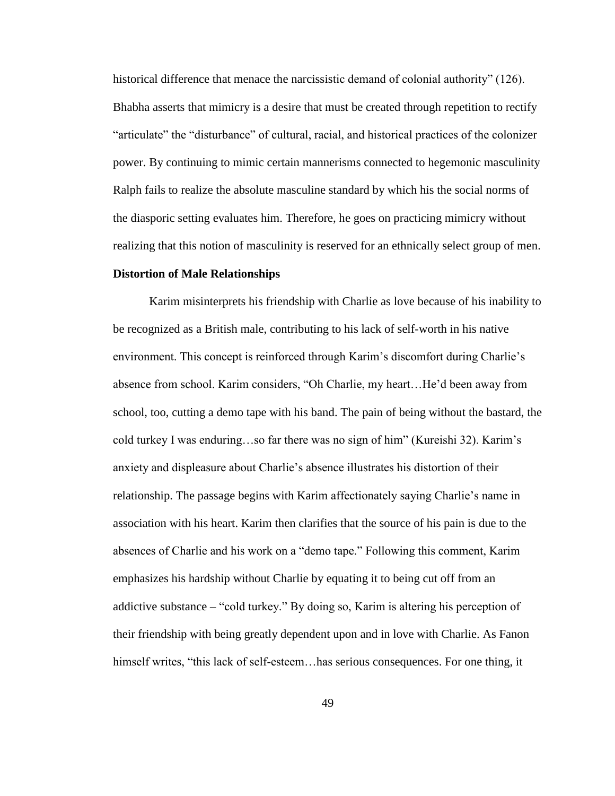historical difference that menace the narcissistic demand of colonial authority" (126). Bhabha asserts that mimicry is a desire that must be created through repetition to rectify "articulate" the "disturbance" of cultural, racial, and historical practices of the colonizer power. By continuing to mimic certain mannerisms connected to hegemonic masculinity Ralph fails to realize the absolute masculine standard by which his the social norms of the diasporic setting evaluates him. Therefore, he goes on practicing mimicry without realizing that this notion of masculinity is reserved for an ethnically select group of men.

### **Distortion of Male Relationships**

Karim misinterprets his friendship with Charlie as love because of his inability to be recognized as a British male, contributing to his lack of self-worth in his native environment. This concept is reinforced through Karim's discomfort during Charlie's absence from school. Karim considers, "Oh Charlie, my heart…He'd been away from school, too, cutting a demo tape with his band. The pain of being without the bastard, the cold turkey I was enduring…so far there was no sign of him" (Kureishi 32). Karim's anxiety and displeasure about Charlie's absence illustrates his distortion of their relationship. The passage begins with Karim affectionately saying Charlie's name in association with his heart. Karim then clarifies that the source of his pain is due to the absences of Charlie and his work on a "demo tape." Following this comment, Karim emphasizes his hardship without Charlie by equating it to being cut off from an addictive substance – "cold turkey." By doing so, Karim is altering his perception of their friendship with being greatly dependent upon and in love with Charlie. As Fanon himself writes, "this lack of self-esteem...has serious consequences. For one thing, it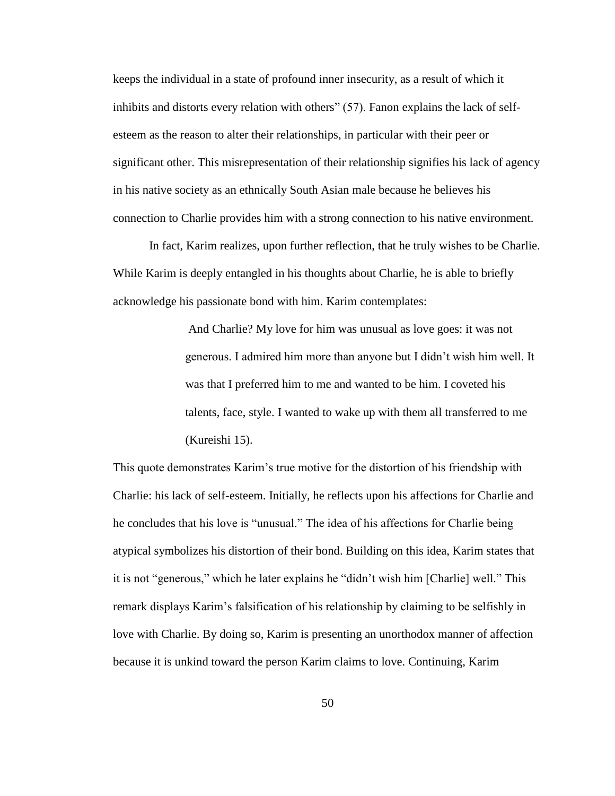keeps the individual in a state of profound inner insecurity, as a result of which it inhibits and distorts every relation with others" (57). Fanon explains the lack of selfesteem as the reason to alter their relationships, in particular with their peer or significant other. This misrepresentation of their relationship signifies his lack of agency in his native society as an ethnically South Asian male because he believes his connection to Charlie provides him with a strong connection to his native environment.

In fact, Karim realizes, upon further reflection, that he truly wishes to be Charlie. While Karim is deeply entangled in his thoughts about Charlie, he is able to briefly acknowledge his passionate bond with him. Karim contemplates:

> And Charlie? My love for him was unusual as love goes: it was not generous. I admired him more than anyone but I didn't wish him well. It was that I preferred him to me and wanted to be him. I coveted his talents, face, style. I wanted to wake up with them all transferred to me (Kureishi 15).

This quote demonstrates Karim's true motive for the distortion of his friendship with Charlie: his lack of self-esteem. Initially, he reflects upon his affections for Charlie and he concludes that his love is "unusual." The idea of his affections for Charlie being atypical symbolizes his distortion of their bond. Building on this idea, Karim states that it is not "generous," which he later explains he "didn't wish him [Charlie] well." This remark displays Karim's falsification of his relationship by claiming to be selfishly in love with Charlie. By doing so, Karim is presenting an unorthodox manner of affection because it is unkind toward the person Karim claims to love. Continuing, Karim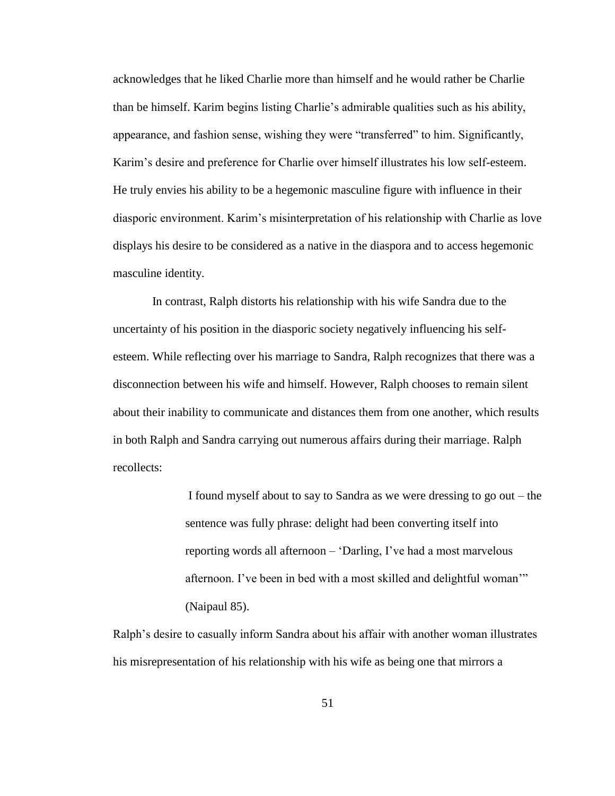acknowledges that he liked Charlie more than himself and he would rather be Charlie than be himself. Karim begins listing Charlie's admirable qualities such as his ability, appearance, and fashion sense, wishing they were "transferred" to him. Significantly, Karim's desire and preference for Charlie over himself illustrates his low self-esteem. He truly envies his ability to be a hegemonic masculine figure with influence in their diasporic environment. Karim's misinterpretation of his relationship with Charlie as love displays his desire to be considered as a native in the diaspora and to access hegemonic masculine identity.

In contrast, Ralph distorts his relationship with his wife Sandra due to the uncertainty of his position in the diasporic society negatively influencing his selfesteem. While reflecting over his marriage to Sandra, Ralph recognizes that there was a disconnection between his wife and himself. However, Ralph chooses to remain silent about their inability to communicate and distances them from one another, which results in both Ralph and Sandra carrying out numerous affairs during their marriage. Ralph recollects:

> I found myself about to say to Sandra as we were dressing to go out – the sentence was fully phrase: delight had been converting itself into reporting words all afternoon – 'Darling, I've had a most marvelous afternoon. I've been in bed with a most skilled and delightful woman'" (Naipaul 85).

Ralph's desire to casually inform Sandra about his affair with another woman illustrates his misrepresentation of his relationship with his wife as being one that mirrors a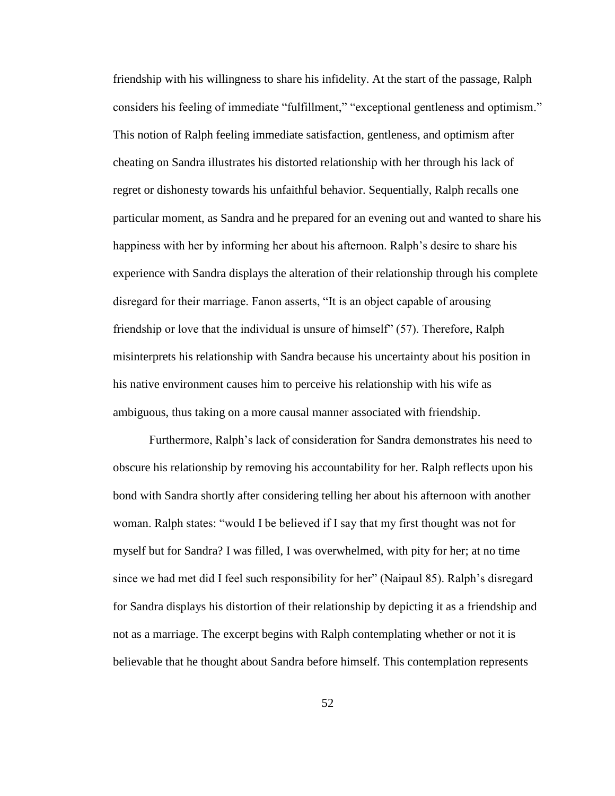friendship with his willingness to share his infidelity. At the start of the passage, Ralph considers his feeling of immediate "fulfillment," "exceptional gentleness and optimism." This notion of Ralph feeling immediate satisfaction, gentleness, and optimism after cheating on Sandra illustrates his distorted relationship with her through his lack of regret or dishonesty towards his unfaithful behavior. Sequentially, Ralph recalls one particular moment, as Sandra and he prepared for an evening out and wanted to share his happiness with her by informing her about his afternoon. Ralph's desire to share his experience with Sandra displays the alteration of their relationship through his complete disregard for their marriage. Fanon asserts, "It is an object capable of arousing friendship or love that the individual is unsure of himself" (57). Therefore, Ralph misinterprets his relationship with Sandra because his uncertainty about his position in his native environment causes him to perceive his relationship with his wife as ambiguous, thus taking on a more causal manner associated with friendship.

Furthermore, Ralph's lack of consideration for Sandra demonstrates his need to obscure his relationship by removing his accountability for her. Ralph reflects upon his bond with Sandra shortly after considering telling her about his afternoon with another woman. Ralph states: "would I be believed if I say that my first thought was not for myself but for Sandra? I was filled, I was overwhelmed, with pity for her; at no time since we had met did I feel such responsibility for her" (Naipaul 85). Ralph's disregard for Sandra displays his distortion of their relationship by depicting it as a friendship and not as a marriage. The excerpt begins with Ralph contemplating whether or not it is believable that he thought about Sandra before himself. This contemplation represents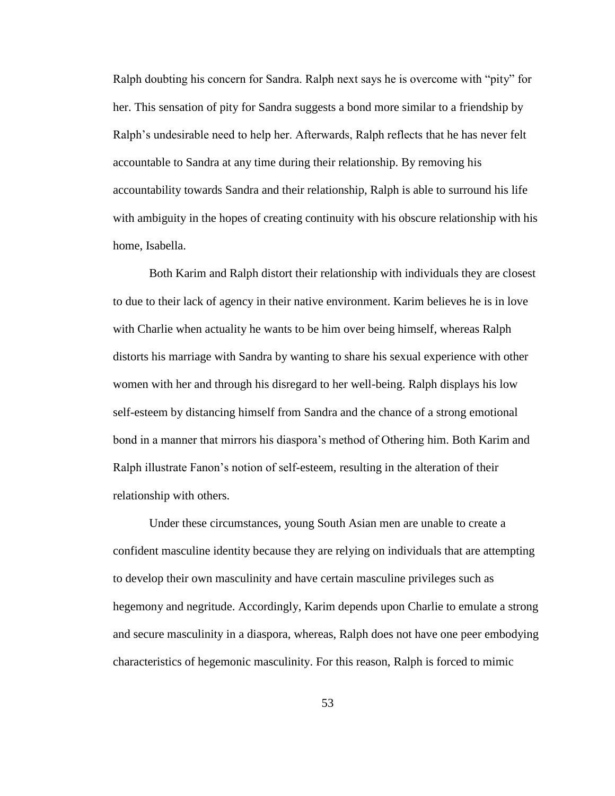Ralph doubting his concern for Sandra. Ralph next says he is overcome with "pity" for her. This sensation of pity for Sandra suggests a bond more similar to a friendship by Ralph's undesirable need to help her. Afterwards, Ralph reflects that he has never felt accountable to Sandra at any time during their relationship. By removing his accountability towards Sandra and their relationship, Ralph is able to surround his life with ambiguity in the hopes of creating continuity with his obscure relationship with his home, Isabella.

Both Karim and Ralph distort their relationship with individuals they are closest to due to their lack of agency in their native environment. Karim believes he is in love with Charlie when actuality he wants to be him over being himself, whereas Ralph distorts his marriage with Sandra by wanting to share his sexual experience with other women with her and through his disregard to her well-being. Ralph displays his low self-esteem by distancing himself from Sandra and the chance of a strong emotional bond in a manner that mirrors his diaspora's method of Othering him. Both Karim and Ralph illustrate Fanon's notion of self-esteem, resulting in the alteration of their relationship with others.

Under these circumstances, young South Asian men are unable to create a confident masculine identity because they are relying on individuals that are attempting to develop their own masculinity and have certain masculine privileges such as hegemony and negritude. Accordingly, Karim depends upon Charlie to emulate a strong and secure masculinity in a diaspora, whereas, Ralph does not have one peer embodying characteristics of hegemonic masculinity. For this reason, Ralph is forced to mimic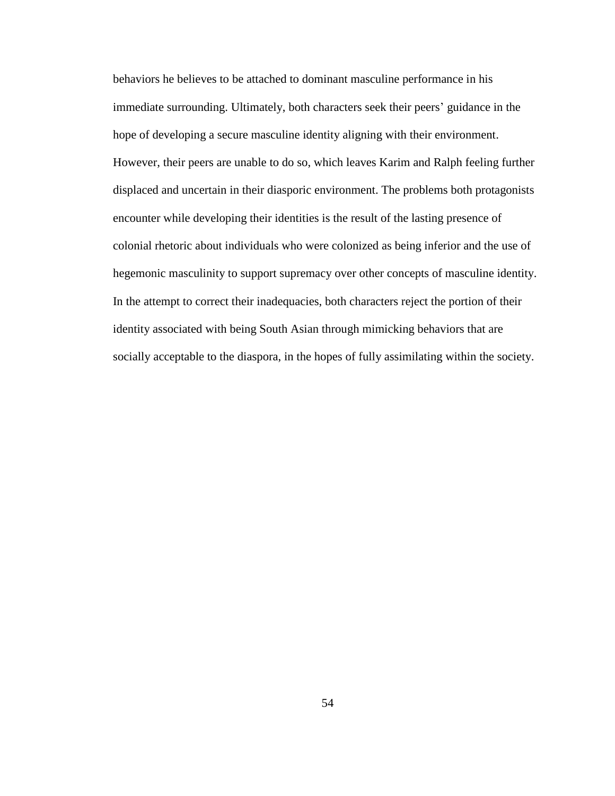behaviors he believes to be attached to dominant masculine performance in his immediate surrounding. Ultimately, both characters seek their peers' guidance in the hope of developing a secure masculine identity aligning with their environment. However, their peers are unable to do so, which leaves Karim and Ralph feeling further displaced and uncertain in their diasporic environment. The problems both protagonists encounter while developing their identities is the result of the lasting presence of colonial rhetoric about individuals who were colonized as being inferior and the use of hegemonic masculinity to support supremacy over other concepts of masculine identity. In the attempt to correct their inadequacies, both characters reject the portion of their identity associated with being South Asian through mimicking behaviors that are socially acceptable to the diaspora, in the hopes of fully assimilating within the society.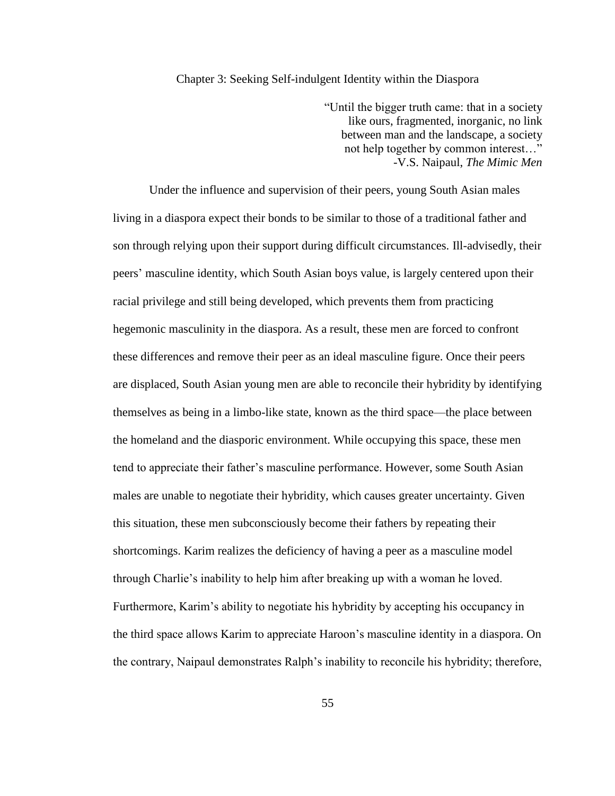## Chapter 3: Seeking Self-indulgent Identity within the Diaspora

"Until the bigger truth came: that in a society like ours, fragmented, inorganic, no link between man and the landscape, a society not help together by common interest…" -V.S. Naipaul, *The Mimic Men*

Under the influence and supervision of their peers, young South Asian males living in a diaspora expect their bonds to be similar to those of a traditional father and son through relying upon their support during difficult circumstances. Ill-advisedly, their peers' masculine identity, which South Asian boys value, is largely centered upon their racial privilege and still being developed, which prevents them from practicing hegemonic masculinity in the diaspora. As a result, these men are forced to confront these differences and remove their peer as an ideal masculine figure. Once their peers are displaced, South Asian young men are able to reconcile their hybridity by identifying themselves as being in a limbo-like state, known as the third space—the place between the homeland and the diasporic environment. While occupying this space, these men tend to appreciate their father's masculine performance. However, some South Asian males are unable to negotiate their hybridity, which causes greater uncertainty. Given this situation, these men subconsciously become their fathers by repeating their shortcomings. Karim realizes the deficiency of having a peer as a masculine model through Charlie's inability to help him after breaking up with a woman he loved. Furthermore, Karim's ability to negotiate his hybridity by accepting his occupancy in the third space allows Karim to appreciate Haroon's masculine identity in a diaspora. On the contrary, Naipaul demonstrates Ralph's inability to reconcile his hybridity; therefore,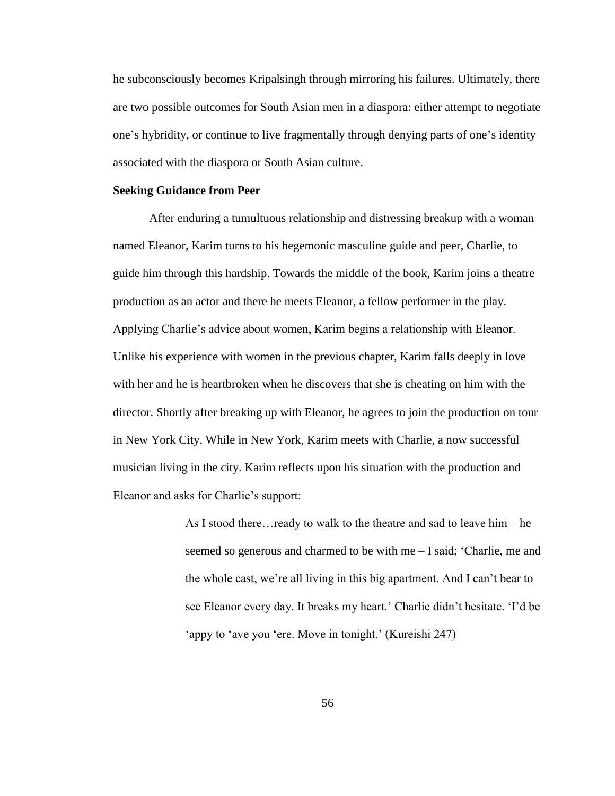he subconsciously becomes Kripalsingh through mirroring his failures. Ultimately, there are two possible outcomes for South Asian men in a diaspora: either attempt to negotiate one's hybridity, or continue to live fragmentally through denying parts of one's identity associated with the diaspora or South Asian culture.

# **Seeking Guidance from Peer**

After enduring a tumultuous relationship and distressing breakup with a woman named Eleanor, Karim turns to his hegemonic masculine guide and peer, Charlie, to guide him through this hardship. Towards the middle of the book, Karim joins a theatre production as an actor and there he meets Eleanor, a fellow performer in the play. Applying Charlie's advice about women, Karim begins a relationship with Eleanor. Unlike his experience with women in the previous chapter, Karim falls deeply in love with her and he is heartbroken when he discovers that she is cheating on him with the director. Shortly after breaking up with Eleanor, he agrees to join the production on tour in New York City. While in New York, Karim meets with Charlie, a now successful musician living in the city. Karim reflects upon his situation with the production and Eleanor and asks for Charlie's support:

> As I stood there…ready to walk to the theatre and sad to leave him – he seemed so generous and charmed to be with me – I said; 'Charlie, me and the whole cast, we're all living in this big apartment. And I can't bear to see Eleanor every day. It breaks my heart.' Charlie didn't hesitate. 'I'd be 'appy to 'ave you 'ere. Move in tonight.' (Kureishi 247)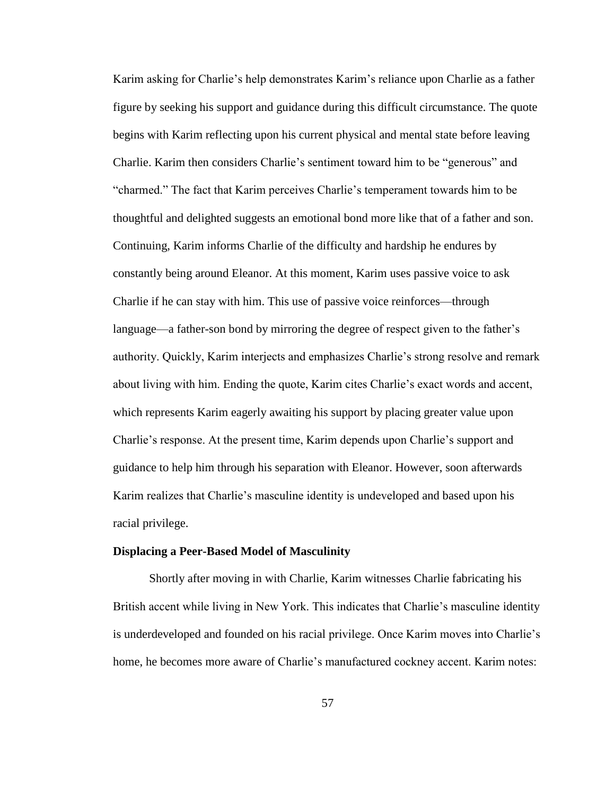Karim asking for Charlie's help demonstrates Karim's reliance upon Charlie as a father figure by seeking his support and guidance during this difficult circumstance. The quote begins with Karim reflecting upon his current physical and mental state before leaving Charlie. Karim then considers Charlie's sentiment toward him to be "generous" and "charmed." The fact that Karim perceives Charlie's temperament towards him to be thoughtful and delighted suggests an emotional bond more like that of a father and son. Continuing, Karim informs Charlie of the difficulty and hardship he endures by constantly being around Eleanor. At this moment, Karim uses passive voice to ask Charlie if he can stay with him. This use of passive voice reinforces—through language—a father-son bond by mirroring the degree of respect given to the father's authority. Quickly, Karim interjects and emphasizes Charlie's strong resolve and remark about living with him. Ending the quote, Karim cites Charlie's exact words and accent, which represents Karim eagerly awaiting his support by placing greater value upon Charlie's response. At the present time, Karim depends upon Charlie's support and guidance to help him through his separation with Eleanor. However, soon afterwards Karim realizes that Charlie's masculine identity is undeveloped and based upon his racial privilege.

#### **Displacing a Peer-Based Model of Masculinity**

Shortly after moving in with Charlie, Karim witnesses Charlie fabricating his British accent while living in New York. This indicates that Charlie's masculine identity is underdeveloped and founded on his racial privilege. Once Karim moves into Charlie's home, he becomes more aware of Charlie's manufactured cockney accent. Karim notes: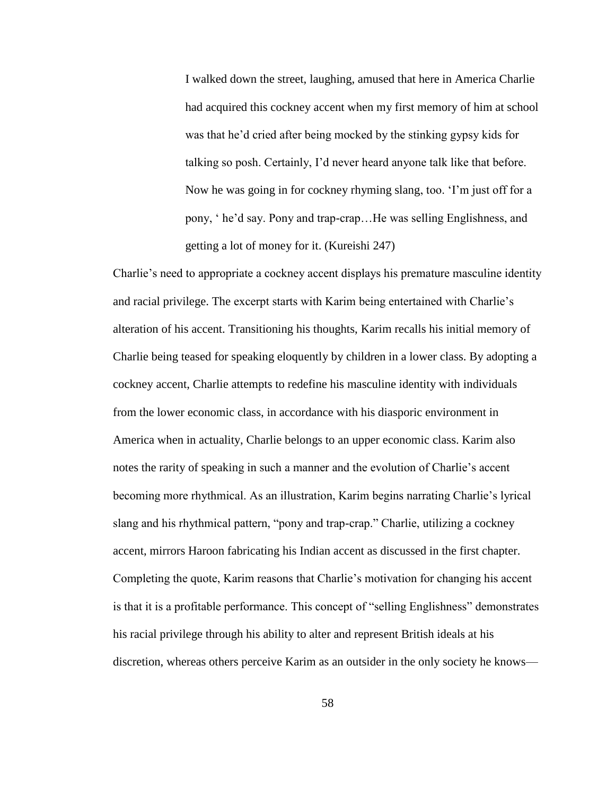I walked down the street, laughing, amused that here in America Charlie had acquired this cockney accent when my first memory of him at school was that he'd cried after being mocked by the stinking gypsy kids for talking so posh. Certainly, I'd never heard anyone talk like that before. Now he was going in for cockney rhyming slang, too. 'I'm just off for a pony, ' he'd say. Pony and trap-crap…He was selling Englishness, and getting a lot of money for it. (Kureishi 247)

Charlie's need to appropriate a cockney accent displays his premature masculine identity and racial privilege. The excerpt starts with Karim being entertained with Charlie's alteration of his accent. Transitioning his thoughts, Karim recalls his initial memory of Charlie being teased for speaking eloquently by children in a lower class. By adopting a cockney accent, Charlie attempts to redefine his masculine identity with individuals from the lower economic class, in accordance with his diasporic environment in America when in actuality, Charlie belongs to an upper economic class. Karim also notes the rarity of speaking in such a manner and the evolution of Charlie's accent becoming more rhythmical. As an illustration, Karim begins narrating Charlie's lyrical slang and his rhythmical pattern, "pony and trap-crap." Charlie, utilizing a cockney accent, mirrors Haroon fabricating his Indian accent as discussed in the first chapter. Completing the quote, Karim reasons that Charlie's motivation for changing his accent is that it is a profitable performance. This concept of "selling Englishness" demonstrates his racial privilege through his ability to alter and represent British ideals at his discretion, whereas others perceive Karim as an outsider in the only society he knows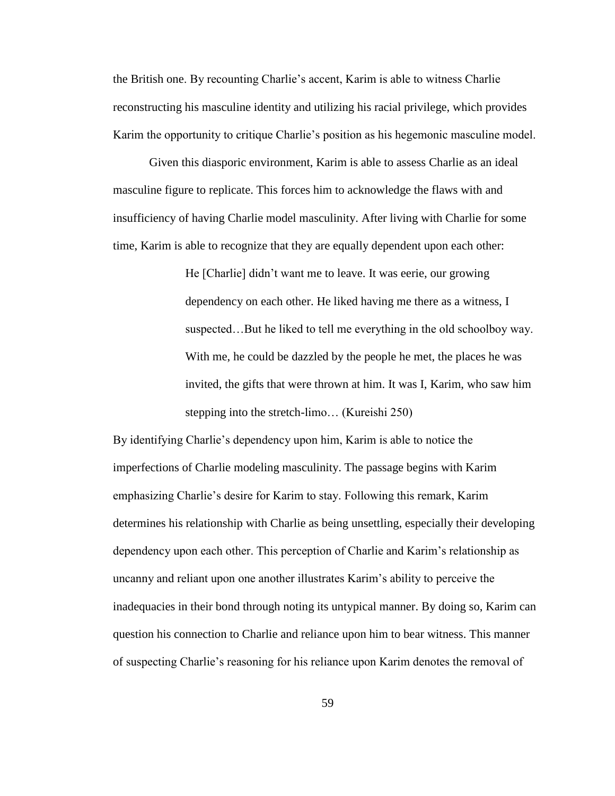the British one. By recounting Charlie's accent, Karim is able to witness Charlie reconstructing his masculine identity and utilizing his racial privilege, which provides Karim the opportunity to critique Charlie's position as his hegemonic masculine model.

Given this diasporic environment, Karim is able to assess Charlie as an ideal masculine figure to replicate. This forces him to acknowledge the flaws with and insufficiency of having Charlie model masculinity. After living with Charlie for some time, Karim is able to recognize that they are equally dependent upon each other:

> He [Charlie] didn't want me to leave. It was eerie, our growing dependency on each other. He liked having me there as a witness, I suspected…But he liked to tell me everything in the old schoolboy way. With me, he could be dazzled by the people he met, the places he was invited, the gifts that were thrown at him. It was I, Karim, who saw him stepping into the stretch-limo… (Kureishi 250)

By identifying Charlie's dependency upon him, Karim is able to notice the imperfections of Charlie modeling masculinity. The passage begins with Karim emphasizing Charlie's desire for Karim to stay. Following this remark, Karim determines his relationship with Charlie as being unsettling, especially their developing dependency upon each other. This perception of Charlie and Karim's relationship as uncanny and reliant upon one another illustrates Karim's ability to perceive the inadequacies in their bond through noting its untypical manner. By doing so, Karim can question his connection to Charlie and reliance upon him to bear witness. This manner of suspecting Charlie's reasoning for his reliance upon Karim denotes the removal of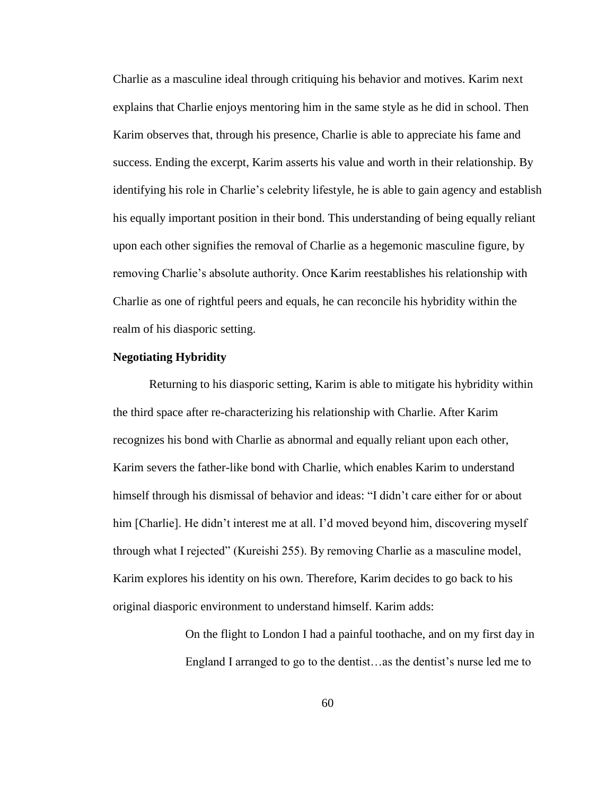Charlie as a masculine ideal through critiquing his behavior and motives. Karim next explains that Charlie enjoys mentoring him in the same style as he did in school. Then Karim observes that, through his presence, Charlie is able to appreciate his fame and success. Ending the excerpt, Karim asserts his value and worth in their relationship. By identifying his role in Charlie's celebrity lifestyle, he is able to gain agency and establish his equally important position in their bond. This understanding of being equally reliant upon each other signifies the removal of Charlie as a hegemonic masculine figure, by removing Charlie's absolute authority. Once Karim reestablishes his relationship with Charlie as one of rightful peers and equals, he can reconcile his hybridity within the realm of his diasporic setting.

### **Negotiating Hybridity**

Returning to his diasporic setting, Karim is able to mitigate his hybridity within the third space after re-characterizing his relationship with Charlie. After Karim recognizes his bond with Charlie as abnormal and equally reliant upon each other, Karim severs the father-like bond with Charlie, which enables Karim to understand himself through his dismissal of behavior and ideas: "I didn't care either for or about him [Charlie]. He didn't interest me at all. I'd moved beyond him, discovering myself through what I rejected" (Kureishi 255). By removing Charlie as a masculine model, Karim explores his identity on his own. Therefore, Karim decides to go back to his original diasporic environment to understand himself. Karim adds:

> On the flight to London I had a painful toothache, and on my first day in England I arranged to go to the dentist…as the dentist's nurse led me to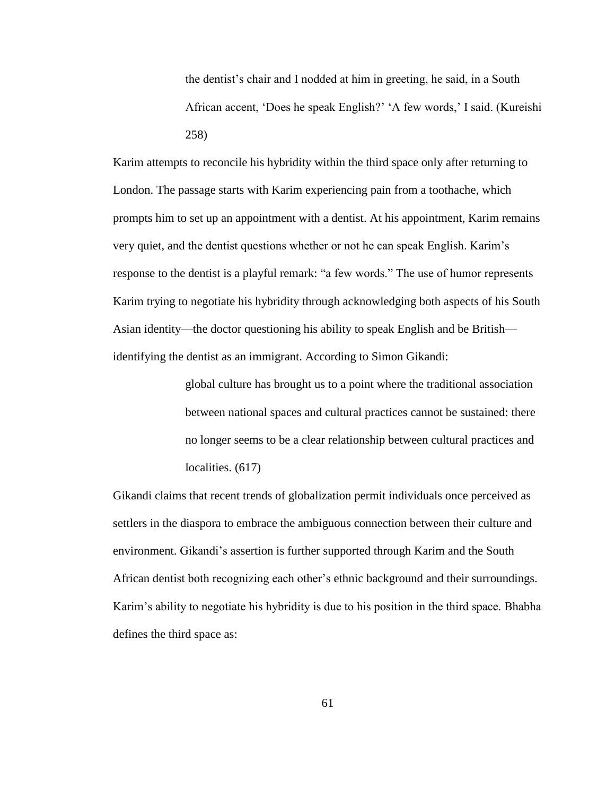the dentist's chair and I nodded at him in greeting, he said, in a South African accent, 'Does he speak English?' 'A few words,' I said. (Kureishi 258)

Karim attempts to reconcile his hybridity within the third space only after returning to London. The passage starts with Karim experiencing pain from a toothache, which prompts him to set up an appointment with a dentist. At his appointment, Karim remains very quiet, and the dentist questions whether or not he can speak English. Karim's response to the dentist is a playful remark: "a few words." The use of humor represents Karim trying to negotiate his hybridity through acknowledging both aspects of his South Asian identity—the doctor questioning his ability to speak English and be British identifying the dentist as an immigrant. According to Simon Gikandi:

> global culture has brought us to a point where the traditional association between national spaces and cultural practices cannot be sustained: there no longer seems to be a clear relationship between cultural practices and localities.  $(617)$

Gikandi claims that recent trends of globalization permit individuals once perceived as settlers in the diaspora to embrace the ambiguous connection between their culture and environment. Gikandi's assertion is further supported through Karim and the South African dentist both recognizing each other's ethnic background and their surroundings. Karim's ability to negotiate his hybridity is due to his position in the third space. Bhabha defines the third space as: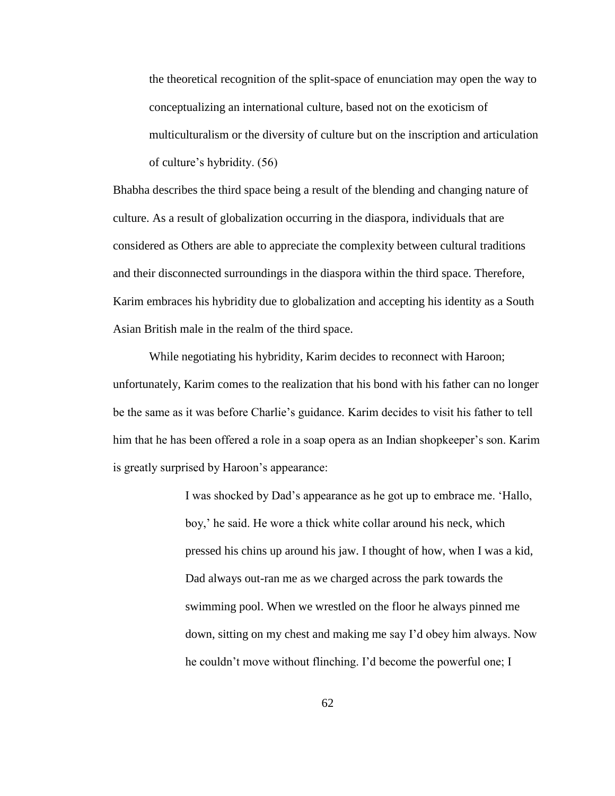the theoretical recognition of the split-space of enunciation may open the way to conceptualizing an international culture, based not on the exoticism of multiculturalism or the diversity of culture but on the inscription and articulation of culture's hybridity. (56)

Bhabha describes the third space being a result of the blending and changing nature of culture. As a result of globalization occurring in the diaspora, individuals that are considered as Others are able to appreciate the complexity between cultural traditions and their disconnected surroundings in the diaspora within the third space. Therefore, Karim embraces his hybridity due to globalization and accepting his identity as a South Asian British male in the realm of the third space.

While negotiating his hybridity, Karim decides to reconnect with Haroon; unfortunately, Karim comes to the realization that his bond with his father can no longer be the same as it was before Charlie's guidance. Karim decides to visit his father to tell him that he has been offered a role in a soap opera as an Indian shopkeeper's son. Karim is greatly surprised by Haroon's appearance:

> I was shocked by Dad's appearance as he got up to embrace me. 'Hallo, boy,' he said. He wore a thick white collar around his neck, which pressed his chins up around his jaw. I thought of how, when I was a kid, Dad always out-ran me as we charged across the park towards the swimming pool. When we wrestled on the floor he always pinned me down, sitting on my chest and making me say I'd obey him always. Now he couldn't move without flinching. I'd become the powerful one; I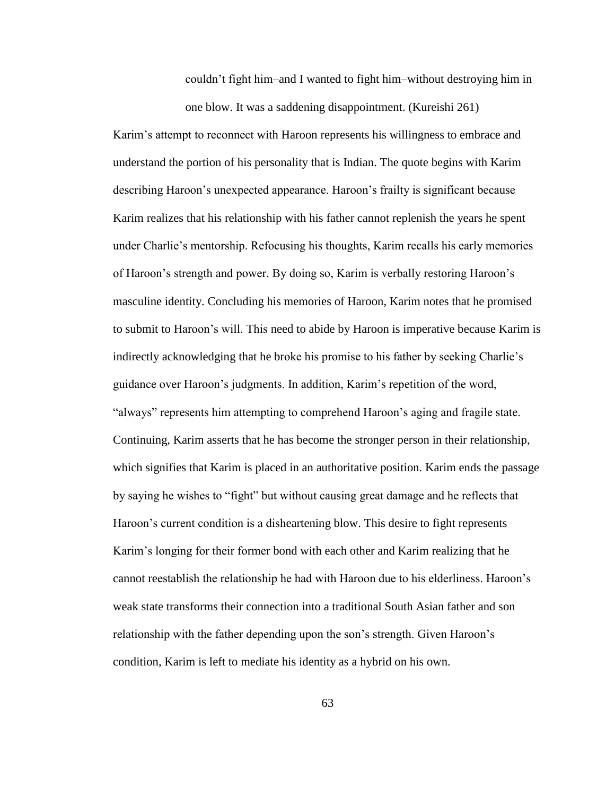couldn't fight him–and I wanted to fight him–without destroying him in one blow. It was a saddening disappointment. (Kureishi 261)

Karim's attempt to reconnect with Haroon represents his willingness to embrace and understand the portion of his personality that is Indian. The quote begins with Karim describing Haroon's unexpected appearance. Haroon's frailty is significant because Karim realizes that his relationship with his father cannot replenish the years he spent under Charlie's mentorship. Refocusing his thoughts, Karim recalls his early memories of Haroon's strength and power. By doing so, Karim is verbally restoring Haroon's masculine identity. Concluding his memories of Haroon, Karim notes that he promised to submit to Haroon's will. This need to abide by Haroon is imperative because Karim is indirectly acknowledging that he broke his promise to his father by seeking Charlie's guidance over Haroon's judgments. In addition, Karim's repetition of the word, "always" represents him attempting to comprehend Haroon's aging and fragile state. Continuing, Karim asserts that he has become the stronger person in their relationship, which signifies that Karim is placed in an authoritative position. Karim ends the passage by saying he wishes to "fight" but without causing great damage and he reflects that Haroon's current condition is a disheartening blow. This desire to fight represents Karim's longing for their former bond with each other and Karim realizing that he cannot reestablish the relationship he had with Haroon due to his elderliness. Haroon's weak state transforms their connection into a traditional South Asian father and son relationship with the father depending upon the son's strength. Given Haroon's condition, Karim is left to mediate his identity as a hybrid on his own.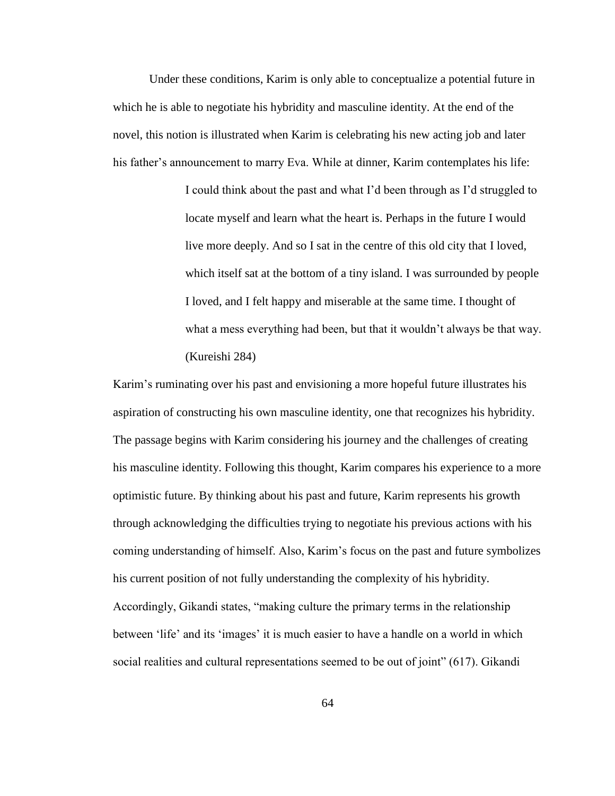Under these conditions, Karim is only able to conceptualize a potential future in which he is able to negotiate his hybridity and masculine identity. At the end of the novel, this notion is illustrated when Karim is celebrating his new acting job and later his father's announcement to marry Eva. While at dinner, Karim contemplates his life:

> I could think about the past and what I'd been through as I'd struggled to locate myself and learn what the heart is. Perhaps in the future I would live more deeply. And so I sat in the centre of this old city that I loved, which itself sat at the bottom of a tiny island. I was surrounded by people I loved, and I felt happy and miserable at the same time. I thought of what a mess everything had been, but that it wouldn't always be that way. (Kureishi 284)

Karim's ruminating over his past and envisioning a more hopeful future illustrates his aspiration of constructing his own masculine identity, one that recognizes his hybridity. The passage begins with Karim considering his journey and the challenges of creating his masculine identity. Following this thought, Karim compares his experience to a more optimistic future. By thinking about his past and future, Karim represents his growth through acknowledging the difficulties trying to negotiate his previous actions with his coming understanding of himself. Also, Karim's focus on the past and future symbolizes his current position of not fully understanding the complexity of his hybridity. Accordingly, Gikandi states, "making culture the primary terms in the relationship between 'life' and its 'images' it is much easier to have a handle on a world in which social realities and cultural representations seemed to be out of joint" (617). Gikandi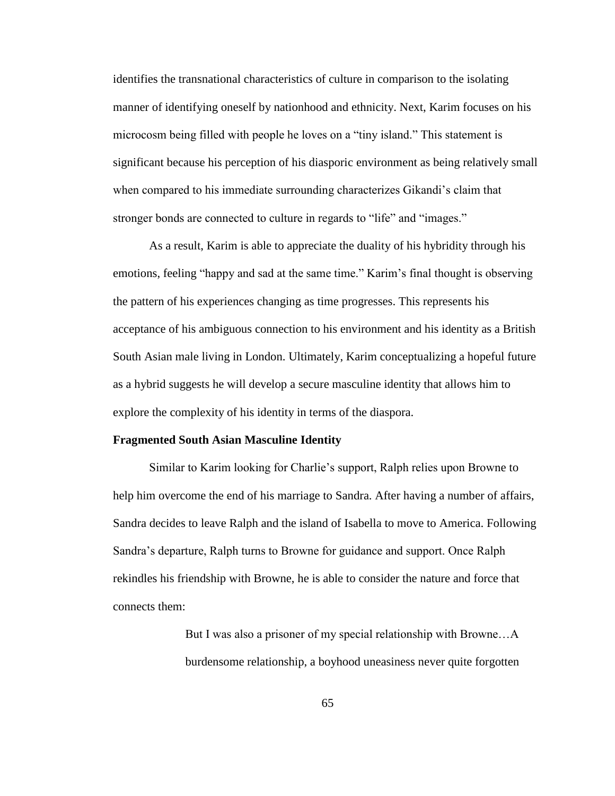identifies the transnational characteristics of culture in comparison to the isolating manner of identifying oneself by nationhood and ethnicity. Next, Karim focuses on his microcosm being filled with people he loves on a "tiny island." This statement is significant because his perception of his diasporic environment as being relatively small when compared to his immediate surrounding characterizes Gikandi's claim that stronger bonds are connected to culture in regards to "life" and "images."

As a result, Karim is able to appreciate the duality of his hybridity through his emotions, feeling "happy and sad at the same time." Karim's final thought is observing the pattern of his experiences changing as time progresses. This represents his acceptance of his ambiguous connection to his environment and his identity as a British South Asian male living in London. Ultimately, Karim conceptualizing a hopeful future as a hybrid suggests he will develop a secure masculine identity that allows him to explore the complexity of his identity in terms of the diaspora.

## **Fragmented South Asian Masculine Identity**

Similar to Karim looking for Charlie's support, Ralph relies upon Browne to help him overcome the end of his marriage to Sandra. After having a number of affairs, Sandra decides to leave Ralph and the island of Isabella to move to America. Following Sandra's departure, Ralph turns to Browne for guidance and support. Once Ralph rekindles his friendship with Browne, he is able to consider the nature and force that connects them:

> But I was also a prisoner of my special relationship with Browne…A burdensome relationship, a boyhood uneasiness never quite forgotten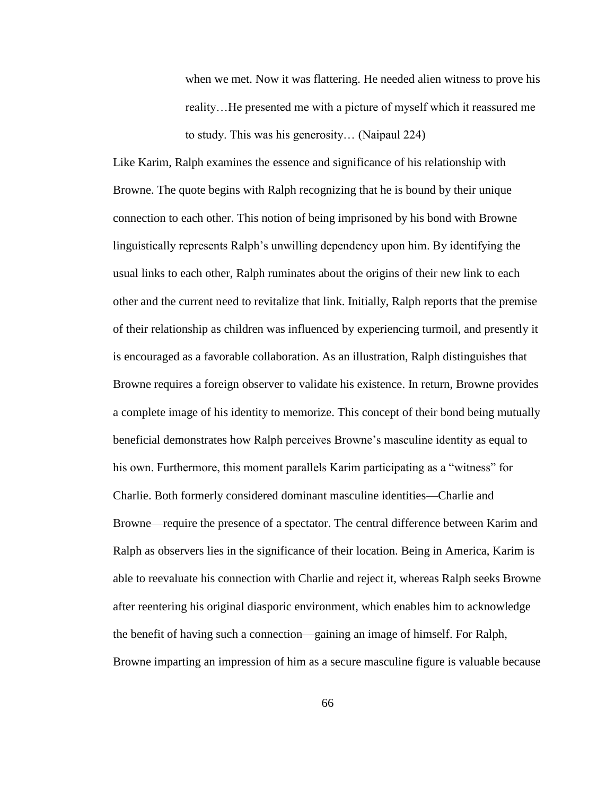when we met. Now it was flattering. He needed alien witness to prove his reality…He presented me with a picture of myself which it reassured me to study. This was his generosity… (Naipaul 224)

Like Karim, Ralph examines the essence and significance of his relationship with Browne. The quote begins with Ralph recognizing that he is bound by their unique connection to each other. This notion of being imprisoned by his bond with Browne linguistically represents Ralph's unwilling dependency upon him. By identifying the usual links to each other, Ralph ruminates about the origins of their new link to each other and the current need to revitalize that link. Initially, Ralph reports that the premise of their relationship as children was influenced by experiencing turmoil, and presently it is encouraged as a favorable collaboration. As an illustration, Ralph distinguishes that Browne requires a foreign observer to validate his existence. In return, Browne provides a complete image of his identity to memorize. This concept of their bond being mutually beneficial demonstrates how Ralph perceives Browne's masculine identity as equal to his own. Furthermore, this moment parallels Karim participating as a "witness" for Charlie. Both formerly considered dominant masculine identities—Charlie and Browne—require the presence of a spectator. The central difference between Karim and Ralph as observers lies in the significance of their location. Being in America, Karim is able to reevaluate his connection with Charlie and reject it, whereas Ralph seeks Browne after reentering his original diasporic environment, which enables him to acknowledge the benefit of having such a connection—gaining an image of himself. For Ralph, Browne imparting an impression of him as a secure masculine figure is valuable because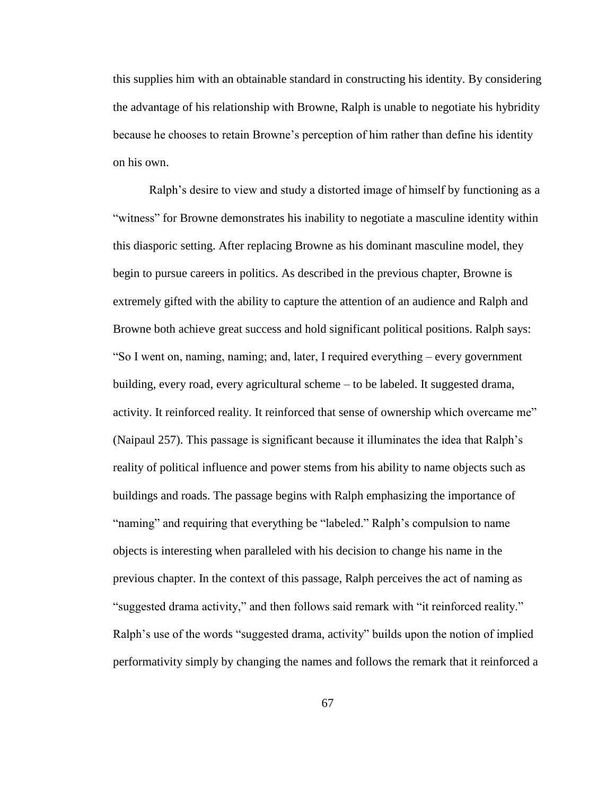this supplies him with an obtainable standard in constructing his identity. By considering the advantage of his relationship with Browne, Ralph is unable to negotiate his hybridity because he chooses to retain Browne's perception of him rather than define his identity on his own.

Ralph's desire to view and study a distorted image of himself by functioning as a "witness" for Browne demonstrates his inability to negotiate a masculine identity within this diasporic setting. After replacing Browne as his dominant masculine model, they begin to pursue careers in politics. As described in the previous chapter, Browne is extremely gifted with the ability to capture the attention of an audience and Ralph and Browne both achieve great success and hold significant political positions. Ralph says: "So I went on, naming, naming; and, later, I required everything – every government building, every road, every agricultural scheme – to be labeled. It suggested drama, activity. It reinforced reality. It reinforced that sense of ownership which overcame me" (Naipaul 257). This passage is significant because it illuminates the idea that Ralph's reality of political influence and power stems from his ability to name objects such as buildings and roads. The passage begins with Ralph emphasizing the importance of "naming" and requiring that everything be "labeled." Ralph's compulsion to name objects is interesting when paralleled with his decision to change his name in the previous chapter. In the context of this passage, Ralph perceives the act of naming as "suggested drama activity," and then follows said remark with "it reinforced reality." Ralph's use of the words "suggested drama, activity" builds upon the notion of implied performativity simply by changing the names and follows the remark that it reinforced a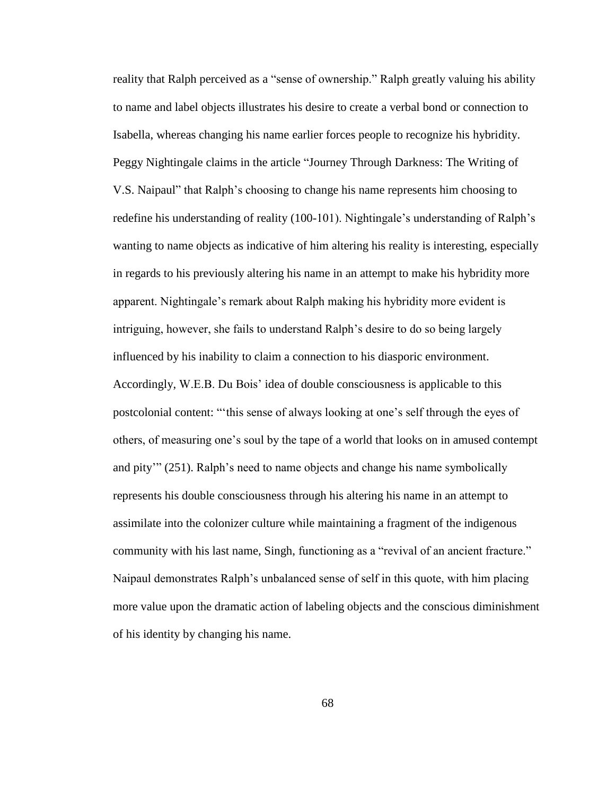reality that Ralph perceived as a "sense of ownership." Ralph greatly valuing his ability to name and label objects illustrates his desire to create a verbal bond or connection to Isabella, whereas changing his name earlier forces people to recognize his hybridity. Peggy Nightingale claims in the article "Journey Through Darkness: The Writing of V.S. Naipaul" that Ralph's choosing to change his name represents him choosing to redefine his understanding of reality (100-101). Nightingale's understanding of Ralph's wanting to name objects as indicative of him altering his reality is interesting, especially in regards to his previously altering his name in an attempt to make his hybridity more apparent. Nightingale's remark about Ralph making his hybridity more evident is intriguing, however, she fails to understand Ralph's desire to do so being largely influenced by his inability to claim a connection to his diasporic environment. Accordingly, W.E.B. Du Bois' idea of double consciousness is applicable to this postcolonial content: "'this sense of always looking at one's self through the eyes of others, of measuring one's soul by the tape of a world that looks on in amused contempt and pity'" (251). Ralph's need to name objects and change his name symbolically represents his double consciousness through his altering his name in an attempt to assimilate into the colonizer culture while maintaining a fragment of the indigenous community with his last name, Singh, functioning as a "revival of an ancient fracture." Naipaul demonstrates Ralph's unbalanced sense of self in this quote, with him placing more value upon the dramatic action of labeling objects and the conscious diminishment of his identity by changing his name.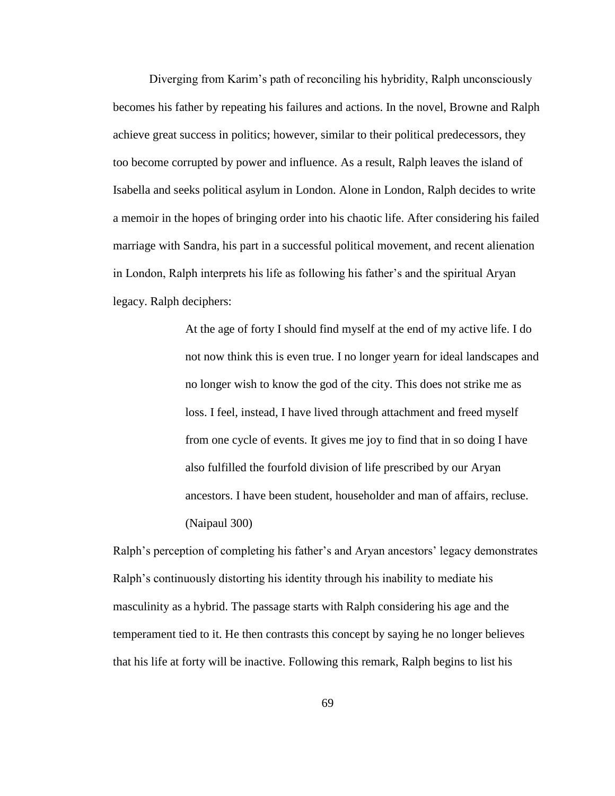Diverging from Karim's path of reconciling his hybridity, Ralph unconsciously becomes his father by repeating his failures and actions. In the novel, Browne and Ralph achieve great success in politics; however, similar to their political predecessors, they too become corrupted by power and influence. As a result, Ralph leaves the island of Isabella and seeks political asylum in London. Alone in London, Ralph decides to write a memoir in the hopes of bringing order into his chaotic life. After considering his failed marriage with Sandra, his part in a successful political movement, and recent alienation in London, Ralph interprets his life as following his father's and the spiritual Aryan legacy. Ralph deciphers:

> At the age of forty I should find myself at the end of my active life. I do not now think this is even true. I no longer yearn for ideal landscapes and no longer wish to know the god of the city. This does not strike me as loss. I feel, instead, I have lived through attachment and freed myself from one cycle of events. It gives me joy to find that in so doing I have also fulfilled the fourfold division of life prescribed by our Aryan ancestors. I have been student, householder and man of affairs, recluse. (Naipaul 300)

Ralph's perception of completing his father's and Aryan ancestors' legacy demonstrates Ralph's continuously distorting his identity through his inability to mediate his masculinity as a hybrid. The passage starts with Ralph considering his age and the temperament tied to it. He then contrasts this concept by saying he no longer believes that his life at forty will be inactive. Following this remark, Ralph begins to list his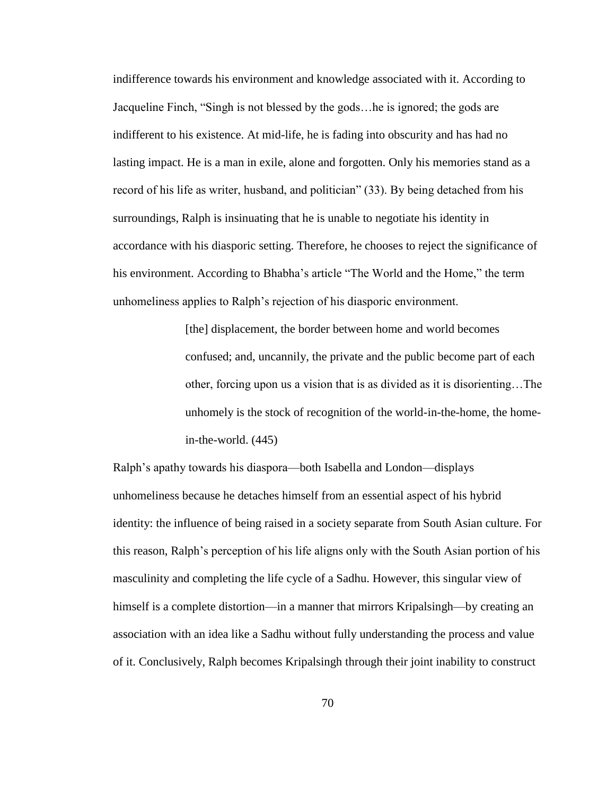indifference towards his environment and knowledge associated with it. According to Jacqueline Finch, "Singh is not blessed by the gods…he is ignored; the gods are indifferent to his existence. At mid-life, he is fading into obscurity and has had no lasting impact. He is a man in exile, alone and forgotten. Only his memories stand as a record of his life as writer, husband, and politician" (33). By being detached from his surroundings, Ralph is insinuating that he is unable to negotiate his identity in accordance with his diasporic setting. Therefore, he chooses to reject the significance of his environment. According to Bhabha's article "The World and the Home," the term unhomeliness applies to Ralph's rejection of his diasporic environment.

> [the] displacement, the border between home and world becomes confused; and, uncannily, the private and the public become part of each other, forcing upon us a vision that is as divided as it is disorienting…The unhomely is the stock of recognition of the world-in-the-home, the homein-the-world. (445)

Ralph's apathy towards his diaspora—both Isabella and London—displays unhomeliness because he detaches himself from an essential aspect of his hybrid identity: the influence of being raised in a society separate from South Asian culture. For this reason, Ralph's perception of his life aligns only with the South Asian portion of his masculinity and completing the life cycle of a Sadhu. However, this singular view of himself is a complete distortion—in a manner that mirrors Kripalsingh—by creating an association with an idea like a Sadhu without fully understanding the process and value of it. Conclusively, Ralph becomes Kripalsingh through their joint inability to construct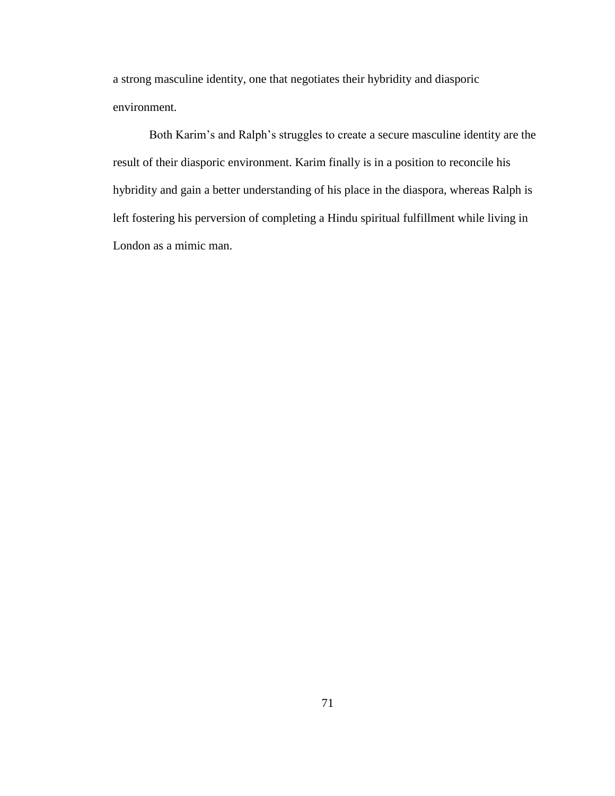a strong masculine identity, one that negotiates their hybridity and diasporic environment.

Both Karim's and Ralph's struggles to create a secure masculine identity are the result of their diasporic environment. Karim finally is in a position to reconcile his hybridity and gain a better understanding of his place in the diaspora, whereas Ralph is left fostering his perversion of completing a Hindu spiritual fulfillment while living in London as a mimic man.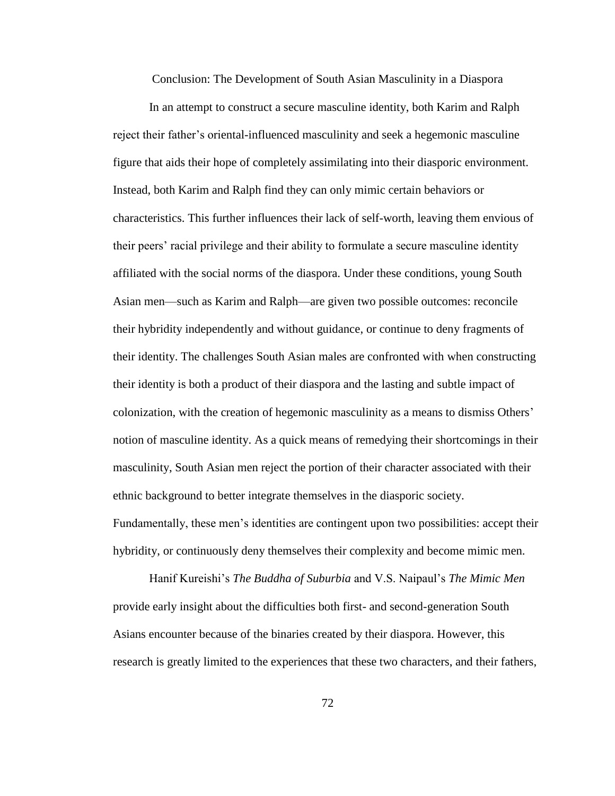Conclusion: The Development of South Asian Masculinity in a Diaspora

In an attempt to construct a secure masculine identity, both Karim and Ralph reject their father's oriental-influenced masculinity and seek a hegemonic masculine figure that aids their hope of completely assimilating into their diasporic environment. Instead, both Karim and Ralph find they can only mimic certain behaviors or characteristics. This further influences their lack of self-worth, leaving them envious of their peers' racial privilege and their ability to formulate a secure masculine identity affiliated with the social norms of the diaspora. Under these conditions, young South Asian men—such as Karim and Ralph—are given two possible outcomes: reconcile their hybridity independently and without guidance, or continue to deny fragments of their identity. The challenges South Asian males are confronted with when constructing their identity is both a product of their diaspora and the lasting and subtle impact of colonization, with the creation of hegemonic masculinity as a means to dismiss Others' notion of masculine identity. As a quick means of remedying their shortcomings in their masculinity, South Asian men reject the portion of their character associated with their ethnic background to better integrate themselves in the diasporic society. Fundamentally, these men's identities are contingent upon two possibilities: accept their hybridity, or continuously deny themselves their complexity and become mimic men.

Hanif Kureishi's *The Buddha of Suburbia* and V.S. Naipaul's *The Mimic Men* provide early insight about the difficulties both first- and second-generation South Asians encounter because of the binaries created by their diaspora. However, this research is greatly limited to the experiences that these two characters, and their fathers,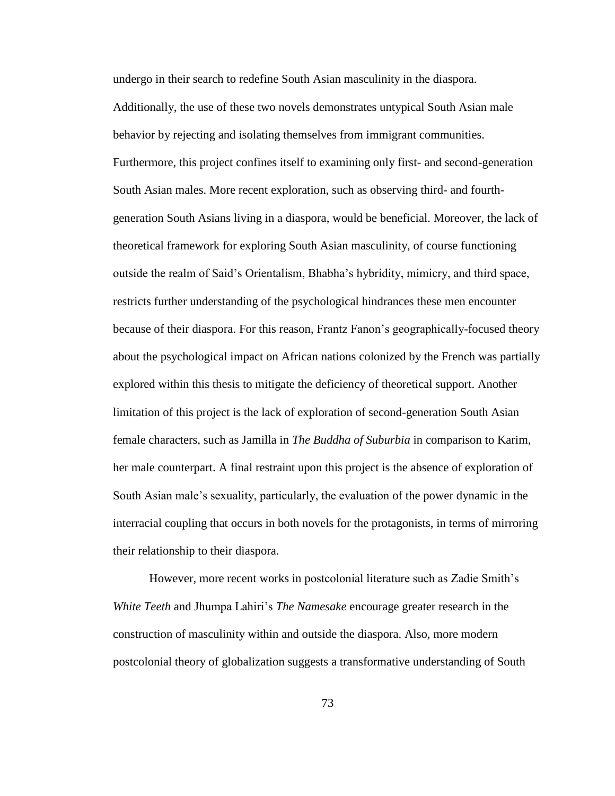undergo in their search to redefine South Asian masculinity in the diaspora. Additionally, the use of these two novels demonstrates untypical South Asian male behavior by rejecting and isolating themselves from immigrant communities. Furthermore, this project confines itself to examining only first- and second-generation South Asian males. More recent exploration, such as observing third- and fourthgeneration South Asians living in a diaspora, would be beneficial. Moreover, the lack of theoretical framework for exploring South Asian masculinity, of course functioning outside the realm of Said's Orientalism, Bhabha's hybridity, mimicry, and third space, restricts further understanding of the psychological hindrances these men encounter because of their diaspora. For this reason, Frantz Fanon's geographically-focused theory about the psychological impact on African nations colonized by the French was partially explored within this thesis to mitigate the deficiency of theoretical support. Another limitation of this project is the lack of exploration of second-generation South Asian female characters, such as Jamilla in *The Buddha of Suburbia* in comparison to Karim, her male counterpart. A final restraint upon this project is the absence of exploration of South Asian male's sexuality, particularly, the evaluation of the power dynamic in the interracial coupling that occurs in both novels for the protagonists, in terms of mirroring their relationship to their diaspora.

However, more recent works in postcolonial literature such as Zadie Smith's *White Teeth* and Jhumpa Lahiri's *The Namesake* encourage greater research in the construction of masculinity within and outside the diaspora. Also, more modern postcolonial theory of globalization suggests a transformative understanding of South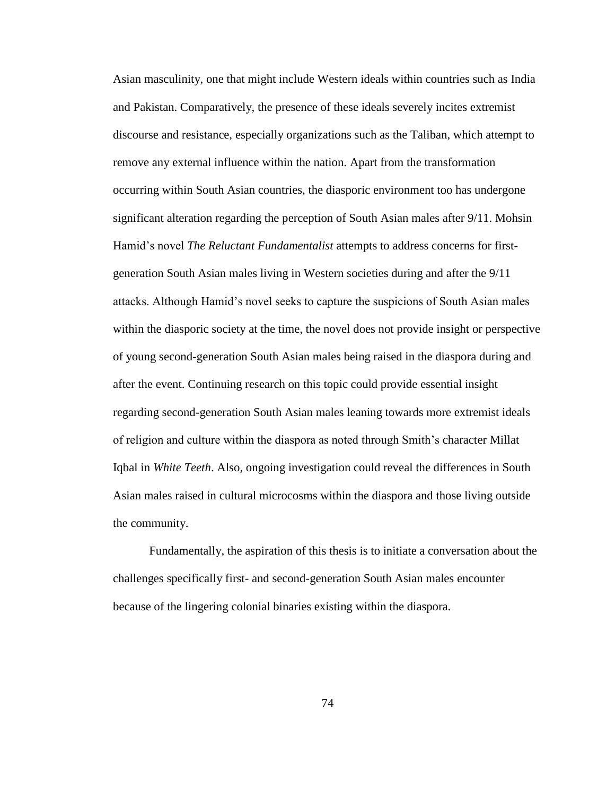Asian masculinity, one that might include Western ideals within countries such as India and Pakistan. Comparatively, the presence of these ideals severely incites extremist discourse and resistance, especially organizations such as the Taliban, which attempt to remove any external influence within the nation. Apart from the transformation occurring within South Asian countries, the diasporic environment too has undergone significant alteration regarding the perception of South Asian males after 9/11. Mohsin Hamid's novel *The Reluctant Fundamentalist* attempts to address concerns for firstgeneration South Asian males living in Western societies during and after the 9/11 attacks. Although Hamid's novel seeks to capture the suspicions of South Asian males within the diasporic society at the time, the novel does not provide insight or perspective of young second-generation South Asian males being raised in the diaspora during and after the event. Continuing research on this topic could provide essential insight regarding second-generation South Asian males leaning towards more extremist ideals of religion and culture within the diaspora as noted through Smith's character Millat Iqbal in *White Teeth*. Also, ongoing investigation could reveal the differences in South Asian males raised in cultural microcosms within the diaspora and those living outside the community.

Fundamentally, the aspiration of this thesis is to initiate a conversation about the challenges specifically first- and second-generation South Asian males encounter because of the lingering colonial binaries existing within the diaspora.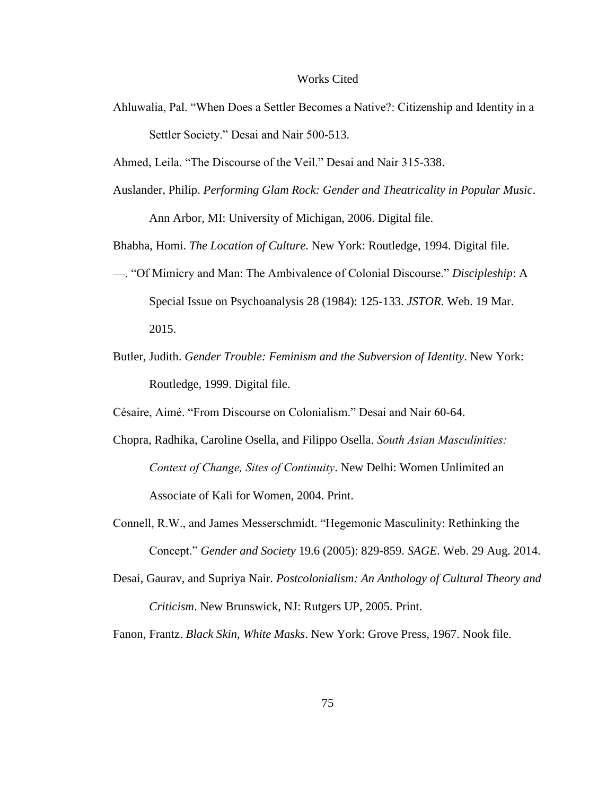## Works Cited

Ahluwalia, Pal. "When Does a Settler Becomes a Native?: Citizenship and Identity in a Settler Society." Desai and Nair 500-513.

Ahmed, Leila. "The Discourse of the Veil." Desai and Nair 315-338.

Auslander, Philip. *Performing Glam Rock: Gender and Theatricality in Popular Music*. Ann Arbor, MI: University of Michigan, 2006. Digital file.

Bhabha, Homi. *The Location of Culture*. New York: Routledge, 1994. Digital file.

- —. "Of Mimicry and Man: The Ambivalence of Colonial Discourse." *Discipleship*: A Special Issue on Psychoanalysis 28 (1984): 125-133. *JSTOR*. Web. 19 Mar. 2015.
- Butler, Judith. *Gender Trouble: Feminism and the Subversion of Identity*. New York: Routledge, 1999. Digital file.

Césaire, Aimé. "From Discourse on Colonialism." Desai and Nair 60-64.

- Chopra, Radhika, Caroline Osella, and Filippo Osella. *South Asian Masculinities: Context of Change, Sites of Continuity*. New Delhi: Women Unlimited an Associate of Kali for Women, 2004. Print.
- Connell, R.W., and James Messerschmidt. "Hegemonic Masculinity: Rethinking the Concept." *Gender and Society* 19.6 (2005): 829-859. *SAGE*. Web. 29 Aug. 2014.
- Desai, Gaurav, and Supriya Nair. *Postcolonialism: An Anthology of Cultural Theory and Criticism*. New Brunswick, NJ: Rutgers UP, 2005. Print.

Fanon, Frantz. *Black Skin, White Masks*. New York: Grove Press, 1967. Nook file.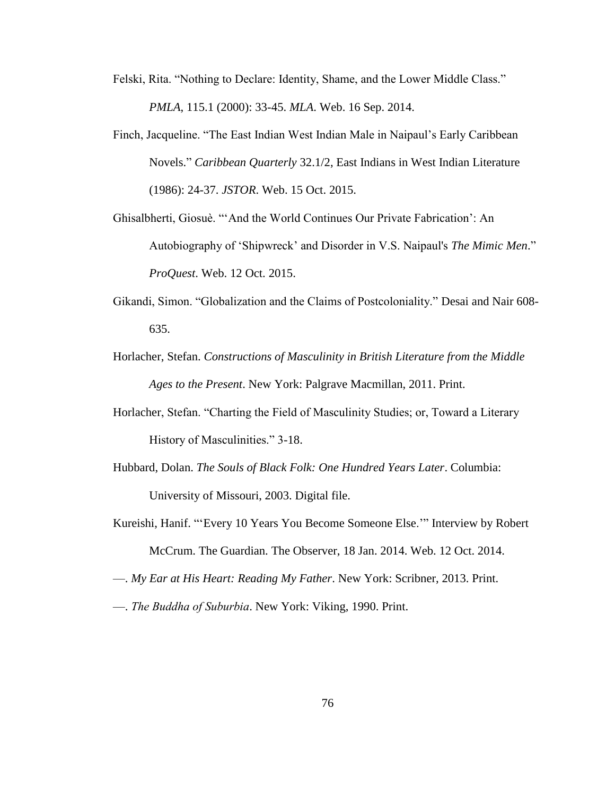- Felski, Rita. "Nothing to Declare: Identity, Shame, and the Lower Middle Class." *PMLA*, 115.1 (2000): 33-45. *MLA*. Web. 16 Sep. 2014.
- Finch, Jacqueline. "The East Indian West Indian Male in Naipaul's Early Caribbean Novels." *Caribbean Quarterly* 32.1/2, East Indians in West Indian Literature (1986): 24-37. *JSTOR*. Web. 15 Oct. 2015.
- Ghisalbherti, Giosuè. "'And the World Continues Our Private Fabrication': An Autobiography of 'Shipwreck' and Disorder in V.S. Naipaul's *The Mimic Men*." *ProQuest*. Web. 12 Oct. 2015.
- Gikandi, Simon. "Globalization and the Claims of Postcoloniality." Desai and Nair 608- 635.
- Horlacher, Stefan. *Constructions of Masculinity in British Literature from the Middle Ages to the Present*. New York: Palgrave Macmillan, 2011. Print.
- Horlacher, Stefan. "Charting the Field of Masculinity Studies; or, Toward a Literary History of Masculinities." 3-18.
- Hubbard, Dolan. *The Souls of Black Folk: One Hundred Years Later*. Columbia: University of Missouri, 2003. Digital file.
- Kureishi, Hanif. "'Every 10 Years You Become Someone Else.'" Interview by Robert McCrum. The Guardian. The Observer, 18 Jan. 2014. Web. 12 Oct. 2014.
- —. *My Ear at His Heart: Reading My Father*. New York: Scribner, 2013. Print.
- —. *The Buddha of Suburbia*. New York: Viking, 1990. Print.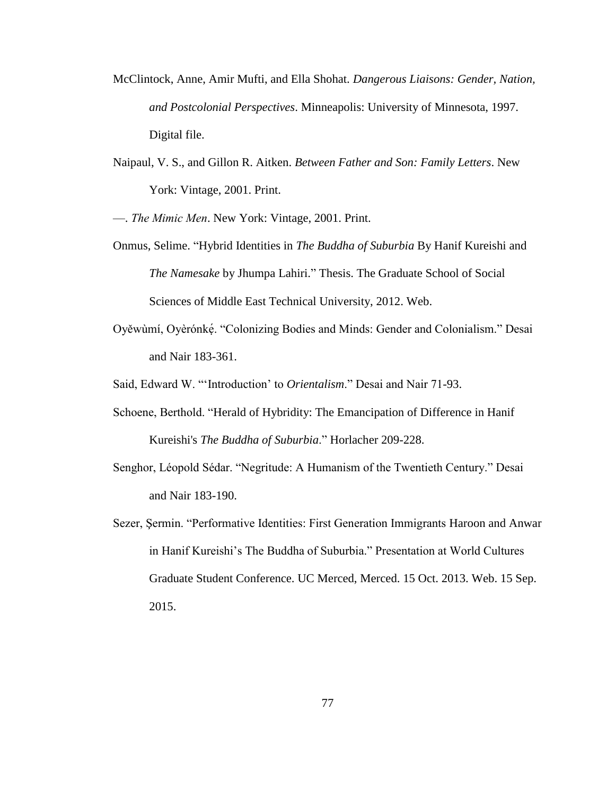- McClintock, Anne, Amir Mufti, and Ella Shohat. *Dangerous Liaisons: Gender, Nation, and Postcolonial Perspectives*. Minneapolis: University of Minnesota, 1997. Digital file.
- Naipaul, V. S., and Gillon R. Aitken. *Between Father and Son: Family Letters*. New York: Vintage, 2001. Print.
- —. *The Mimic Men*. New York: Vintage, 2001. Print.
- Onmus, Selime. "Hybrid Identities in *The Buddha of Suburbia* By Hanif Kureishi and *The Namesake* by Jhumpa Lahiri." Thesis. The Graduate School of Social Sciences of Middle East Technical University, 2012. Web.
- Oyěwùmí, Oyèrónké. "Colonizing Bodies and Minds: Gender and Colonialism." Desai and Nair 183-361.
- Said, Edward W. "'Introduction' to *Orientalism*." Desai and Nair 71-93.
- Schoene, Berthold. "Herald of Hybridity: The Emancipation of Difference in Hanif Kureishi's *The Buddha of Suburbia*." Horlacher 209-228.
- Senghor, Léopold Sédar. "Negritude: A Humanism of the Twentieth Century." Desai and Nair 183-190.
- Sezer, Şermin. "Performative Identities: First Generation Immigrants Haroon and Anwar in Hanif Kureishi's The Buddha of Suburbia." Presentation at World Cultures Graduate Student Conference. UC Merced, Merced. 15 Oct. 2013. Web. 15 Sep. 2015.